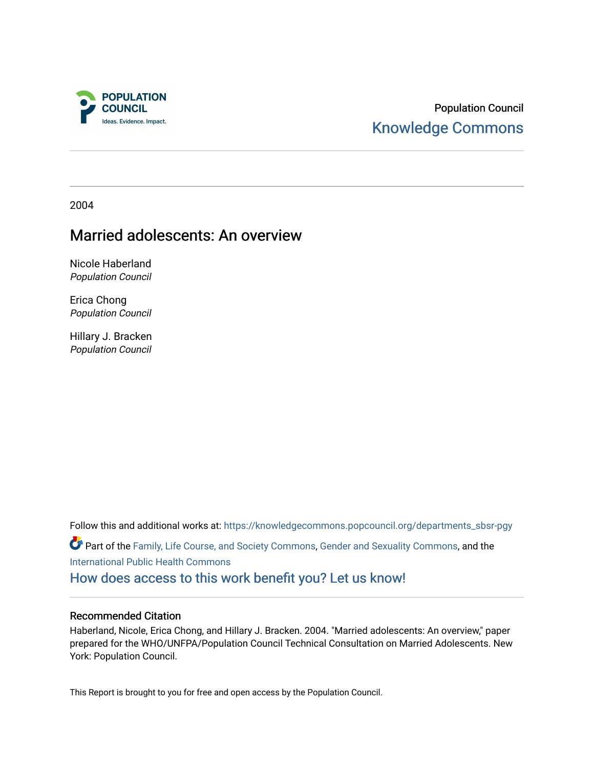

# Population Council [Knowledge Commons](https://knowledgecommons.popcouncil.org/)

2004

# Married adolescents: An overview

Nicole Haberland Population Council

Erica Chong Population Council

Hillary J. Bracken Population Council

Follow this and additional works at: [https://knowledgecommons.popcouncil.org/departments\\_sbsr-pgy](https://knowledgecommons.popcouncil.org/departments_sbsr-pgy?utm_source=knowledgecommons.popcouncil.org%2Fdepartments_sbsr-pgy%2F1461&utm_medium=PDF&utm_campaign=PDFCoverPages)  Part of the [Family, Life Course, and Society Commons,](https://network.bepress.com/hgg/discipline/419?utm_source=knowledgecommons.popcouncil.org%2Fdepartments_sbsr-pgy%2F1461&utm_medium=PDF&utm_campaign=PDFCoverPages) [Gender and Sexuality Commons](https://network.bepress.com/hgg/discipline/420?utm_source=knowledgecommons.popcouncil.org%2Fdepartments_sbsr-pgy%2F1461&utm_medium=PDF&utm_campaign=PDFCoverPages), and the [International Public Health Commons](https://network.bepress.com/hgg/discipline/746?utm_source=knowledgecommons.popcouncil.org%2Fdepartments_sbsr-pgy%2F1461&utm_medium=PDF&utm_campaign=PDFCoverPages)  [How does access to this work benefit you? Let us know!](https://pcouncil.wufoo.com/forms/open-access-to-population-council-research/)

#### Recommended Citation

Haberland, Nicole, Erica Chong, and Hillary J. Bracken. 2004. "Married adolescents: An overview," paper prepared for the WHO/UNFPA/Population Council Technical Consultation on Married Adolescents. New York: Population Council.

This Report is brought to you for free and open access by the Population Council.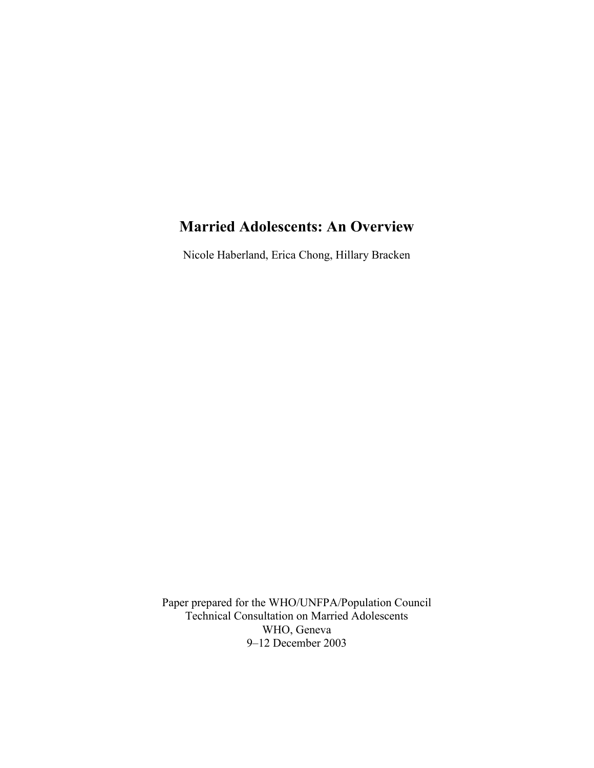# **Married Adolescents: An Overview**

Nicole Haberland, Erica Chong, Hillary Bracken

Paper prepared for the WHO/UNFPA/Population Council Technical Consultation on Married Adolescents WHO, Geneva 9–12 December 2003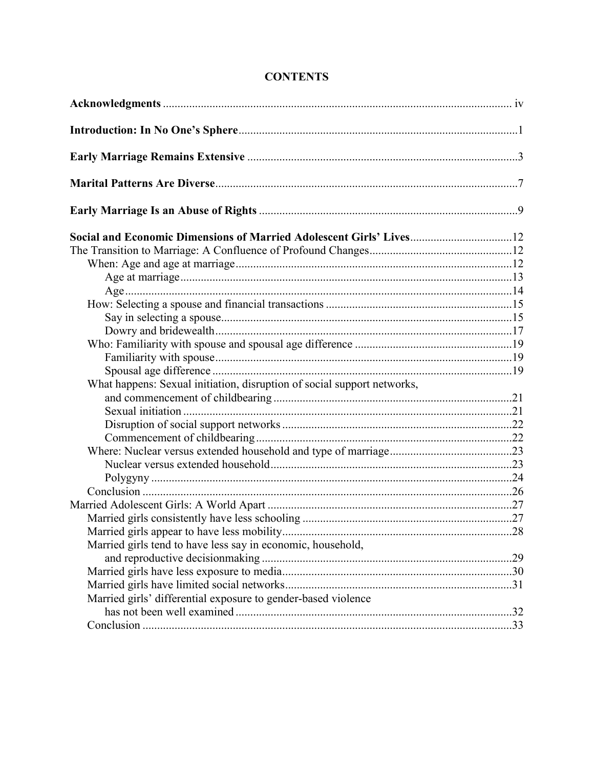| Social and Economic Dimensions of Married Adolescent Girls' Lives 12    |  |
|-------------------------------------------------------------------------|--|
|                                                                         |  |
|                                                                         |  |
|                                                                         |  |
|                                                                         |  |
|                                                                         |  |
|                                                                         |  |
|                                                                         |  |
|                                                                         |  |
|                                                                         |  |
|                                                                         |  |
| What happens: Sexual initiation, disruption of social support networks, |  |
|                                                                         |  |
|                                                                         |  |
|                                                                         |  |
|                                                                         |  |
|                                                                         |  |
|                                                                         |  |
|                                                                         |  |
|                                                                         |  |
|                                                                         |  |
|                                                                         |  |
|                                                                         |  |
| Married girls tend to have less say in economic, household,             |  |
|                                                                         |  |
|                                                                         |  |
|                                                                         |  |
| Married girls' differential exposure to gender-based violence           |  |
|                                                                         |  |
|                                                                         |  |

# **CONTENTS**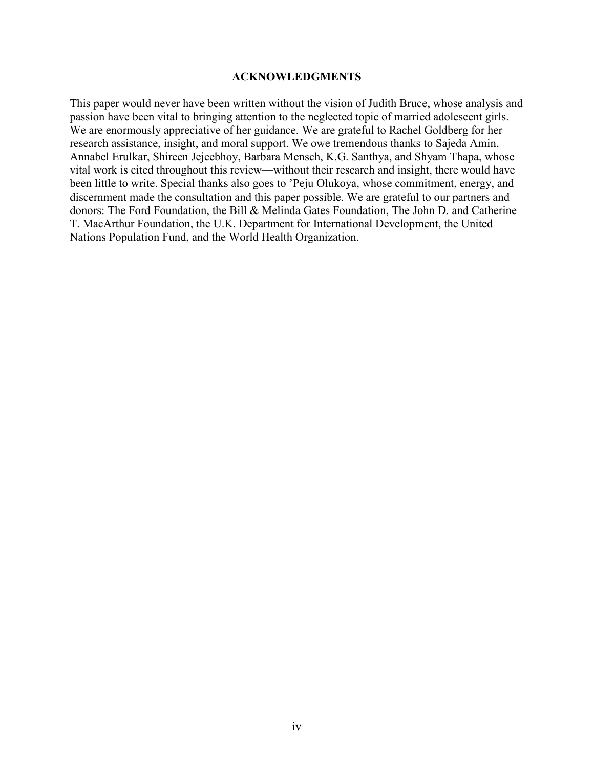#### **ACKNOWLEDGMENTS**

This paper would never have been written without the vision of Judith Bruce, whose analysis and passion have been vital to bringing attention to the neglected topic of married adolescent girls. We are enormously appreciative of her guidance. We are grateful to Rachel Goldberg for her research assistance, insight, and moral support. We owe tremendous thanks to Sajeda Amin, Annabel Erulkar, Shireen Jejeebhoy, Barbara Mensch, K.G. Santhya, and Shyam Thapa, whose vital work is cited throughout this review—without their research and insight, there would have been little to write. Special thanks also goes to 'Peju Olukoya, whose commitment, energy, and discernment made the consultation and this paper possible. We are grateful to our partners and donors: The Ford Foundation, the Bill & Melinda Gates Foundation, The John D. and Catherine T. MacArthur Foundation, the U.K. Department for International Development, the United Nations Population Fund, and the World Health Organization.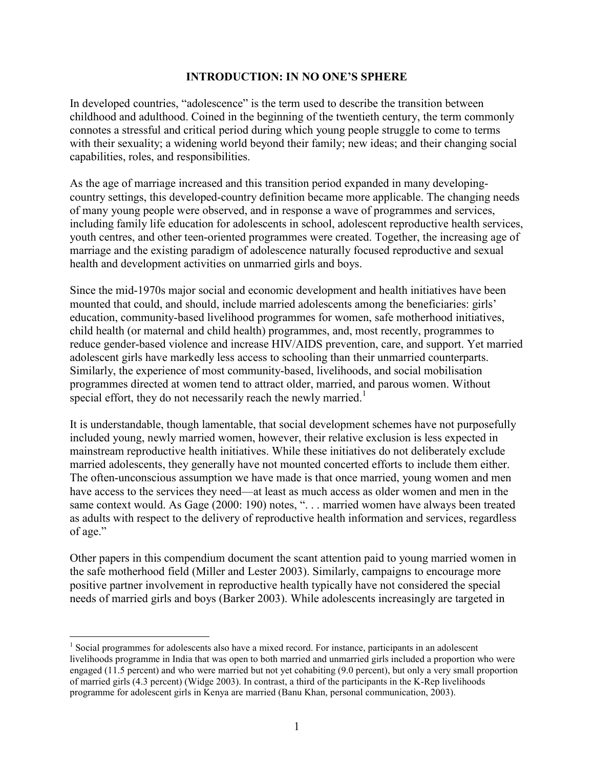#### **INTRODUCTION: IN NO ONE'S SPHERE**

In developed countries, "adolescence" is the term used to describe the transition between childhood and adulthood. Coined in the beginning of the twentieth century, the term commonly connotes a stressful and critical period during which young people struggle to come to terms with their sexuality; a widening world beyond their family; new ideas; and their changing social capabilities, roles, and responsibilities.

As the age of marriage increased and this transition period expanded in many developingcountry settings, this developed-country definition became more applicable. The changing needs of many young people were observed, and in response a wave of programmes and services, including family life education for adolescents in school, adolescent reproductive health services, youth centres, and other teen-oriented programmes were created. Together, the increasing age of marriage and the existing paradigm of adolescence naturally focused reproductive and sexual health and development activities on unmarried girls and boys.

Since the mid-1970s major social and economic development and health initiatives have been mounted that could, and should, include married adolescents among the beneficiaries: girls' education, community-based livelihood programmes for women, safe motherhood initiatives, child health (or maternal and child health) programmes, and, most recently, programmes to reduce gender-based violence and increase HIV/AIDS prevention, care, and support. Yet married adolescent girls have markedly less access to schooling than their unmarried counterparts. Similarly, the experience of most community-based, livelihoods, and social mobilisation programmes directed at women tend to attract older, married, and parous women. Without special effort, they do not necessarily reach the newly married.<sup>1</sup>

It is understandable, though lamentable, that social development schemes have not purposefully included young, newly married women, however, their relative exclusion is less expected in mainstream reproductive health initiatives. While these initiatives do not deliberately exclude married adolescents, they generally have not mounted concerted efforts to include them either. The often-unconscious assumption we have made is that once married, young women and men have access to the services they need—at least as much access as older women and men in the same context would. As Gage (2000: 190) notes, ". . . married women have always been treated as adults with respect to the delivery of reproductive health information and services, regardless of age."

Other papers in this compendium document the scant attention paid to young married women in the safe motherhood field (Miller and Lester 2003). Similarly, campaigns to encourage more positive partner involvement in reproductive health typically have not considered the special needs of married girls and boys (Barker 2003). While adolescents increasingly are targeted in

<sup>&</sup>lt;sup>1</sup> Social programmes for adolescents also have a mixed record. For instance, participants in an adolescent livelihoods programme in India that was open to both married and unmarried girls included a proportion who were engaged (11.5 percent) and who were married but not yet cohabiting (9.0 percent), but only a very small proportion of married girls (4.3 percent) (Widge 2003). In contrast, a third of the participants in the K-Rep livelihoods programme for adolescent girls in Kenya are married (Banu Khan, personal communication, 2003).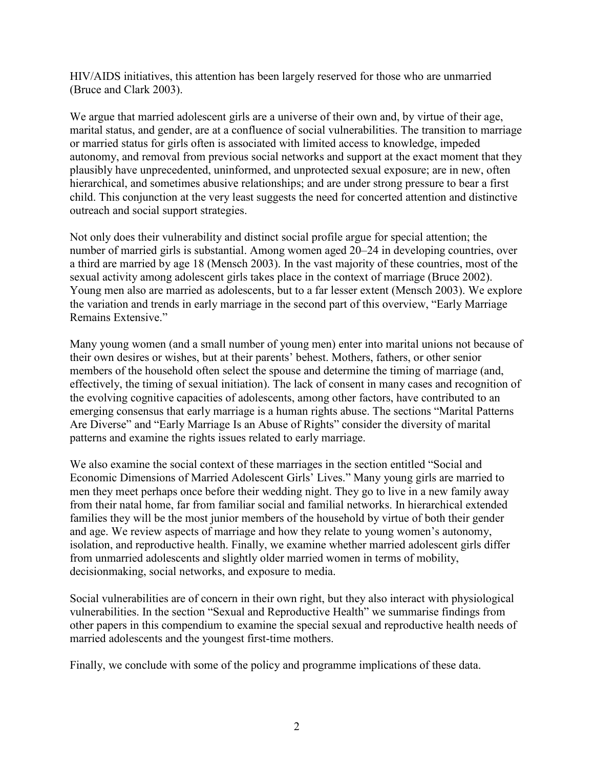HIV/AIDS initiatives, this attention has been largely reserved for those who are unmarried (Bruce and Clark 2003).

We argue that married adolescent girls are a universe of their own and, by virtue of their age, marital status, and gender, are at a confluence of social vulnerabilities. The transition to marriage or married status for girls often is associated with limited access to knowledge, impeded autonomy, and removal from previous social networks and support at the exact moment that they plausibly have unprecedented, uninformed, and unprotected sexual exposure; are in new, often hierarchical, and sometimes abusive relationships; and are under strong pressure to bear a first child. This conjunction at the very least suggests the need for concerted attention and distinctive outreach and social support strategies.

Not only does their vulnerability and distinct social profile argue for special attention; the number of married girls is substantial. Among women aged 20–24 in developing countries, over a third are married by age 18 (Mensch 2003). In the vast majority of these countries, most of the sexual activity among adolescent girls takes place in the context of marriage (Bruce 2002). Young men also are married as adolescents, but to a far lesser extent (Mensch 2003). We explore the variation and trends in early marriage in the second part of this overview, "Early Marriage Remains Extensive."

Many young women (and a small number of young men) enter into marital unions not because of their own desires or wishes, but at their parents' behest. Mothers, fathers, or other senior members of the household often select the spouse and determine the timing of marriage (and, effectively, the timing of sexual initiation). The lack of consent in many cases and recognition of the evolving cognitive capacities of adolescents, among other factors, have contributed to an emerging consensus that early marriage is a human rights abuse. The sections "Marital Patterns Are Diverse" and "Early Marriage Is an Abuse of Rights" consider the diversity of marital patterns and examine the rights issues related to early marriage.

We also examine the social context of these marriages in the section entitled "Social and Economic Dimensions of Married Adolescent Girls' Lives." Many young girls are married to men they meet perhaps once before their wedding night. They go to live in a new family away from their natal home, far from familiar social and familial networks. In hierarchical extended families they will be the most junior members of the household by virtue of both their gender and age. We review aspects of marriage and how they relate to young women's autonomy, isolation, and reproductive health. Finally, we examine whether married adolescent girls differ from unmarried adolescents and slightly older married women in terms of mobility, decisionmaking, social networks, and exposure to media.

Social vulnerabilities are of concern in their own right, but they also interact with physiological vulnerabilities. In the section "Sexual and Reproductive Health" we summarise findings from other papers in this compendium to examine the special sexual and reproductive health needs of married adolescents and the youngest first-time mothers.

Finally, we conclude with some of the policy and programme implications of these data.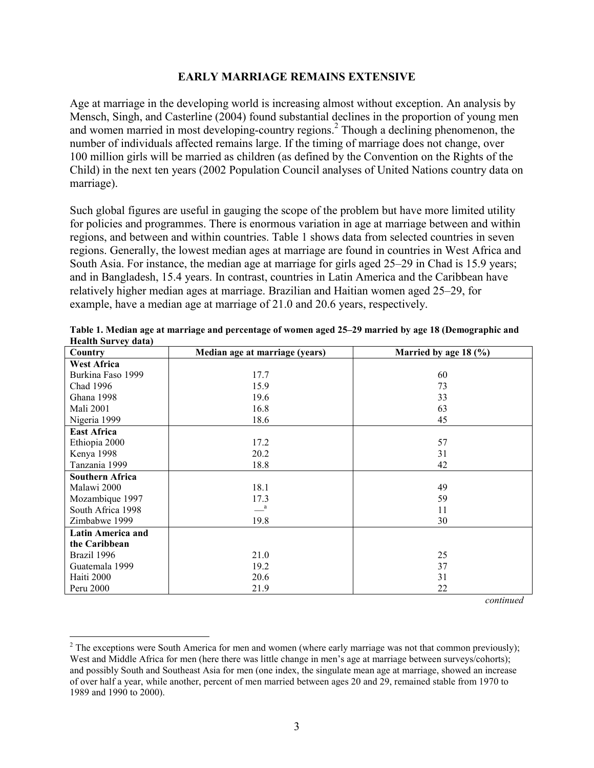#### **EARLY MARRIAGE REMAINS EXTENSIVE**

Age at marriage in the developing world is increasing almost without exception. An analysis by Mensch, Singh, and Casterline (2004) found substantial declines in the proportion of young men and women married in most developing-country regions.<sup>2</sup> Though a declining phenomenon, the number of individuals affected remains large. If the timing of marriage does not change, over 100 million girls will be married as children (as defined by the Convention on the Rights of the Child) in the next ten years (2002 Population Council analyses of United Nations country data on marriage).

Such global figures are useful in gauging the scope of the problem but have more limited utility for policies and programmes. There is enormous variation in age at marriage between and within regions, and between and within countries. Table 1 shows data from selected countries in seven regions. Generally, the lowest median ages at marriage are found in countries in West Africa and South Asia. For instance, the median age at marriage for girls aged 25–29 in Chad is 15.9 years; and in Bangladesh, 15.4 years. In contrast, countries in Latin America and the Caribbean have relatively higher median ages at marriage. Brazilian and Haitian women aged 25–29, for example, have a median age at marriage of 21.0 and 20.6 years, respectively.

| $1.00111 \times 10^{-1}$<br>Country | Median age at marriage (years) | Married by age $18$ (%) |
|-------------------------------------|--------------------------------|-------------------------|
| <b>West Africa</b>                  |                                |                         |
| Burkina Faso 1999                   | 17.7                           | 60                      |
| Chad 1996                           | 15.9                           | 73                      |
| Ghana 1998                          | 19.6                           | 33                      |
| <b>Mali 2001</b>                    | 16.8                           | 63                      |
| Nigeria 1999                        | 18.6                           | 45                      |
| <b>East Africa</b>                  |                                |                         |
| Ethiopia 2000                       | 17.2                           | 57                      |
| Kenya 1998                          | 20.2                           | 31                      |
| Tanzania 1999                       | 18.8                           | 42                      |
| <b>Southern Africa</b>              |                                |                         |
| Malawi 2000                         | 18.1                           | 49                      |
| Mozambique 1997                     | 17.3                           | 59                      |
| South Africa 1998                   | $\equiv$ <sup>a</sup>          | 11                      |
| Zimbabwe 1999                       | 19.8                           | 30                      |
| <b>Latin America and</b>            |                                |                         |
| the Caribbean                       |                                |                         |
| Brazil 1996                         | 21.0                           | 25                      |
| Guatemala 1999                      | 19.2                           | 37                      |
| Haiti 2000                          | 20.6                           | 31                      |
| Peru 2000                           | 21.9                           | 22                      |

**Table 1. Median age at marriage and percentage of women aged 25–29 married by age 18 (Demographic and Health Survey data)** 

*continued* 

 $2$  The exceptions were South America for men and women (where early marriage was not that common previously); West and Middle Africa for men (here there was little change in men's age at marriage between surveys/cohorts); and possibly South and Southeast Asia for men (one index, the singulate mean age at marriage, showed an increase of over half a year, while another, percent of men married between ages 20 and 29, remained stable from 1970 to 1989 and 1990 to 2000).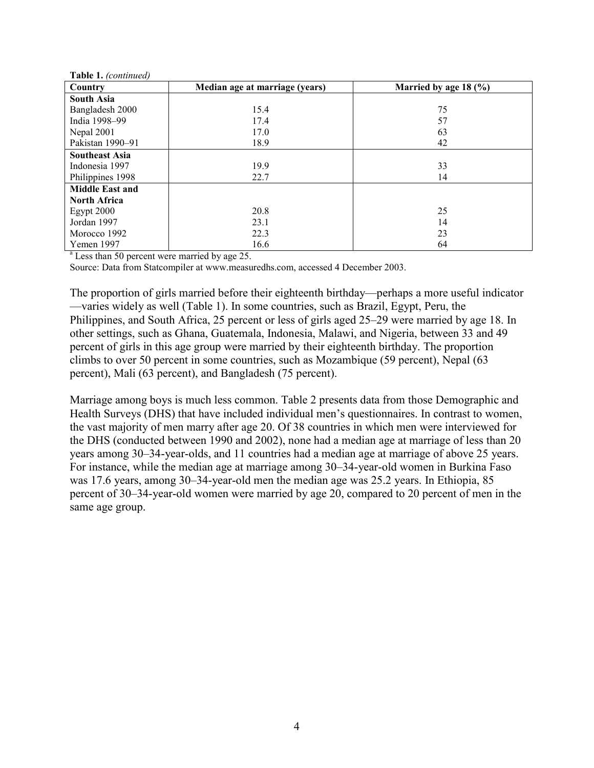| <b>Table 1.</b> ( <i>continued</i> ) |                                |                           |
|--------------------------------------|--------------------------------|---------------------------|
| Country                              | Median age at marriage (years) | Married by age 18 $(\% )$ |
| <b>South Asia</b>                    |                                |                           |
| Bangladesh 2000                      | 15.4                           | 75                        |
| India 1998-99                        | 17.4                           | 57                        |
| Nepal 2001                           | 17.0                           | 63                        |
| Pakistan 1990–91                     | 18.9                           | 42                        |
| <b>Southeast Asia</b>                |                                |                           |
| Indonesia 1997                       | 19.9                           | 33                        |
| Philippines 1998                     | 22.7                           | 14                        |
| <b>Middle East and</b>               |                                |                           |
| <b>North Africa</b>                  |                                |                           |
| Egypt $2000$                         | 20.8                           | 25                        |
| Jordan 1997                          | 23.1                           | 14                        |
| Morocco 1992                         | 22.3                           | 23                        |
| Yemen 1997                           | 16.6                           | 64                        |

<sup>a</sup> Less than 50 percent were married by age 25.

**Table 1.** *(continued)*

Source: Data from Statcompiler at www.measuredhs.com, accessed 4 December 2003.

The proportion of girls married before their eighteenth birthday—perhaps a more useful indicator —varies widely as well (Table 1). In some countries, such as Brazil, Egypt, Peru, the Philippines, and South Africa, 25 percent or less of girls aged 25–29 were married by age 18. In other settings, such as Ghana, Guatemala, Indonesia, Malawi, and Nigeria, between 33 and 49 percent of girls in this age group were married by their eighteenth birthday. The proportion climbs to over 50 percent in some countries, such as Mozambique (59 percent), Nepal (63 percent), Mali (63 percent), and Bangladesh (75 percent).

Marriage among boys is much less common. Table 2 presents data from those Demographic and Health Surveys (DHS) that have included individual men's questionnaires. In contrast to women, the vast majority of men marry after age 20. Of 38 countries in which men were interviewed for the DHS (conducted between 1990 and 2002), none had a median age at marriage of less than 20 years among 30–34-year-olds, and 11 countries had a median age at marriage of above 25 years. For instance, while the median age at marriage among 30–34-year-old women in Burkina Faso was 17.6 years, among 30–34-year-old men the median age was 25.2 years. In Ethiopia, 85 percent of 30–34-year-old women were married by age 20, compared to 20 percent of men in the same age group.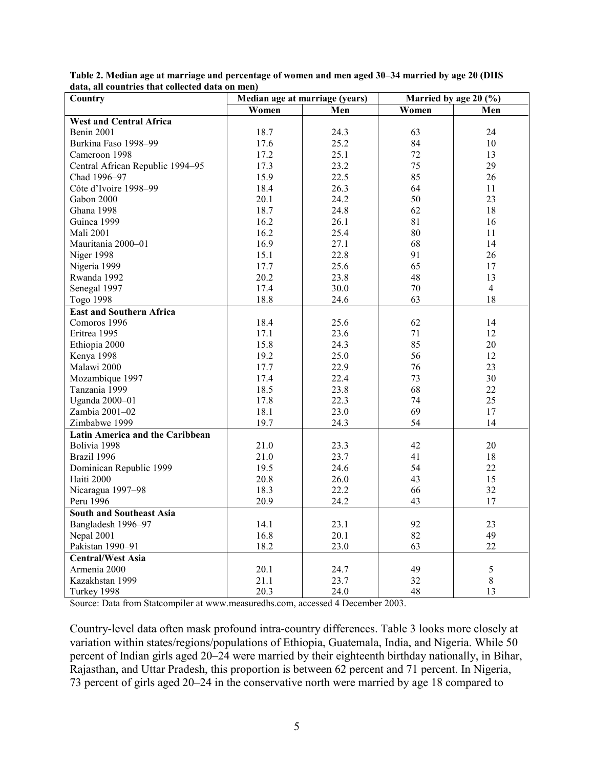| Country                          | Median age at marriage (years) |      | Married by age 20 (%) |                |
|----------------------------------|--------------------------------|------|-----------------------|----------------|
|                                  | Women                          | Men  | Women                 | Men            |
| <b>West and Central Africa</b>   |                                |      |                       |                |
| Benin 2001                       | 18.7                           | 24.3 | 63                    | 24             |
| Burkina Faso 1998-99             | 17.6                           | 25.2 | 84                    | 10             |
| Cameroon 1998                    | 17.2                           | 25.1 | 72                    | 13             |
| Central African Republic 1994-95 | 17.3                           | 23.2 | 75                    | 29             |
| Chad 1996-97                     | 15.9                           | 22.5 | 85                    | 26             |
| Côte d'Ivoire 1998-99            | 18.4                           | 26.3 | 64                    | 11             |
| Gabon 2000                       | 20.1                           | 24.2 | 50                    | 23             |
| Ghana 1998                       | 18.7                           | 24.8 | 62                    | 18             |
| Guinea 1999                      | 16.2                           | 26.1 | 81                    | 16             |
| <b>Mali 2001</b>                 | 16.2                           | 25.4 | 80                    | 11             |
| Mauritania 2000-01               | 16.9                           | 27.1 | 68                    | 14             |
| Niger 1998                       | 15.1                           | 22.8 | 91                    | 26             |
| Nigeria 1999                     | 17.7                           | 25.6 | 65                    | 17             |
| Rwanda 1992                      | 20.2                           | 23.8 | 48                    | 13             |
| Senegal 1997                     | 17.4                           | 30.0 | 70                    | $\overline{4}$ |
| <b>Togo 1998</b>                 | 18.8                           | 24.6 | 63                    | 18             |
| <b>East and Southern Africa</b>  |                                |      |                       |                |
| Comoros 1996                     | 18.4                           | 25.6 | 62                    | 14             |
| Eritrea 1995                     | 17.1                           | 23.6 | 71                    | 12             |
| Ethiopia 2000                    | 15.8                           | 24.3 | 85                    | 20             |
| Kenya 1998                       | 19.2                           | 25.0 | 56                    | 12             |
| Malawi 2000                      | 17.7                           | 22.9 | 76                    | 23             |
| Mozambique 1997                  | 17.4                           | 22.4 | 73                    | 30             |
| Tanzania 1999                    | 18.5                           | 23.8 | 68                    | 22             |
| Uganda 2000-01                   | 17.8                           | 22.3 | 74                    | 25             |
| Zambia 2001-02                   | 18.1                           | 23.0 | 69                    | 17             |
| Zimbabwe 1999                    | 19.7                           | 24.3 | 54                    | 14             |
| Latin America and the Caribbean  |                                |      |                       |                |
| Bolivia 1998                     | 21.0                           | 23.3 | 42                    | 20             |
| Brazil 1996                      | 21.0                           | 23.7 | 41                    | 18             |
| Dominican Republic 1999          | 19.5                           | 24.6 | 54                    | 22             |
| Haiti 2000                       | 20.8                           | 26.0 | 43                    | 15             |
| Nicaragua 1997-98                | 18.3                           | 22.2 | 66                    | 32             |
| Peru 1996                        | 20.9                           | 24.2 | 43                    | 17             |
| <b>South and Southeast Asia</b>  |                                |      |                       |                |
| Bangladesh 1996-97               | 14.1                           | 23.1 | 92                    | 23             |
| Nepal 2001                       | 16.8                           | 20.1 | 82                    | 49             |
| Pakistan 1990-91                 | 18.2                           | 23.0 | 63                    | 22             |
| <b>Central/West Asia</b>         |                                |      |                       |                |
| Armenia 2000                     | 20.1                           | 24.7 | 49                    | $\sqrt{5}$     |
| Kazakhstan 1999                  | 21.1                           | 23.7 | 32                    | 8              |
| Turkey 1998                      | 20.3                           | 24.0 | 48                    | 13             |

**Table 2. Median age at marriage and percentage of women and men aged 30–34 married by age 20 (DHS data, all countries that collected data on men)** 

Source: Data from Statcompiler at www.measuredhs.com, accessed 4 December 2003.

Country-level data often mask profound intra-country differences. Table 3 looks more closely at variation within states/regions/populations of Ethiopia, Guatemala, India, and Nigeria. While 50 percent of Indian girls aged 20–24 were married by their eighteenth birthday nationally, in Bihar, Rajasthan, and Uttar Pradesh, this proportion is between 62 percent and 71 percent. In Nigeria, 73 percent of girls aged 20–24 in the conservative north were married by age 18 compared to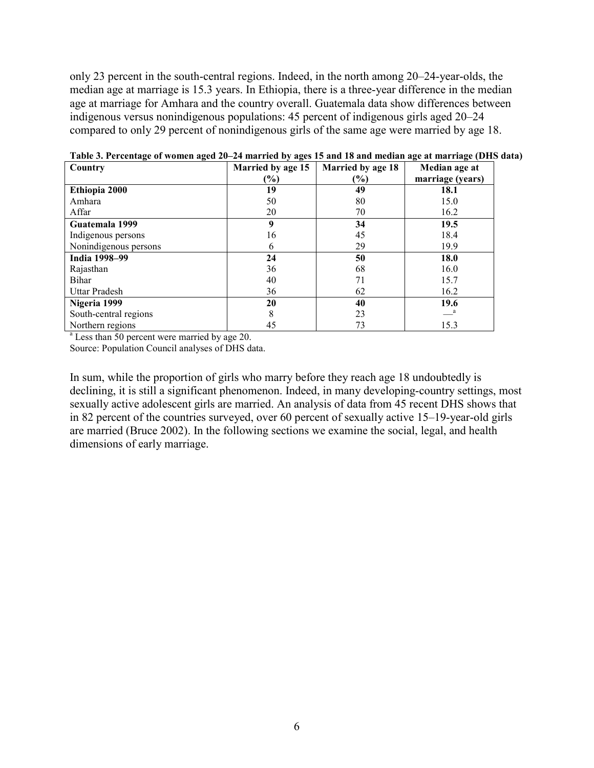only 23 percent in the south-central regions. Indeed, in the north among 20–24-year-olds, the median age at marriage is 15.3 years. In Ethiopia, there is a three-year difference in the median age at marriage for Amhara and the country overall. Guatemala data show differences between indigenous versus nonindigenous populations: 45 percent of indigenous girls aged 20–24 compared to only 29 percent of nonindigenous girls of the same age were married by age 18.

| Country               | Married by age 15 | Married by age 18 | Median age at         |
|-----------------------|-------------------|-------------------|-----------------------|
|                       | $(\%)$            | $(\%)$            | marriage (years)      |
| Ethiopia 2000         | 19                | 49                | 18.1                  |
| Amhara                | 50                | 80                | 15.0                  |
| Affar                 | 20                | 70                | 16.2                  |
| Guatemala 1999        | 9                 | 34                | 19.5                  |
| Indigenous persons    | 16                | 45                | 18.4                  |
| Nonindigenous persons | b                 | 29                | 19.9                  |
| <b>India 1998-99</b>  | 24                | 50                | 18.0                  |
| Rajasthan             | 36                | 68                | 16.0                  |
| Bihar                 | 40                | 71                | 15.7                  |
| Uttar Pradesh         | 36                | 62                | 16.2                  |
| Nigeria 1999          | 20                | 40                | 19.6                  |
| South-central regions | 8                 | 23                | $\equiv$ <sup>a</sup> |
| Northern regions      | 45                | 73                | 15.3                  |

**Table 3. Percentage of women aged 20–24 married by ages 15 and 18 and median age at marriage (DHS data)** 

 $\alpha$  Less than 50 percent were married by age 20.

Source: Population Council analyses of DHS data.

In sum, while the proportion of girls who marry before they reach age 18 undoubtedly is declining, it is still a significant phenomenon. Indeed, in many developing-country settings, most sexually active adolescent girls are married. An analysis of data from 45 recent DHS shows that in 82 percent of the countries surveyed, over 60 percent of sexually active 15–19-year-old girls are married (Bruce 2002). In the following sections we examine the social, legal, and health dimensions of early marriage.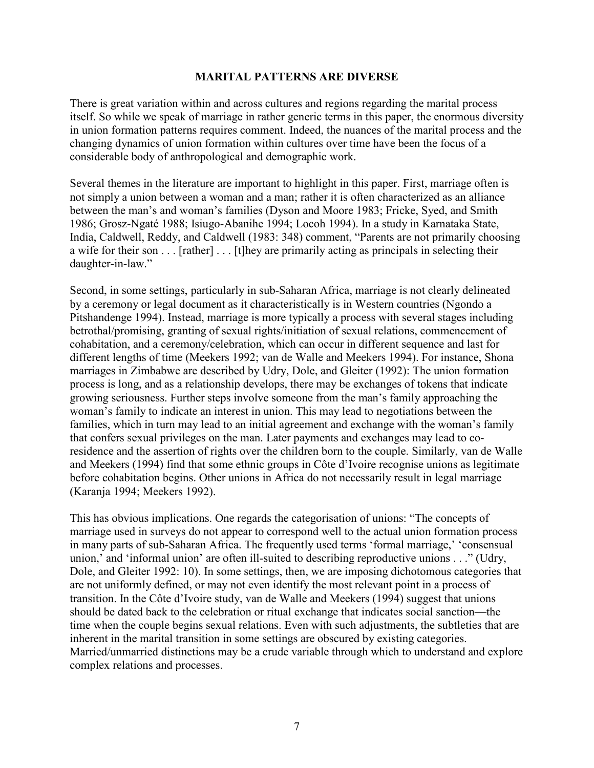#### **MARITAL PATTERNS ARE DIVERSE**

There is great variation within and across cultures and regions regarding the marital process itself. So while we speak of marriage in rather generic terms in this paper, the enormous diversity in union formation patterns requires comment. Indeed, the nuances of the marital process and the changing dynamics of union formation within cultures over time have been the focus of a considerable body of anthropological and demographic work.

Several themes in the literature are important to highlight in this paper. First, marriage often is not simply a union between a woman and a man; rather it is often characterized as an alliance between the man's and woman's families (Dyson and Moore 1983; Fricke, Syed, and Smith 1986; Grosz-Ngaté 1988; Isiugo-Abanihe 1994; Locoh 1994). In a study in Karnataka State, India, Caldwell, Reddy, and Caldwell (1983: 348) comment, "Parents are not primarily choosing a wife for their son . . . [rather] . . . [t]hey are primarily acting as principals in selecting their daughter-in-law."

Second, in some settings, particularly in sub-Saharan Africa, marriage is not clearly delineated by a ceremony or legal document as it characteristically is in Western countries (Ngondo a Pitshandenge 1994). Instead, marriage is more typically a process with several stages including betrothal/promising, granting of sexual rights/initiation of sexual relations, commencement of cohabitation, and a ceremony/celebration, which can occur in different sequence and last for different lengths of time (Meekers 1992; van de Walle and Meekers 1994). For instance, Shona marriages in Zimbabwe are described by Udry, Dole, and Gleiter (1992): The union formation process is long, and as a relationship develops, there may be exchanges of tokens that indicate growing seriousness. Further steps involve someone from the man's family approaching the woman's family to indicate an interest in union. This may lead to negotiations between the families, which in turn may lead to an initial agreement and exchange with the woman's family that confers sexual privileges on the man. Later payments and exchanges may lead to coresidence and the assertion of rights over the children born to the couple. Similarly, van de Walle and Meekers (1994) find that some ethnic groups in Côte d'Ivoire recognise unions as legitimate before cohabitation begins. Other unions in Africa do not necessarily result in legal marriage (Karanja 1994; Meekers 1992).

This has obvious implications. One regards the categorisation of unions: "The concepts of marriage used in surveys do not appear to correspond well to the actual union formation process in many parts of sub-Saharan Africa. The frequently used terms 'formal marriage,' 'consensual union,' and 'informal union' are often ill-suited to describing reproductive unions . . ." (Udry, Dole, and Gleiter 1992: 10). In some settings, then, we are imposing dichotomous categories that are not uniformly defined, or may not even identify the most relevant point in a process of transition. In the Côte d'Ivoire study, van de Walle and Meekers (1994) suggest that unions should be dated back to the celebration or ritual exchange that indicates social sanction—the time when the couple begins sexual relations. Even with such adjustments, the subtleties that are inherent in the marital transition in some settings are obscured by existing categories. Married/unmarried distinctions may be a crude variable through which to understand and explore complex relations and processes.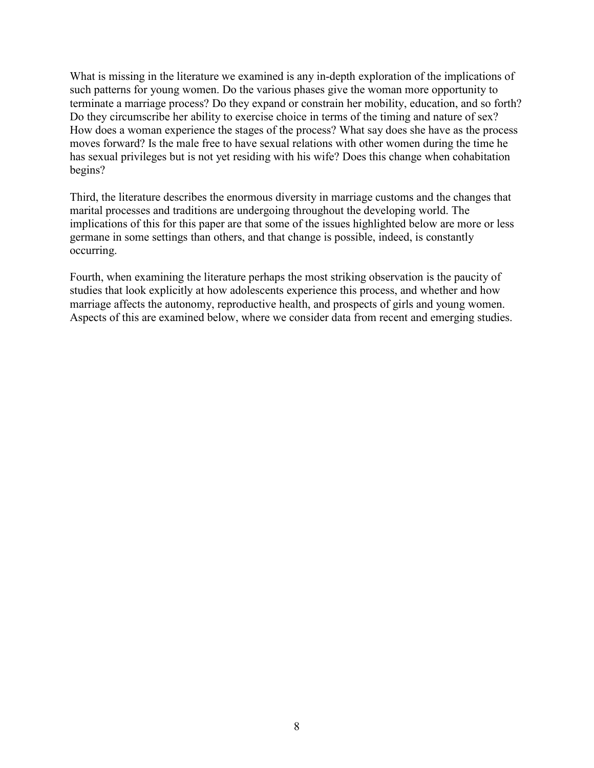What is missing in the literature we examined is any in-depth exploration of the implications of such patterns for young women. Do the various phases give the woman more opportunity to terminate a marriage process? Do they expand or constrain her mobility, education, and so forth? Do they circumscribe her ability to exercise choice in terms of the timing and nature of sex? How does a woman experience the stages of the process? What say does she have as the process moves forward? Is the male free to have sexual relations with other women during the time he has sexual privileges but is not yet residing with his wife? Does this change when cohabitation begins?

Third, the literature describes the enormous diversity in marriage customs and the changes that marital processes and traditions are undergoing throughout the developing world. The implications of this for this paper are that some of the issues highlighted below are more or less germane in some settings than others, and that change is possible, indeed, is constantly occurring.

Fourth, when examining the literature perhaps the most striking observation is the paucity of studies that look explicitly at how adolescents experience this process, and whether and how marriage affects the autonomy, reproductive health, and prospects of girls and young women. Aspects of this are examined below, where we consider data from recent and emerging studies.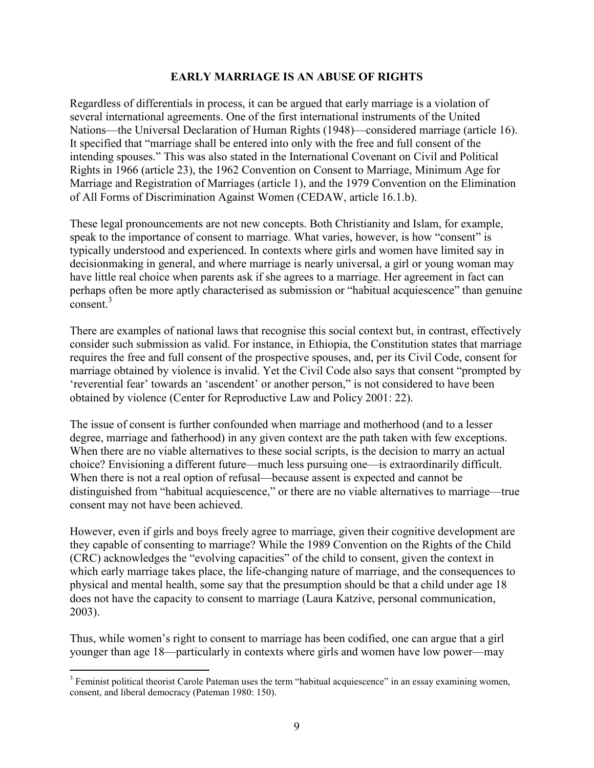#### **EARLY MARRIAGE IS AN ABUSE OF RIGHTS**

Regardless of differentials in process, it can be argued that early marriage is a violation of several international agreements. One of the first international instruments of the United Nations—the Universal Declaration of Human Rights (1948)—considered marriage (article 16). It specified that "marriage shall be entered into only with the free and full consent of the intending spouses." This was also stated in the International Covenant on Civil and Political Rights in 1966 (article 23), the 1962 Convention on Consent to Marriage, Minimum Age for Marriage and Registration of Marriages (article 1), and the 1979 Convention on the Elimination of All Forms of Discrimination Against Women (CEDAW, article 16.1.b).

These legal pronouncements are not new concepts. Both Christianity and Islam, for example, speak to the importance of consent to marriage. What varies, however, is how "consent" is typically understood and experienced. In contexts where girls and women have limited say in decisionmaking in general, and where marriage is nearly universal, a girl or young woman may have little real choice when parents ask if she agrees to a marriage. Her agreement in fact can perhaps often be more aptly characterised as submission or "habitual acquiescence" than genuine consent $3$ 

There are examples of national laws that recognise this social context but, in contrast, effectively consider such submission as valid. For instance, in Ethiopia, the Constitution states that marriage requires the free and full consent of the prospective spouses, and, per its Civil Code, consent for marriage obtained by violence is invalid. Yet the Civil Code also says that consent "prompted by 'reverential fear' towards an 'ascendent' or another person," is not considered to have been obtained by violence (Center for Reproductive Law and Policy 2001: 22).

The issue of consent is further confounded when marriage and motherhood (and to a lesser degree, marriage and fatherhood) in any given context are the path taken with few exceptions. When there are no viable alternatives to these social scripts, is the decision to marry an actual choice? Envisioning a different future—much less pursuing one—is extraordinarily difficult. When there is not a real option of refusal—because assent is expected and cannot be distinguished from "habitual acquiescence," or there are no viable alternatives to marriage—true consent may not have been achieved.

However, even if girls and boys freely agree to marriage, given their cognitive development are they capable of consenting to marriage? While the 1989 Convention on the Rights of the Child (CRC) acknowledges the "evolving capacities" of the child to consent, given the context in which early marriage takes place, the life-changing nature of marriage, and the consequences to physical and mental health, some say that the presumption should be that a child under age 18 does not have the capacity to consent to marriage (Laura Katzive, personal communication, 2003).

Thus, while women's right to consent to marriage has been codified, one can argue that a girl younger than age 18—particularly in contexts where girls and women have low power—may

<sup>&</sup>lt;sup>3</sup> Feminist political theorist Carole Pateman uses the term "habitual acquiescence" in an essay examining women, consent, and liberal democracy (Pateman 1980: 150).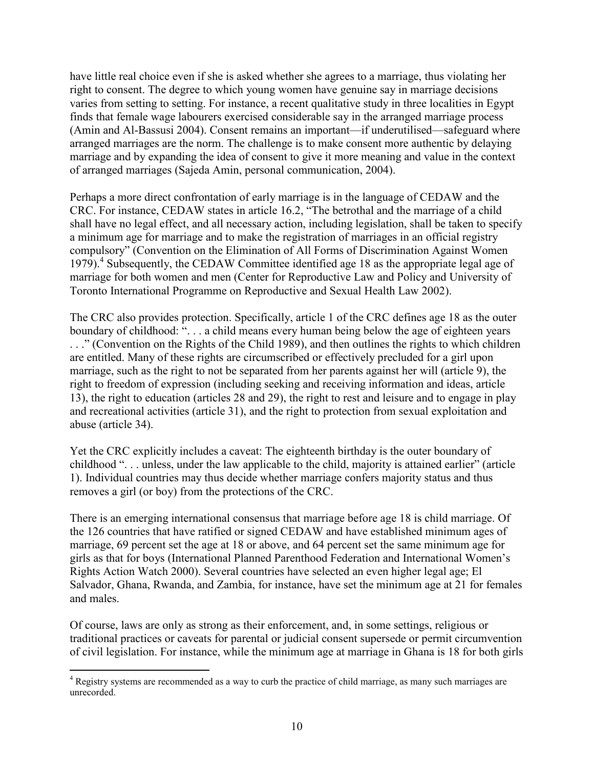have little real choice even if she is asked whether she agrees to a marriage, thus violating her right to consent. The degree to which young women have genuine say in marriage decisions varies from setting to setting. For instance, a recent qualitative study in three localities in Egypt finds that female wage labourers exercised considerable say in the arranged marriage process (Amin and Al-Bassusi 2004). Consent remains an important—if underutilised—safeguard where arranged marriages are the norm. The challenge is to make consent more authentic by delaying marriage and by expanding the idea of consent to give it more meaning and value in the context of arranged marriages (Sajeda Amin, personal communication, 2004).

Perhaps a more direct confrontation of early marriage is in the language of CEDAW and the CRC. For instance, CEDAW states in article 16.2, "The betrothal and the marriage of a child shall have no legal effect, and all necessary action, including legislation, shall be taken to specify a minimum age for marriage and to make the registration of marriages in an official registry compulsory" (Convention on the Elimination of All Forms of Discrimination Against Women 1979).<sup>4</sup> Subsequently, the CEDAW Committee identified age 18 as the appropriate legal age of marriage for both women and men (Center for Reproductive Law and Policy and University of Toronto International Programme on Reproductive and Sexual Health Law 2002).

The CRC also provides protection. Specifically, article 1 of the CRC defines age 18 as the outer boundary of childhood: ". . . a child means every human being below the age of eighteen years . . ." (Convention on the Rights of the Child 1989), and then outlines the rights to which children are entitled. Many of these rights are circumscribed or effectively precluded for a girl upon marriage, such as the right to not be separated from her parents against her will (article 9), the right to freedom of expression (including seeking and receiving information and ideas, article 13), the right to education (articles 28 and 29), the right to rest and leisure and to engage in play and recreational activities (article 31), and the right to protection from sexual exploitation and abuse (article 34).

Yet the CRC explicitly includes a caveat: The eighteenth birthday is the outer boundary of childhood ". . . unless, under the law applicable to the child, majority is attained earlier" (article 1). Individual countries may thus decide whether marriage confers majority status and thus removes a girl (or boy) from the protections of the CRC.

There is an emerging international consensus that marriage before age 18 is child marriage. Of the 126 countries that have ratified or signed CEDAW and have established minimum ages of marriage, 69 percent set the age at 18 or above, and 64 percent set the same minimum age for girls as that for boys (International Planned Parenthood Federation and International Women's Rights Action Watch 2000). Several countries have selected an even higher legal age; El Salvador, Ghana, Rwanda, and Zambia, for instance, have set the minimum age at 21 for females and males.

Of course, laws are only as strong as their enforcement, and, in some settings, religious or traditional practices or caveats for parental or judicial consent supersede or permit circumvention of civil legislation. For instance, while the minimum age at marriage in Ghana is 18 for both girls

<sup>4</sup> Registry systems are recommended as a way to curb the practice of child marriage, as many such marriages are unrecorded.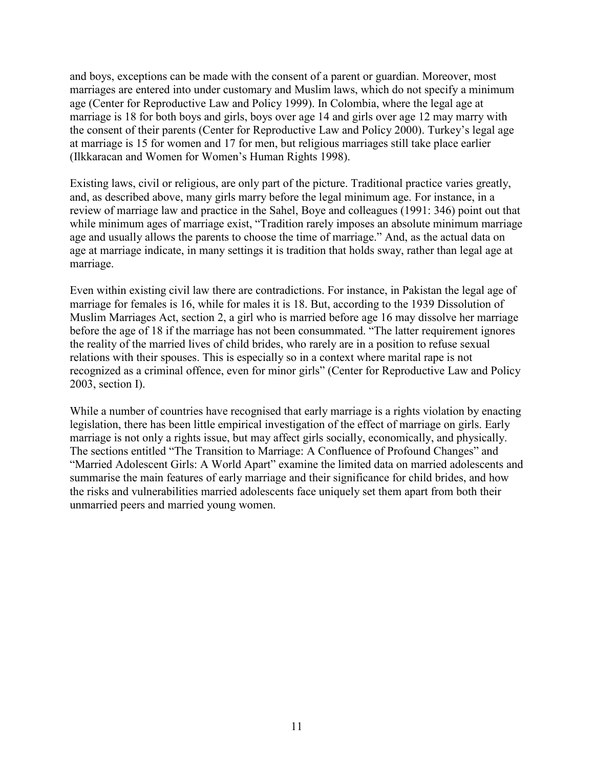and boys, exceptions can be made with the consent of a parent or guardian. Moreover, most marriages are entered into under customary and Muslim laws, which do not specify a minimum age (Center for Reproductive Law and Policy 1999). In Colombia, where the legal age at marriage is 18 for both boys and girls, boys over age 14 and girls over age 12 may marry with the consent of their parents (Center for Reproductive Law and Policy 2000). Turkey's legal age at marriage is 15 for women and 17 for men, but religious marriages still take place earlier (Ilkkaracan and Women for Women's Human Rights 1998).

Existing laws, civil or religious, are only part of the picture. Traditional practice varies greatly, and, as described above, many girls marry before the legal minimum age. For instance, in a review of marriage law and practice in the Sahel, Boye and colleagues (1991: 346) point out that while minimum ages of marriage exist, "Tradition rarely imposes an absolute minimum marriage age and usually allows the parents to choose the time of marriage." And, as the actual data on age at marriage indicate, in many settings it is tradition that holds sway, rather than legal age at marriage.

Even within existing civil law there are contradictions. For instance, in Pakistan the legal age of marriage for females is 16, while for males it is 18. But, according to the 1939 Dissolution of Muslim Marriages Act, section 2, a girl who is married before age 16 may dissolve her marriage before the age of 18 if the marriage has not been consummated. "The latter requirement ignores the reality of the married lives of child brides, who rarely are in a position to refuse sexual relations with their spouses. This is especially so in a context where marital rape is not recognized as a criminal offence, even for minor girls" (Center for Reproductive Law and Policy 2003, section I).

While a number of countries have recognised that early marriage is a rights violation by enacting legislation, there has been little empirical investigation of the effect of marriage on girls. Early marriage is not only a rights issue, but may affect girls socially, economically, and physically. The sections entitled "The Transition to Marriage: A Confluence of Profound Changes" and "Married Adolescent Girls: A World Apart" examine the limited data on married adolescents and summarise the main features of early marriage and their significance for child brides, and how the risks and vulnerabilities married adolescents face uniquely set them apart from both their unmarried peers and married young women.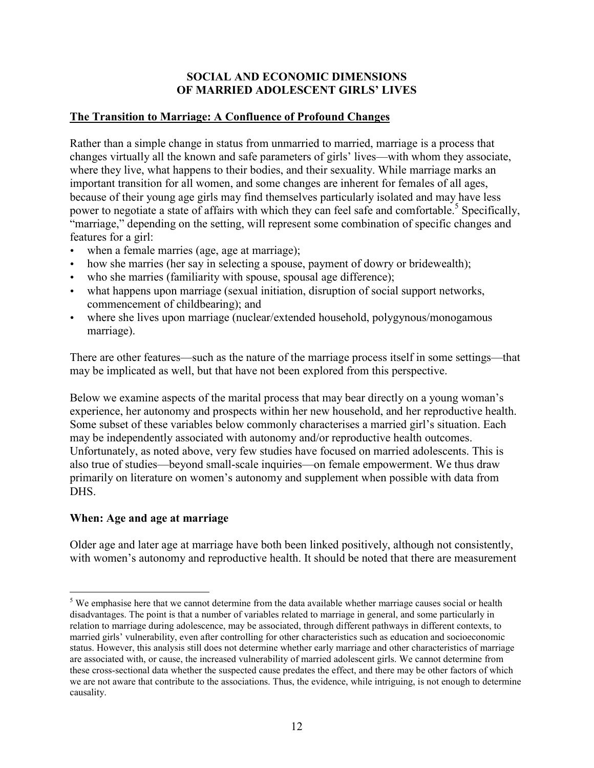# **SOCIAL AND ECONOMIC DIMENSIONS OF MARRIED ADOLESCENT GIRLS' LIVES**

# **The Transition to Marriage: A Confluence of Profound Changes**

Rather than a simple change in status from unmarried to married, marriage is a process that changes virtually all the known and safe parameters of girls' lives—with whom they associate, where they live, what happens to their bodies, and their sexuality. While marriage marks an important transition for all women, and some changes are inherent for females of all ages, because of their young age girls may find themselves particularly isolated and may have less power to negotiate a state of affairs with which they can feel safe and comfortable.<sup>5</sup> Specifically, "marriage," depending on the setting, will represent some combination of specific changes and features for a girl:

- when a female marries (age, age at marriage);
- how she marries (her say in selecting a spouse, payment of dowry or bridewealth);
- who she marries (familiarity with spouse, spousal age difference);
- what happens upon marriage (sexual initiation, disruption of social support networks, commencement of childbearing); and
- where she lives upon marriage (nuclear/extended household, polygynous/monogamous marriage).

There are other features—such as the nature of the marriage process itself in some settings—that may be implicated as well, but that have not been explored from this perspective.

Below we examine aspects of the marital process that may bear directly on a young woman's experience, her autonomy and prospects within her new household, and her reproductive health. Some subset of these variables below commonly characterises a married girl's situation. Each may be independently associated with autonomy and/or reproductive health outcomes. Unfortunately, as noted above, very few studies have focused on married adolescents. This is also true of studies—beyond small-scale inquiries—on female empowerment. We thus draw primarily on literature on women's autonomy and supplement when possible with data from DHS.

# **When: Age and age at marriage**

Older age and later age at marriage have both been linked positively, although not consistently, with women's autonomy and reproductive health. It should be noted that there are measurement

<sup>&</sup>lt;sup>5</sup> We emphasise here that we cannot determine from the data available whether marriage causes social or health disadvantages. The point is that a number of variables related to marriage in general, and some particularly in relation to marriage during adolescence, may be associated, through different pathways in different contexts, to married girls' vulnerability, even after controlling for other characteristics such as education and socioeconomic status. However, this analysis still does not determine whether early marriage and other characteristics of marriage are associated with, or cause, the increased vulnerability of married adolescent girls. We cannot determine from these cross-sectional data whether the suspected cause predates the effect, and there may be other factors of which we are not aware that contribute to the associations. Thus, the evidence, while intriguing, is not enough to determine causality.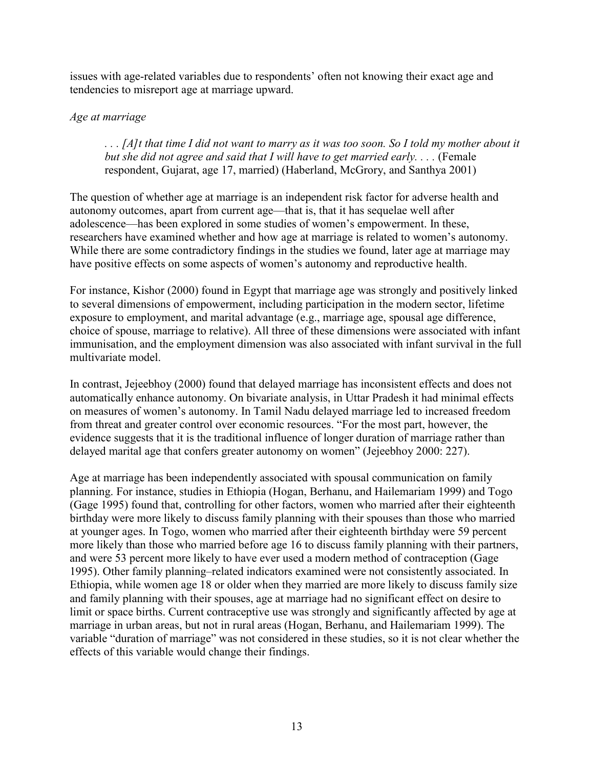issues with age-related variables due to respondents' often not knowing their exact age and tendencies to misreport age at marriage upward.

#### *Age at marriage*

*. . . [A]t that time I did not want to marry as it was too soon. So I told my mother about it but she did not agree and said that I will have to get married early. . . .* (Female respondent, Gujarat, age 17, married) (Haberland, McGrory, and Santhya 2001)

The question of whether age at marriage is an independent risk factor for adverse health and autonomy outcomes, apart from current age—that is, that it has sequelae well after adolescence—has been explored in some studies of women's empowerment. In these, researchers have examined whether and how age at marriage is related to women's autonomy. While there are some contradictory findings in the studies we found, later age at marriage may have positive effects on some aspects of women's autonomy and reproductive health.

For instance, Kishor (2000) found in Egypt that marriage age was strongly and positively linked to several dimensions of empowerment, including participation in the modern sector, lifetime exposure to employment, and marital advantage (e.g., marriage age, spousal age difference, choice of spouse, marriage to relative). All three of these dimensions were associated with infant immunisation, and the employment dimension was also associated with infant survival in the full multivariate model.

In contrast, Jejeebhoy (2000) found that delayed marriage has inconsistent effects and does not automatically enhance autonomy. On bivariate analysis, in Uttar Pradesh it had minimal effects on measures of women's autonomy. In Tamil Nadu delayed marriage led to increased freedom from threat and greater control over economic resources. "For the most part, however, the evidence suggests that it is the traditional influence of longer duration of marriage rather than delayed marital age that confers greater autonomy on women" (Jejeebhoy 2000: 227).

Age at marriage has been independently associated with spousal communication on family planning. For instance, studies in Ethiopia (Hogan, Berhanu, and Hailemariam 1999) and Togo (Gage 1995) found that, controlling for other factors, women who married after their eighteenth birthday were more likely to discuss family planning with their spouses than those who married at younger ages. In Togo, women who married after their eighteenth birthday were 59 percent more likely than those who married before age 16 to discuss family planning with their partners, and were 53 percent more likely to have ever used a modern method of contraception (Gage 1995). Other family planning–related indicators examined were not consistently associated. In Ethiopia, while women age 18 or older when they married are more likely to discuss family size and family planning with their spouses, age at marriage had no significant effect on desire to limit or space births. Current contraceptive use was strongly and significantly affected by age at marriage in urban areas, but not in rural areas (Hogan, Berhanu, and Hailemariam 1999). The variable "duration of marriage" was not considered in these studies, so it is not clear whether the effects of this variable would change their findings.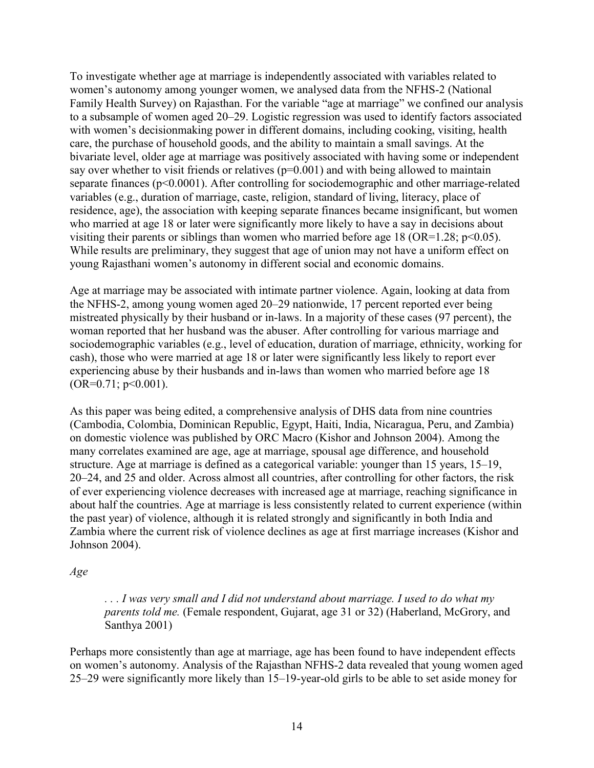To investigate whether age at marriage is independently associated with variables related to women's autonomy among younger women, we analysed data from the NFHS-2 (National Family Health Survey) on Rajasthan. For the variable "age at marriage" we confined our analysis to a subsample of women aged 20–29. Logistic regression was used to identify factors associated with women's decisionmaking power in different domains, including cooking, visiting, health care, the purchase of household goods, and the ability to maintain a small savings. At the bivariate level, older age at marriage was positively associated with having some or independent say over whether to visit friends or relatives  $(p=0.001)$  and with being allowed to maintain separate finances (p<0.0001). After controlling for sociodemographic and other marriage-related variables (e.g., duration of marriage, caste, religion, standard of living, literacy, place of residence, age), the association with keeping separate finances became insignificant, but women who married at age 18 or later were significantly more likely to have a say in decisions about visiting their parents or siblings than women who married before age 18 (OR=1.28;  $p<0.05$ ). While results are preliminary, they suggest that age of union may not have a uniform effect on young Rajasthani women's autonomy in different social and economic domains.

Age at marriage may be associated with intimate partner violence. Again, looking at data from the NFHS-2, among young women aged 20–29 nationwide, 17 percent reported ever being mistreated physically by their husband or in-laws. In a majority of these cases (97 percent), the woman reported that her husband was the abuser. After controlling for various marriage and sociodemographic variables (e.g., level of education, duration of marriage, ethnicity, working for cash), those who were married at age 18 or later were significantly less likely to report ever experiencing abuse by their husbands and in-laws than women who married before age 18  $(OR=0.71; p<0.001)$ .

As this paper was being edited, a comprehensive analysis of DHS data from nine countries (Cambodia, Colombia, Dominican Republic, Egypt, Haiti, India, Nicaragua, Peru, and Zambia) on domestic violence was published by ORC Macro (Kishor and Johnson 2004). Among the many correlates examined are age, age at marriage, spousal age difference, and household structure. Age at marriage is defined as a categorical variable: younger than 15 years, 15–19, 20–24, and 25 and older. Across almost all countries, after controlling for other factors, the risk of ever experiencing violence decreases with increased age at marriage, reaching significance in about half the countries. Age at marriage is less consistently related to current experience (within the past year) of violence, although it is related strongly and significantly in both India and Zambia where the current risk of violence declines as age at first marriage increases (Kishor and Johnson 2004).

# *Age*

*. . . I was very small and I did not understand about marriage. I used to do what my parents told me.* (Female respondent, Gujarat, age 31 or 32) (Haberland, McGrory, and Santhya 2001)

Perhaps more consistently than age at marriage, age has been found to have independent effects on women's autonomy. Analysis of the Rajasthan NFHS-2 data revealed that young women aged 25–29 were significantly more likely than 15–19-year-old girls to be able to set aside money for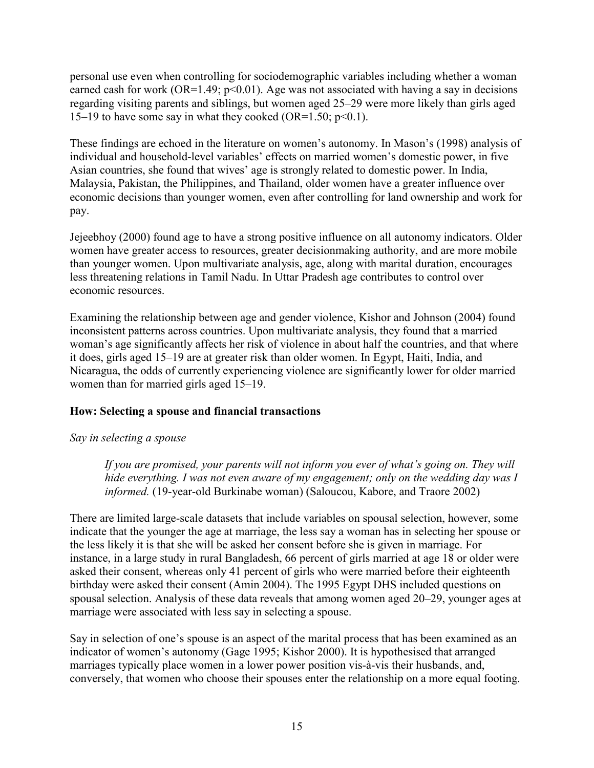personal use even when controlling for sociodemographic variables including whether a woman earned cash for work (OR=1.49;  $p<0.01$ ). Age was not associated with having a say in decisions regarding visiting parents and siblings, but women aged 25–29 were more likely than girls aged 15–19 to have some say in what they cooked (OR=1.50;  $p<0.1$ ).

These findings are echoed in the literature on women's autonomy. In Mason's (1998) analysis of individual and household-level variables' effects on married women's domestic power, in five Asian countries, she found that wives' age is strongly related to domestic power. In India, Malaysia, Pakistan, the Philippines, and Thailand, older women have a greater influence over economic decisions than younger women, even after controlling for land ownership and work for pay.

Jejeebhoy (2000) found age to have a strong positive influence on all autonomy indicators. Older women have greater access to resources, greater decisionmaking authority, and are more mobile than younger women. Upon multivariate analysis, age, along with marital duration, encourages less threatening relations in Tamil Nadu. In Uttar Pradesh age contributes to control over economic resources.

Examining the relationship between age and gender violence, Kishor and Johnson (2004) found inconsistent patterns across countries. Upon multivariate analysis, they found that a married woman's age significantly affects her risk of violence in about half the countries, and that where it does, girls aged 15–19 are at greater risk than older women. In Egypt, Haiti, India, and Nicaragua, the odds of currently experiencing violence are significantly lower for older married women than for married girls aged 15–19.

# **How: Selecting a spouse and financial transactions**

# *Say in selecting a spouse*

*If you are promised, your parents will not inform you ever of what's going on. They will hide everything. I was not even aware of my engagement; only on the wedding day was I informed.* (19-year-old Burkinabe woman) (Saloucou, Kabore, and Traore 2002)

There are limited large-scale datasets that include variables on spousal selection, however, some indicate that the younger the age at marriage, the less say a woman has in selecting her spouse or the less likely it is that she will be asked her consent before she is given in marriage. For instance, in a large study in rural Bangladesh, 66 percent of girls married at age 18 or older were asked their consent, whereas only 41 percent of girls who were married before their eighteenth birthday were asked their consent (Amin 2004). The 1995 Egypt DHS included questions on spousal selection. Analysis of these data reveals that among women aged 20–29, younger ages at marriage were associated with less say in selecting a spouse.

Say in selection of one's spouse is an aspect of the marital process that has been examined as an indicator of women's autonomy (Gage 1995; Kishor 2000). It is hypothesised that arranged marriages typically place women in a lower power position vis-à-vis their husbands, and, conversely, that women who choose their spouses enter the relationship on a more equal footing.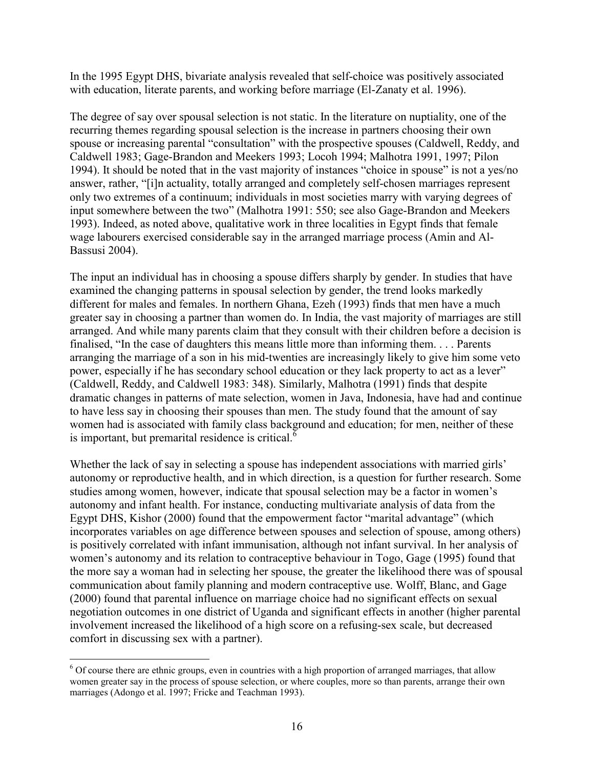In the 1995 Egypt DHS, bivariate analysis revealed that self-choice was positively associated with education, literate parents, and working before marriage (El-Zanaty et al. 1996).

The degree of say over spousal selection is not static. In the literature on nuptiality, one of the recurring themes regarding spousal selection is the increase in partners choosing their own spouse or increasing parental "consultation" with the prospective spouses (Caldwell, Reddy, and Caldwell 1983; Gage-Brandon and Meekers 1993; Locoh 1994; Malhotra 1991, 1997; Pilon 1994). It should be noted that in the vast majority of instances "choice in spouse" is not a yes/no answer, rather, "[i]n actuality, totally arranged and completely self-chosen marriages represent only two extremes of a continuum; individuals in most societies marry with varying degrees of input somewhere between the two" (Malhotra 1991: 550; see also Gage-Brandon and Meekers 1993). Indeed, as noted above, qualitative work in three localities in Egypt finds that female wage labourers exercised considerable say in the arranged marriage process (Amin and Al-Bassusi 2004).

The input an individual has in choosing a spouse differs sharply by gender. In studies that have examined the changing patterns in spousal selection by gender, the trend looks markedly different for males and females. In northern Ghana, Ezeh (1993) finds that men have a much greater say in choosing a partner than women do. In India, the vast majority of marriages are still arranged. And while many parents claim that they consult with their children before a decision is finalised, "In the case of daughters this means little more than informing them. . . . Parents arranging the marriage of a son in his mid-twenties are increasingly likely to give him some veto power, especially if he has secondary school education or they lack property to act as a lever" (Caldwell, Reddy, and Caldwell 1983: 348). Similarly, Malhotra (1991) finds that despite dramatic changes in patterns of mate selection, women in Java, Indonesia, have had and continue to have less say in choosing their spouses than men. The study found that the amount of say women had is associated with family class background and education; for men, neither of these is important, but premarital residence is critical.<sup>6</sup>

Whether the lack of say in selecting a spouse has independent associations with married girls' autonomy or reproductive health, and in which direction, is a question for further research. Some studies among women, however, indicate that spousal selection may be a factor in women's autonomy and infant health. For instance, conducting multivariate analysis of data from the Egypt DHS, Kishor (2000) found that the empowerment factor "marital advantage" (which incorporates variables on age difference between spouses and selection of spouse, among others) is positively correlated with infant immunisation, although not infant survival. In her analysis of women's autonomy and its relation to contraceptive behaviour in Togo, Gage (1995) found that the more say a woman had in selecting her spouse, the greater the likelihood there was of spousal communication about family planning and modern contraceptive use. Wolff, Blanc, and Gage (2000) found that parental influence on marriage choice had no significant effects on sexual negotiation outcomes in one district of Uganda and significant effects in another (higher parental involvement increased the likelihood of a high score on a refusing-sex scale, but decreased comfort in discussing sex with a partner).

<sup>6</sup> Of course there are ethnic groups, even in countries with a high proportion of arranged marriages, that allow women greater say in the process of spouse selection, or where couples, more so than parents, arrange their own marriages (Adongo et al. 1997; Fricke and Teachman 1993).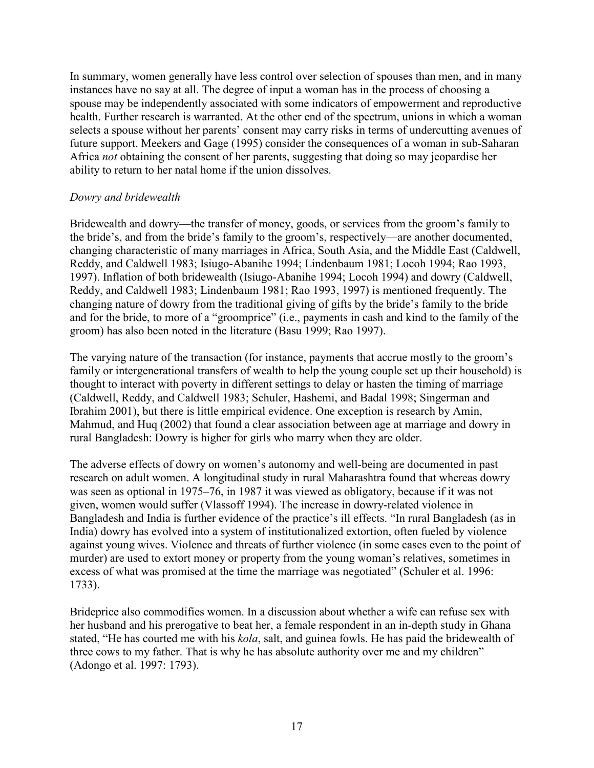In summary, women generally have less control over selection of spouses than men, and in many instances have no say at all. The degree of input a woman has in the process of choosing a spouse may be independently associated with some indicators of empowerment and reproductive health. Further research is warranted. At the other end of the spectrum, unions in which a woman selects a spouse without her parents' consent may carry risks in terms of undercutting avenues of future support. Meekers and Gage (1995) consider the consequences of a woman in sub-Saharan Africa *not* obtaining the consent of her parents, suggesting that doing so may jeopardise her ability to return to her natal home if the union dissolves.

### *Dowry and bridewealth*

Bridewealth and dowry—the transfer of money, goods, or services from the groom's family to the bride's, and from the bride's family to the groom's, respectively—are another documented, changing characteristic of many marriages in Africa, South Asia, and the Middle East (Caldwell, Reddy, and Caldwell 1983; Isiugo-Abanihe 1994; Lindenbaum 1981; Locoh 1994; Rao 1993, 1997). Inflation of both bridewealth (Isiugo-Abanihe 1994; Locoh 1994) and dowry (Caldwell, Reddy, and Caldwell 1983; Lindenbaum 1981; Rao 1993, 1997) is mentioned frequently. The changing nature of dowry from the traditional giving of gifts by the bride's family to the bride and for the bride, to more of a "groomprice" (i.e., payments in cash and kind to the family of the groom) has also been noted in the literature (Basu 1999; Rao 1997).

The varying nature of the transaction (for instance, payments that accrue mostly to the groom's family or intergenerational transfers of wealth to help the young couple set up their household) is thought to interact with poverty in different settings to delay or hasten the timing of marriage (Caldwell, Reddy, and Caldwell 1983; Schuler, Hashemi, and Badal 1998; Singerman and Ibrahim 2001), but there is little empirical evidence. One exception is research by Amin, Mahmud, and Huq (2002) that found a clear association between age at marriage and dowry in rural Bangladesh: Dowry is higher for girls who marry when they are older.

The adverse effects of dowry on women's autonomy and well-being are documented in past research on adult women. A longitudinal study in rural Maharashtra found that whereas dowry was seen as optional in 1975–76, in 1987 it was viewed as obligatory, because if it was not given, women would suffer (Vlassoff 1994). The increase in dowry-related violence in Bangladesh and India is further evidence of the practice's ill effects. "In rural Bangladesh (as in India) dowry has evolved into a system of institutionalized extortion, often fueled by violence against young wives. Violence and threats of further violence (in some cases even to the point of murder) are used to extort money or property from the young woman's relatives, sometimes in excess of what was promised at the time the marriage was negotiated" (Schuler et al. 1996: 1733).

Brideprice also commodifies women. In a discussion about whether a wife can refuse sex with her husband and his prerogative to beat her, a female respondent in an in-depth study in Ghana stated, "He has courted me with his *kola*, salt, and guinea fowls. He has paid the bridewealth of three cows to my father. That is why he has absolute authority over me and my children" (Adongo et al. 1997: 1793).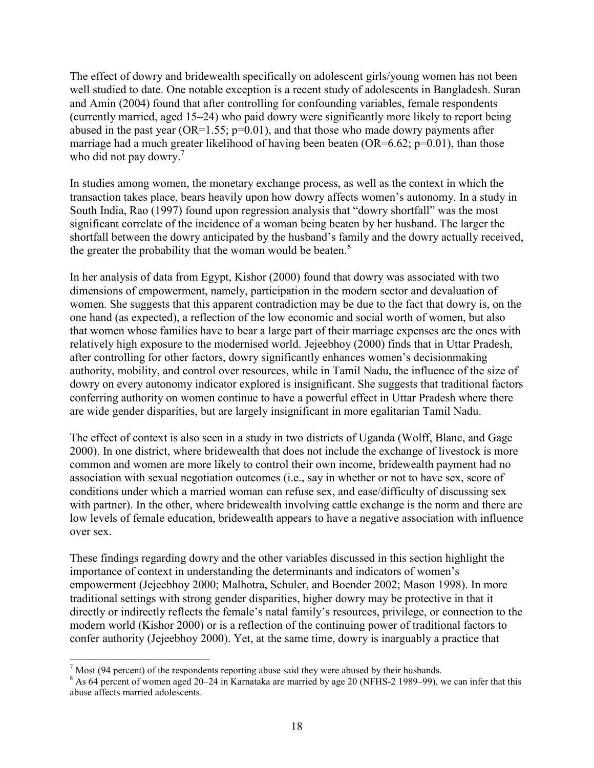The effect of dowry and bridewealth specifically on adolescent girls/young women has not been well studied to date. One notable exception is a recent study of adolescents in Bangladesh. Suran and Amin (2004) found that after controlling for confounding variables, female respondents (currently married, aged 15–24) who paid dowry were significantly more likely to report being abused in the past year ( $OR=1.55$ ;  $p=0.01$ ), and that those who made dowry payments after marriage had a much greater likelihood of having been beaten (OR= $6.62$ ; p= $0.01$ ), than those who did not pay dowry.<sup>7</sup>

In studies among women, the monetary exchange process, as well as the context in which the transaction takes place, bears heavily upon how dowry affects women's autonomy. In a study in South India, Rao (1997) found upon regression analysis that "dowry shortfall" was the most significant correlate of the incidence of a woman being beaten by her husband. The larger the shortfall between the dowry anticipated by the husband's family and the dowry actually received, the greater the probability that the woman would be beaten.<sup>8</sup>

In her analysis of data from Egypt, Kishor (2000) found that dowry was associated with two dimensions of empowerment, namely, participation in the modern sector and devaluation of women. She suggests that this apparent contradiction may be due to the fact that dowry is, on the one hand (as expected), a reflection of the low economic and social worth of women, but also that women whose families have to bear a large part of their marriage expenses are the ones with relatively high exposure to the modernised world. Jejeebhoy (2000) finds that in Uttar Pradesh, after controlling for other factors, dowry significantly enhances women's decisionmaking authority, mobility, and control over resources, while in Tamil Nadu, the influence of the size of dowry on every autonomy indicator explored is insignificant. She suggests that traditional factors conferring authority on women continue to have a powerful effect in Uttar Pradesh where there are wide gender disparities, but are largely insignificant in more egalitarian Tamil Nadu.

The effect of context is also seen in a study in two districts of Uganda (Wolff, Blanc, and Gage 2000). In one district, where bridewealth that does not include the exchange of livestock is more common and women are more likely to control their own income, bridewealth payment had no association with sexual negotiation outcomes (i.e., say in whether or not to have sex, score of conditions under which a married woman can refuse sex, and ease/difficulty of discussing sex with partner). In the other, where bridewealth involving cattle exchange is the norm and there are low levels of female education, bridewealth appears to have a negative association with influence over sex.

These findings regarding dowry and the other variables discussed in this section highlight the importance of context in understanding the determinants and indicators of women's empowerment (Jejeebhoy 2000; Malhotra, Schuler, and Boender 2002; Mason 1998). In more traditional settings with strong gender disparities, higher dowry may be protective in that it directly or indirectly reflects the female's natal family's resources, privilege, or connection to the modern world (Kishor 2000) or is a reflection of the continuing power of traditional factors to confer authority (Jejeebhoy 2000). Yet, at the same time, dowry is inarguably a practice that

 $<sup>7</sup>$  Most (94 percent) of the respondents reporting abuse said they were abused by their husbands.</sup>

<sup>&</sup>lt;sup>8</sup> As 64 percent of women aged 20–24 in Karnataka are married by age 20 (NFHS-2 1989–99), we can infer that this abuse affects married adolescents.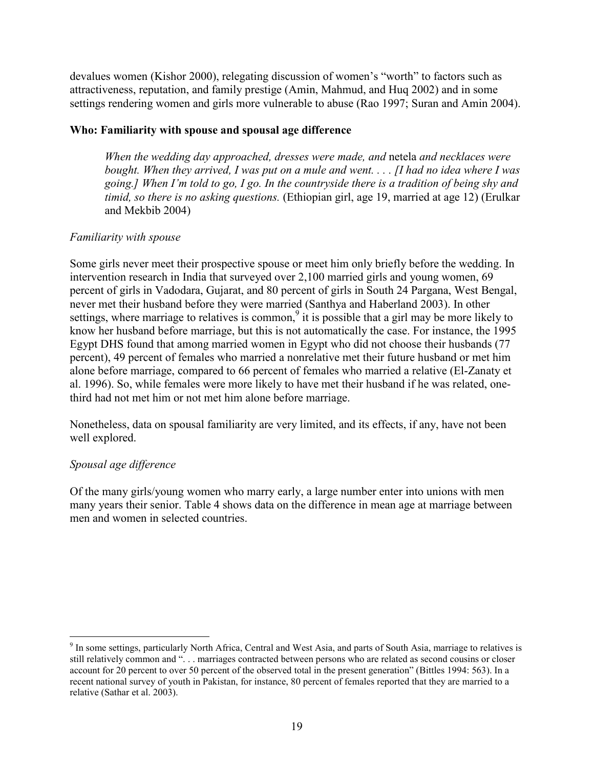devalues women (Kishor 2000), relegating discussion of women's "worth" to factors such as attractiveness, reputation, and family prestige (Amin, Mahmud, and Huq 2002) and in some settings rendering women and girls more vulnerable to abuse (Rao 1997; Suran and Amin 2004).

### **Who: Familiarity with spouse and spousal age difference**

*When the wedding day approached, dresses were made, and* netela *and necklaces were bought. When they arrived, I was put on a mule and went. . . . [I had no idea where I was going.] When I'm told to go, I go. In the countryside there is a tradition of being shy and timid, so there is no asking questions.* (Ethiopian girl, age 19, married at age 12) (Erulkar and Mekbib 2004)

### *Familiarity with spouse*

Some girls never meet their prospective spouse or meet him only briefly before the wedding. In intervention research in India that surveyed over 2,100 married girls and young women, 69 percent of girls in Vadodara, Gujarat, and 80 percent of girls in South 24 Pargana, West Bengal, never met their husband before they were married (Santhya and Haberland 2003). In other settings, where marriage to relatives is common,<sup>9</sup> it is possible that a girl may be more likely to know her husband before marriage, but this is not automatically the case. For instance, the 1995 Egypt DHS found that among married women in Egypt who did not choose their husbands (77 percent), 49 percent of females who married a nonrelative met their future husband or met him alone before marriage, compared to 66 percent of females who married a relative (El-Zanaty et al. 1996). So, while females were more likely to have met their husband if he was related, onethird had not met him or not met him alone before marriage.

Nonetheless, data on spousal familiarity are very limited, and its effects, if any, have not been well explored.

# *Spousal age difference*

Of the many girls/young women who marry early, a large number enter into unions with men many years their senior. Table 4 shows data on the difference in mean age at marriage between men and women in selected countries.

<sup>9</sup> In some settings, particularly North Africa, Central and West Asia, and parts of South Asia, marriage to relatives is still relatively common and ". . . marriages contracted between persons who are related as second cousins or closer account for 20 percent to over 50 percent of the observed total in the present generation" (Bittles 1994: 563). In a recent national survey of youth in Pakistan, for instance, 80 percent of females reported that they are married to a relative (Sathar et al. 2003).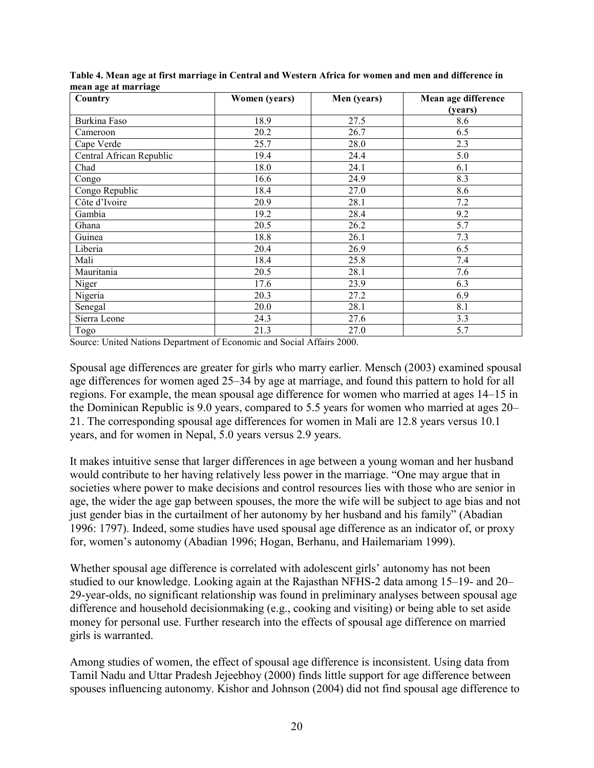| <sub></sub> . <sub>.</sub> .<br>Country | Women (years) | Men (years) | Mean age difference |
|-----------------------------------------|---------------|-------------|---------------------|
| Burkina Faso                            | 18.9          | 27.5        | (years)<br>8.6      |
|                                         |               |             |                     |
| Cameroon                                | 20.2          | 26.7        | 6.5                 |
| Cape Verde                              | 25.7          | 28.0        | 2.3                 |
| Central African Republic                | 19.4          | 24.4        | 5.0                 |
| Chad                                    | 18.0          | 24.1        | 6.1                 |
| Congo                                   | 16.6          | 24.9        | 8.3                 |
| Congo Republic                          | 18.4          | 27.0        | 8.6                 |
| Côte d'Ivoire                           | 20.9          | 28.1        | 7.2                 |
| Gambia                                  | 19.2          | 28.4        | 9.2                 |
| Ghana                                   | 20.5          | 26.2        | 5.7                 |
| Guinea                                  | 18.8          | 26.1        | 7.3                 |
| Liberia                                 | 20.4          | 26.9        | 6.5                 |
| Mali                                    | 18.4          | 25.8        | 7.4                 |
| Mauritania                              | 20.5          | 28.1        | 7.6                 |
| Niger                                   | 17.6          | 23.9        | 6.3                 |
| Nigeria                                 | 20.3          | 27.2        | 6.9                 |
| Senegal                                 | 20.0          | 28.1        | 8.1                 |
| Sierra Leone                            | 24.3          | 27.6        | 3.3                 |
| Togo                                    | 21.3          | 27.0        | 5.7                 |

**Table 4. Mean age at first marriage in Central and Western Africa for women and men and difference in mean age at marriage** 

Source: United Nations Department of Economic and Social Affairs 2000.

Spousal age differences are greater for girls who marry earlier. Mensch (2003) examined spousal age differences for women aged 25–34 by age at marriage, and found this pattern to hold for all regions. For example, the mean spousal age difference for women who married at ages 14–15 in the Dominican Republic is 9.0 years, compared to 5.5 years for women who married at ages 20– 21. The corresponding spousal age differences for women in Mali are 12.8 years versus 10.1 years, and for women in Nepal, 5.0 years versus 2.9 years.

It makes intuitive sense that larger differences in age between a young woman and her husband would contribute to her having relatively less power in the marriage. "One may argue that in societies where power to make decisions and control resources lies with those who are senior in age, the wider the age gap between spouses, the more the wife will be subject to age bias and not just gender bias in the curtailment of her autonomy by her husband and his family" (Abadian 1996: 1797). Indeed, some studies have used spousal age difference as an indicator of, or proxy for, women's autonomy (Abadian 1996; Hogan, Berhanu, and Hailemariam 1999).

Whether spousal age difference is correlated with adolescent girls' autonomy has not been studied to our knowledge. Looking again at the Rajasthan NFHS-2 data among 15–19- and 20– 29-year-olds, no significant relationship was found in preliminary analyses between spousal age difference and household decisionmaking (e.g., cooking and visiting) or being able to set aside money for personal use. Further research into the effects of spousal age difference on married girls is warranted.

Among studies of women, the effect of spousal age difference is inconsistent. Using data from Tamil Nadu and Uttar Pradesh Jejeebhoy (2000) finds little support for age difference between spouses influencing autonomy. Kishor and Johnson (2004) did not find spousal age difference to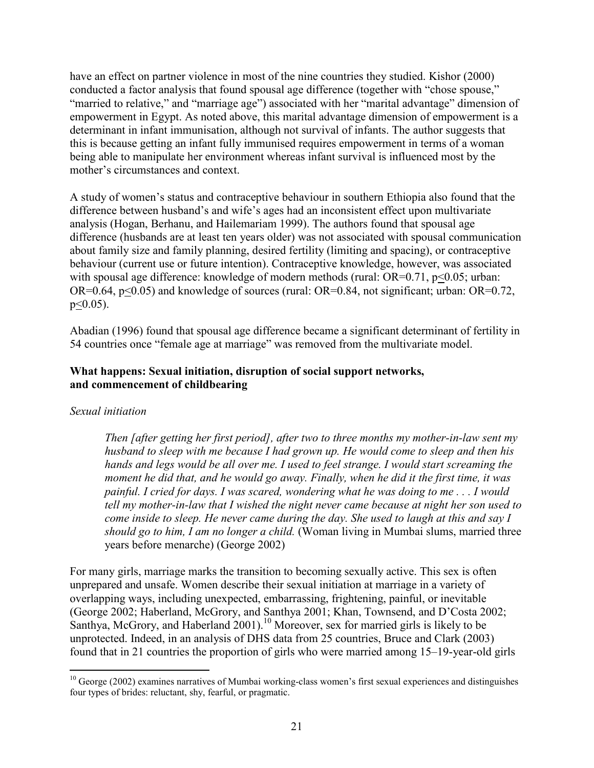have an effect on partner violence in most of the nine countries they studied. Kishor (2000) conducted a factor analysis that found spousal age difference (together with "chose spouse," "married to relative," and "marriage age") associated with her "marital advantage" dimension of empowerment in Egypt. As noted above, this marital advantage dimension of empowerment is a determinant in infant immunisation, although not survival of infants. The author suggests that this is because getting an infant fully immunised requires empowerment in terms of a woman being able to manipulate her environment whereas infant survival is influenced most by the mother's circumstances and context.

A study of women's status and contraceptive behaviour in southern Ethiopia also found that the difference between husband's and wife's ages had an inconsistent effect upon multivariate analysis (Hogan, Berhanu, and Hailemariam 1999). The authors found that spousal age difference (husbands are at least ten years older) was not associated with spousal communication about family size and family planning, desired fertility (limiting and spacing), or contraceptive behaviour (current use or future intention). Contraceptive knowledge, however, was associated with spousal age difference: knowledge of modern methods (rural:  $OR=0.71$ ,  $p<0.05$ ; urban: OR=0.64, p<0.05) and knowledge of sources (rural: OR=0.84, not significant; urban: OR=0.72, p<0.05).

Abadian (1996) found that spousal age difference became a significant determinant of fertility in 54 countries once "female age at marriage" was removed from the multivariate model.

## **What happens: Sexual initiation, disruption of social support networks, and commencement of childbearing**

# *Sexual initiation*

*Then [after getting her first period], after two to three months my mother-in-law sent my husband to sleep with me because I had grown up. He would come to sleep and then his hands and legs would be all over me. I used to feel strange. I would start screaming the moment he did that, and he would go away. Finally, when he did it the first time, it was painful. I cried for days. I was scared, wondering what he was doing to me . . . I would tell my mother-in-law that I wished the night never came because at night her son used to come inside to sleep. He never came during the day. She used to laugh at this and say I should go to him, I am no longer a child.* (Woman living in Mumbai slums, married three years before menarche) (George 2002)

For many girls, marriage marks the transition to becoming sexually active. This sex is often unprepared and unsafe. Women describe their sexual initiation at marriage in a variety of overlapping ways, including unexpected, embarrassing, frightening, painful, or inevitable (George 2002; Haberland, McGrory, and Santhya 2001; Khan, Townsend, and D'Costa 2002; Santhya, McGrory, and Haberland  $2001$ .<sup>10</sup> Moreover, sex for married girls is likely to be unprotected. Indeed, in an analysis of DHS data from 25 countries, Bruce and Clark (2003) found that in 21 countries the proportion of girls who were married among 15–19-year-old girls

<sup>&</sup>lt;sup>10</sup> George (2002) examines narratives of Mumbai working-class women's first sexual experiences and distinguishes four types of brides: reluctant, shy, fearful, or pragmatic.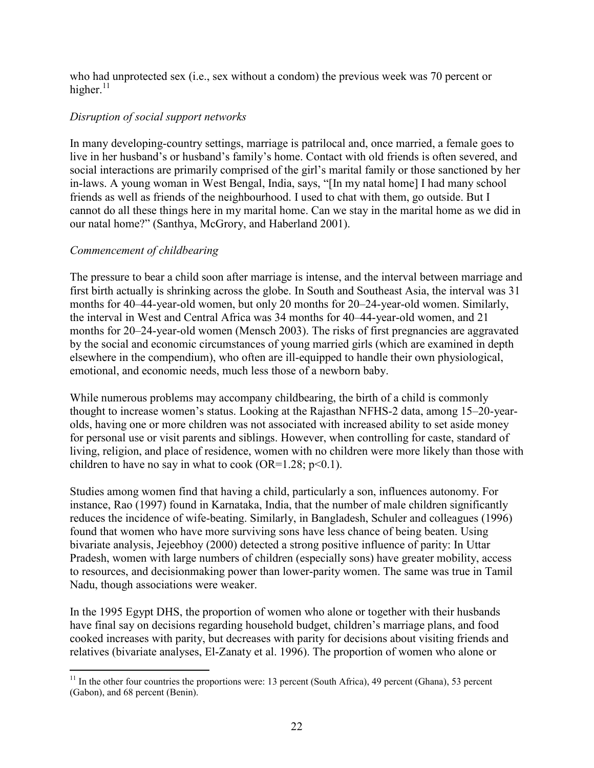who had unprotected sex (i.e., sex without a condom) the previous week was 70 percent or higher. $11$ 

# *Disruption of social support networks*

In many developing-country settings, marriage is patrilocal and, once married, a female goes to live in her husband's or husband's family's home. Contact with old friends is often severed, and social interactions are primarily comprised of the girl's marital family or those sanctioned by her in-laws. A young woman in West Bengal, India, says, "[In my natal home] I had many school friends as well as friends of the neighbourhood. I used to chat with them, go outside. But I cannot do all these things here in my marital home. Can we stay in the marital home as we did in our natal home?" (Santhya, McGrory, and Haberland 2001).

# *Commencement of childbearing*

The pressure to bear a child soon after marriage is intense, and the interval between marriage and first birth actually is shrinking across the globe. In South and Southeast Asia, the interval was 31 months for 40–44-year-old women, but only 20 months for 20–24-year-old women. Similarly, the interval in West and Central Africa was 34 months for 40–44-year-old women, and 21 months for 20–24-year-old women (Mensch 2003). The risks of first pregnancies are aggravated by the social and economic circumstances of young married girls (which are examined in depth elsewhere in the compendium), who often are ill-equipped to handle their own physiological, emotional, and economic needs, much less those of a newborn baby.

While numerous problems may accompany childbearing, the birth of a child is commonly thought to increase women's status. Looking at the Rajasthan NFHS-2 data, among 15–20-yearolds, having one or more children was not associated with increased ability to set aside money for personal use or visit parents and siblings. However, when controlling for caste, standard of living, religion, and place of residence, women with no children were more likely than those with children to have no say in what to cook (OR=1.28;  $p<0.1$ ).

Studies among women find that having a child, particularly a son, influences autonomy. For instance, Rao (1997) found in Karnataka, India, that the number of male children significantly reduces the incidence of wife-beating. Similarly, in Bangladesh, Schuler and colleagues (1996) found that women who have more surviving sons have less chance of being beaten. Using bivariate analysis, Jejeebhoy (2000) detected a strong positive influence of parity: In Uttar Pradesh, women with large numbers of children (especially sons) have greater mobility, access to resources, and decisionmaking power than lower-parity women. The same was true in Tamil Nadu, though associations were weaker.

In the 1995 Egypt DHS, the proportion of women who alone or together with their husbands have final say on decisions regarding household budget, children's marriage plans, and food cooked increases with parity, but decreases with parity for decisions about visiting friends and relatives (bivariate analyses, El-Zanaty et al. 1996). The proportion of women who alone or

 $11$  In the other four countries the proportions were: 13 percent (South Africa), 49 percent (Ghana), 53 percent (Gabon), and 68 percent (Benin).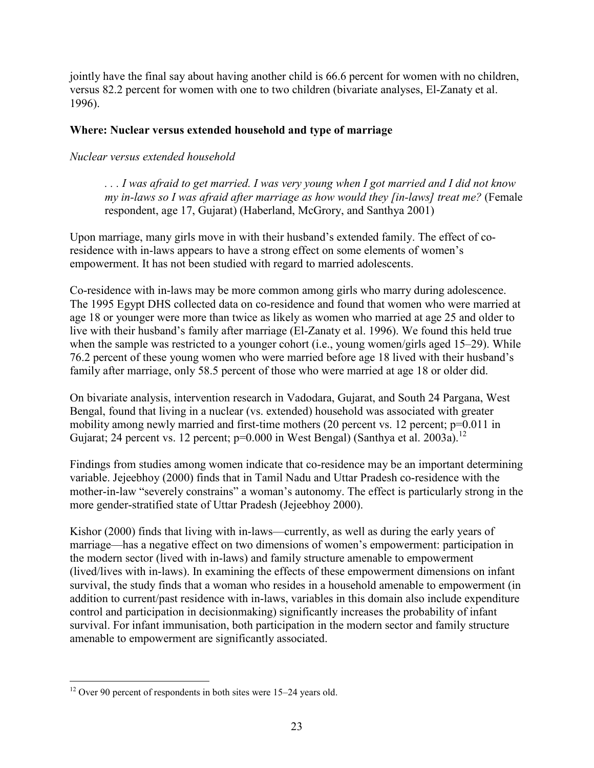jointly have the final say about having another child is 66.6 percent for women with no children, versus 82.2 percent for women with one to two children (bivariate analyses, El-Zanaty et al. 1996).

# **Where: Nuclear versus extended household and type of marriage**

# *Nuclear versus extended household*

*. . . I was afraid to get married. I was very young when I got married and I did not know my in-laws so I was afraid after marriage as how would they [in-laws] treat me?* (Female respondent, age 17, Gujarat) (Haberland, McGrory, and Santhya 2001)

Upon marriage, many girls move in with their husband's extended family. The effect of coresidence with in-laws appears to have a strong effect on some elements of women's empowerment. It has not been studied with regard to married adolescents.

Co-residence with in-laws may be more common among girls who marry during adolescence. The 1995 Egypt DHS collected data on co-residence and found that women who were married at age 18 or younger were more than twice as likely as women who married at age 25 and older to live with their husband's family after marriage (El-Zanaty et al. 1996). We found this held true when the sample was restricted to a younger cohort (i.e., young women/girls aged 15–29). While 76.2 percent of these young women who were married before age 18 lived with their husband's family after marriage, only 58.5 percent of those who were married at age 18 or older did.

On bivariate analysis, intervention research in Vadodara, Gujarat, and South 24 Pargana, West Bengal, found that living in a nuclear (vs. extended) household was associated with greater mobility among newly married and first-time mothers (20 percent vs. 12 percent; p=0.011 in Gujarat; 24 percent vs. 12 percent;  $p=0.000$  in West Bengal) (Santhya et al. 2003a).<sup>12</sup>

Findings from studies among women indicate that co-residence may be an important determining variable. Jejeebhoy (2000) finds that in Tamil Nadu and Uttar Pradesh co-residence with the mother-in-law "severely constrains" a woman's autonomy. The effect is particularly strong in the more gender-stratified state of Uttar Pradesh (Jejeebhoy 2000).

Kishor (2000) finds that living with in-laws—currently, as well as during the early years of marriage—has a negative effect on two dimensions of women's empowerment: participation in the modern sector (lived with in-laws) and family structure amenable to empowerment (lived/lives with in-laws). In examining the effects of these empowerment dimensions on infant survival, the study finds that a woman who resides in a household amenable to empowerment (in addition to current/past residence with in-laws, variables in this domain also include expenditure control and participation in decisionmaking) significantly increases the probability of infant survival. For infant immunisation, both participation in the modern sector and family structure amenable to empowerment are significantly associated.

 $12$  Over 90 percent of respondents in both sites were 15–24 years old.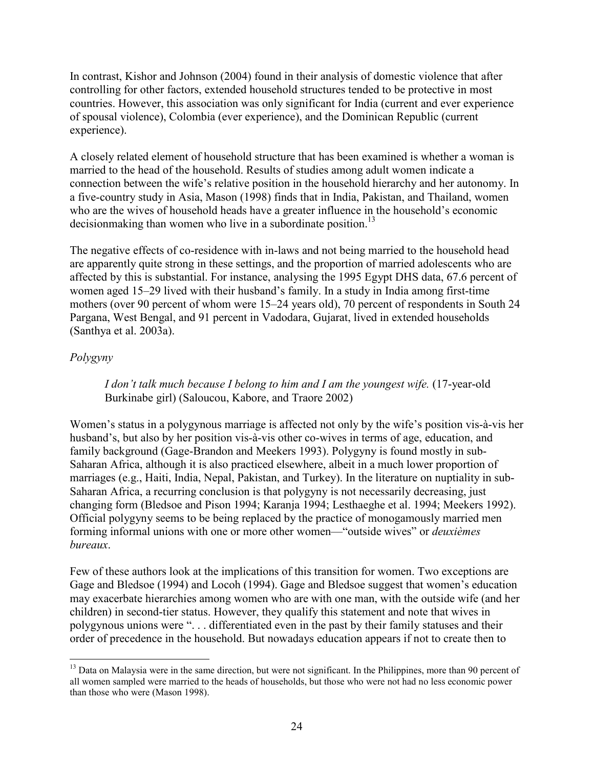In contrast, Kishor and Johnson (2004) found in their analysis of domestic violence that after controlling for other factors, extended household structures tended to be protective in most countries. However, this association was only significant for India (current and ever experience of spousal violence), Colombia (ever experience), and the Dominican Republic (current experience).

A closely related element of household structure that has been examined is whether a woman is married to the head of the household. Results of studies among adult women indicate a connection between the wife's relative position in the household hierarchy and her autonomy. In a five-country study in Asia, Mason (1998) finds that in India, Pakistan, and Thailand, women who are the wives of household heads have a greater influence in the household's economic decision making than women who live in a subordinate position.<sup>13</sup>

The negative effects of co-residence with in-laws and not being married to the household head are apparently quite strong in these settings, and the proportion of married adolescents who are affected by this is substantial. For instance, analysing the 1995 Egypt DHS data, 67.6 percent of women aged 15–29 lived with their husband's family. In a study in India among first-time mothers (over 90 percent of whom were 15–24 years old), 70 percent of respondents in South 24 Pargana, West Bengal, and 91 percent in Vadodara, Gujarat, lived in extended households (Santhya et al. 2003a).

# *Polygyny*

*I don't talk much because I belong to him and I am the youngest wife.* (17-year-old Burkinabe girl) (Saloucou, Kabore, and Traore 2002)

Women's status in a polygynous marriage is affected not only by the wife's position vis-à-vis her husband's, but also by her position vis-à-vis other co-wives in terms of age, education, and family background (Gage-Brandon and Meekers 1993). Polygyny is found mostly in sub-Saharan Africa, although it is also practiced elsewhere, albeit in a much lower proportion of marriages (e.g., Haiti, India, Nepal, Pakistan, and Turkey). In the literature on nuptiality in sub-Saharan Africa, a recurring conclusion is that polygyny is not necessarily decreasing, just changing form (Bledsoe and Pison 1994; Karanja 1994; Lesthaeghe et al. 1994; Meekers 1992). Official polygyny seems to be being replaced by the practice of monogamously married men forming informal unions with one or more other women—"outside wives" or *deuxièmes bureaux*.

Few of these authors look at the implications of this transition for women. Two exceptions are Gage and Bledsoe (1994) and Locoh (1994). Gage and Bledsoe suggest that women's education may exacerbate hierarchies among women who are with one man, with the outside wife (and her children) in second-tier status. However, they qualify this statement and note that wives in polygynous unions were ". . . differentiated even in the past by their family statuses and their order of precedence in the household. But nowadays education appears if not to create then to

 $<sup>13</sup>$  Data on Malaysia were in the same direction, but were not significant. In the Philippines, more than 90 percent of</sup> all women sampled were married to the heads of households, but those who were not had no less economic power than those who were (Mason 1998).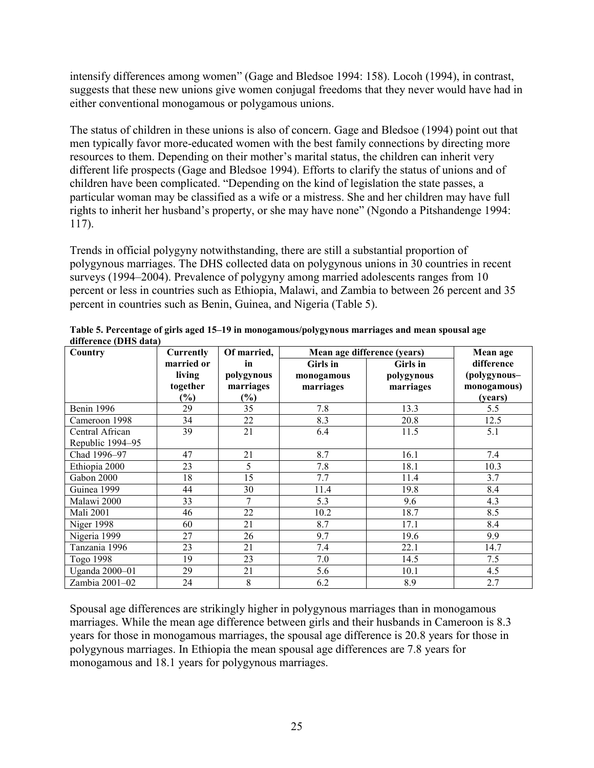intensify differences among women" (Gage and Bledsoe 1994: 158). Locoh (1994), in contrast, suggests that these new unions give women conjugal freedoms that they never would have had in either conventional monogamous or polygamous unions.

The status of children in these unions is also of concern. Gage and Bledsoe (1994) point out that men typically favor more-educated women with the best family connections by directing more resources to them. Depending on their mother's marital status, the children can inherit very different life prospects (Gage and Bledsoe 1994). Efforts to clarify the status of unions and of children have been complicated. "Depending on the kind of legislation the state passes, a particular woman may be classified as a wife or a mistress. She and her children may have full rights to inherit her husband's property, or she may have none" (Ngondo a Pitshandenge 1994: 117).

Trends in official polygyny notwithstanding, there are still a substantial proportion of polygynous marriages. The DHS collected data on polygynous unions in 30 countries in recent surveys (1994–2004). Prevalence of polygyny among married adolescents ranges from 10 percent or less in countries such as Ethiopia, Malawi, and Zambia to between 26 percent and 35 percent in countries such as Benin, Guinea, and Nigeria (Table 5).

| Country          | Currently  | Of married, | Mean age difference (years) |            | Mean age     |
|------------------|------------|-------------|-----------------------------|------------|--------------|
|                  | married or | in          | Girls in                    | Girls in   | difference   |
|                  | living     | polygynous  | monogamous                  | polygynous | (polygynous- |
|                  | together   | marriages   | marriages                   | marriages  | monogamous)  |
|                  | $(\%)$     | $(\%)$      |                             |            | (years)      |
| Benin 1996       | 29         | 35          | 7.8                         | 13.3       | 5.5          |
| Cameroon 1998    | 34         | 22          | 8.3                         | 20.8       | 12.5         |
| Central African  | 39         | 21          | 6.4                         | 11.5       | 5.1          |
| Republic 1994-95 |            |             |                             |            |              |
| Chad 1996-97     | 47         | 21          | 8.7                         | 16.1       | 7.4          |
| Ethiopia 2000    | 23         | 5           | 7.8                         | 18.1       | 10.3         |
| Gabon 2000       | 18         | 15          | 7.7                         | 11.4       | 3.7          |
| Guinea 1999      | 44         | 30          | 11.4                        | 19.8       | 8.4          |
| Malawi 2000      | 33         | 7           | 5.3                         | 9.6        | 4.3          |
| <b>Mali 2001</b> | 46         | 22          | 10.2                        | 18.7       | 8.5          |
| Niger 1998       | 60         | 21          | 8.7                         | 17.1       | 8.4          |
| Nigeria 1999     | 27         | 26          | 9.7                         | 19.6       | 9.9          |
| Tanzania 1996    | 23         | 21          | 7.4                         | 22.1       | 14.7         |
| Togo 1998        | 19         | 23          | 7.0                         | 14.5       | 7.5          |
| Uganda 2000-01   | 29         | 21          | 5.6                         | 10.1       | 4.5          |
| Zambia 2001-02   | 24         | 8           | 6.2                         | 8.9        | 2.7          |

**Table 5. Percentage of girls aged 15–19 in monogamous/polygynous marriages and mean spousal age difference (DHS data)** 

Spousal age differences are strikingly higher in polygynous marriages than in monogamous marriages. While the mean age difference between girls and their husbands in Cameroon is 8.3 years for those in monogamous marriages, the spousal age difference is 20.8 years for those in polygynous marriages. In Ethiopia the mean spousal age differences are 7.8 years for monogamous and 18.1 years for polygynous marriages.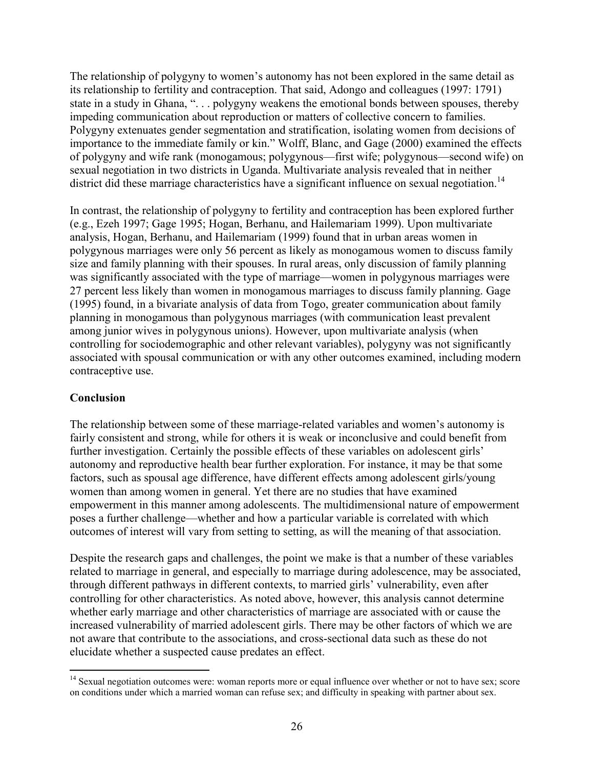The relationship of polygyny to women's autonomy has not been explored in the same detail as its relationship to fertility and contraception. That said, Adongo and colleagues (1997: 1791) state in a study in Ghana, ". . . polygyny weakens the emotional bonds between spouses, thereby impeding communication about reproduction or matters of collective concern to families. Polygyny extenuates gender segmentation and stratification, isolating women from decisions of importance to the immediate family or kin." Wolff, Blanc, and Gage (2000) examined the effects of polygyny and wife rank (monogamous; polygynous—first wife; polygynous—second wife) on sexual negotiation in two districts in Uganda. Multivariate analysis revealed that in neither district did these marriage characteristics have a significant influence on sexual negotiation.<sup>14</sup>

In contrast, the relationship of polygyny to fertility and contraception has been explored further (e.g., Ezeh 1997; Gage 1995; Hogan, Berhanu, and Hailemariam 1999). Upon multivariate analysis, Hogan, Berhanu, and Hailemariam (1999) found that in urban areas women in polygynous marriages were only 56 percent as likely as monogamous women to discuss family size and family planning with their spouses. In rural areas, only discussion of family planning was significantly associated with the type of marriage—women in polygynous marriages were 27 percent less likely than women in monogamous marriages to discuss family planning. Gage (1995) found, in a bivariate analysis of data from Togo, greater communication about family planning in monogamous than polygynous marriages (with communication least prevalent among junior wives in polygynous unions). However, upon multivariate analysis (when controlling for sociodemographic and other relevant variables), polygyny was not significantly associated with spousal communication or with any other outcomes examined, including modern contraceptive use.

# **Conclusion**

The relationship between some of these marriage-related variables and women's autonomy is fairly consistent and strong, while for others it is weak or inconclusive and could benefit from further investigation. Certainly the possible effects of these variables on adolescent girls' autonomy and reproductive health bear further exploration. For instance, it may be that some factors, such as spousal age difference, have different effects among adolescent girls/young women than among women in general. Yet there are no studies that have examined empowerment in this manner among adolescents. The multidimensional nature of empowerment poses a further challenge—whether and how a particular variable is correlated with which outcomes of interest will vary from setting to setting, as will the meaning of that association.

Despite the research gaps and challenges, the point we make is that a number of these variables related to marriage in general, and especially to marriage during adolescence, may be associated, through different pathways in different contexts, to married girls' vulnerability, even after controlling for other characteristics. As noted above, however, this analysis cannot determine whether early marriage and other characteristics of marriage are associated with or cause the increased vulnerability of married adolescent girls. There may be other factors of which we are not aware that contribute to the associations, and cross-sectional data such as these do not elucidate whether a suspected cause predates an effect.

<sup>&</sup>lt;sup>14</sup> Sexual negotiation outcomes were: woman reports more or equal influence over whether or not to have sex; score on conditions under which a married woman can refuse sex; and difficulty in speaking with partner about sex.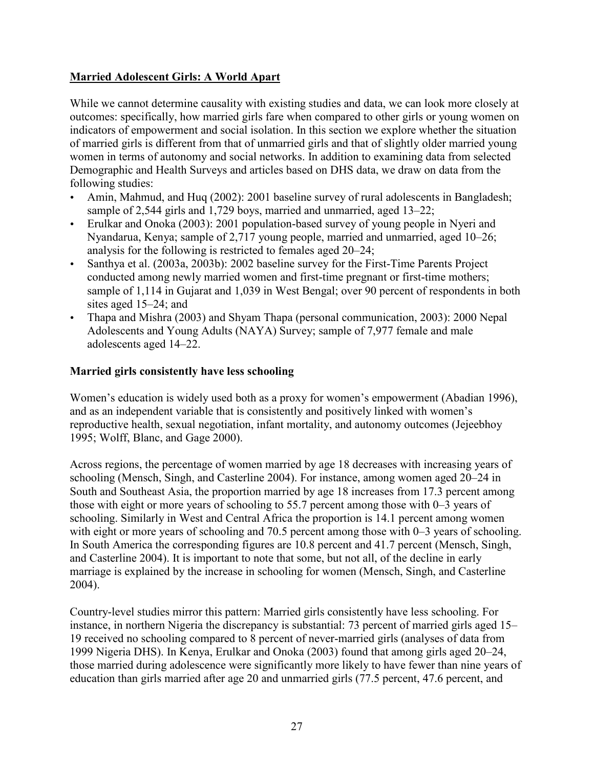# **Married Adolescent Girls: A World Apart**

While we cannot determine causality with existing studies and data, we can look more closely at outcomes: specifically, how married girls fare when compared to other girls or young women on indicators of empowerment and social isolation. In this section we explore whether the situation of married girls is different from that of unmarried girls and that of slightly older married young women in terms of autonomy and social networks. In addition to examining data from selected Demographic and Health Surveys and articles based on DHS data, we draw on data from the following studies:

- Amin, Mahmud, and Huq (2002): 2001 baseline survey of rural adolescents in Bangladesh; sample of 2,544 girls and 1,729 boys, married and unmarried, aged 13–22;
- Erulkar and Onoka (2003): 2001 population-based survey of young people in Nyeri and Nyandarua, Kenya; sample of 2,717 young people, married and unmarried, aged 10–26; analysis for the following is restricted to females aged 20–24;
- Santhya et al. (2003a, 2003b): 2002 baseline survey for the First-Time Parents Project conducted among newly married women and first-time pregnant or first-time mothers; sample of 1,114 in Gujarat and 1,039 in West Bengal; over 90 percent of respondents in both sites aged 15–24; and
- Thapa and Mishra (2003) and Shyam Thapa (personal communication, 2003): 2000 Nepal Adolescents and Young Adults (NAYA) Survey; sample of 7,977 female and male adolescents aged 14–22.

# **Married girls consistently have less schooling**

Women's education is widely used both as a proxy for women's empowerment (Abadian 1996), and as an independent variable that is consistently and positively linked with women's reproductive health, sexual negotiation, infant mortality, and autonomy outcomes (Jejeebhoy 1995; Wolff, Blanc, and Gage 2000).

Across regions, the percentage of women married by age 18 decreases with increasing years of schooling (Mensch, Singh, and Casterline 2004). For instance, among women aged 20–24 in South and Southeast Asia, the proportion married by age 18 increases from 17.3 percent among those with eight or more years of schooling to 55.7 percent among those with 0–3 years of schooling. Similarly in West and Central Africa the proportion is 14.1 percent among women with eight or more years of schooling and 70.5 percent among those with 0–3 years of schooling. In South America the corresponding figures are 10.8 percent and 41.7 percent (Mensch, Singh, and Casterline 2004). It is important to note that some, but not all, of the decline in early marriage is explained by the increase in schooling for women (Mensch, Singh, and Casterline 2004).

Country-level studies mirror this pattern: Married girls consistently have less schooling. For instance, in northern Nigeria the discrepancy is substantial: 73 percent of married girls aged 15– 19 received no schooling compared to 8 percent of never-married girls (analyses of data from 1999 Nigeria DHS). In Kenya, Erulkar and Onoka (2003) found that among girls aged 20–24, those married during adolescence were significantly more likely to have fewer than nine years of education than girls married after age 20 and unmarried girls (77.5 percent, 47.6 percent, and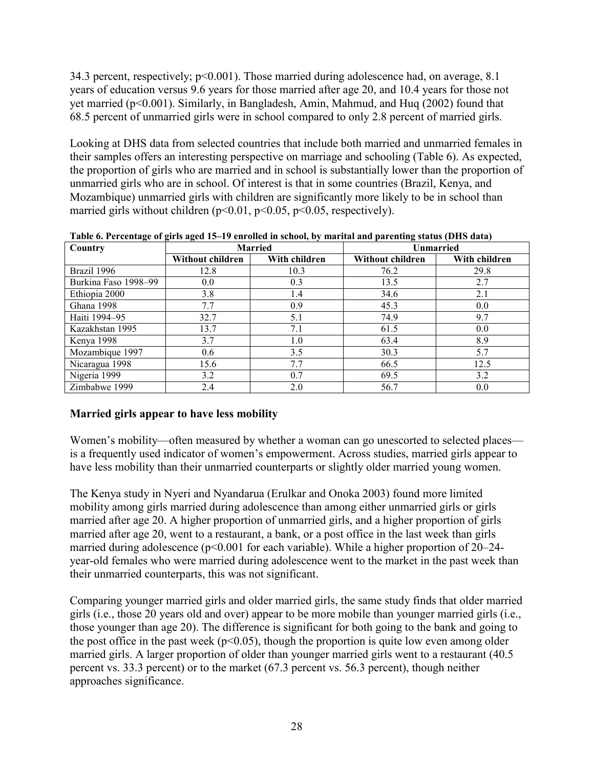34.3 percent, respectively;  $p<0.001$ ). Those married during adolescence had, on average, 8.1 years of education versus 9.6 years for those married after age 20, and 10.4 years for those not yet married (p<0.001). Similarly, in Bangladesh, Amin, Mahmud, and Huq (2002) found that 68.5 percent of unmarried girls were in school compared to only 2.8 percent of married girls.

Looking at DHS data from selected countries that include both married and unmarried females in their samples offers an interesting perspective on marriage and schooling (Table 6). As expected, the proportion of girls who are married and in school is substantially lower than the proportion of unmarried girls who are in school. Of interest is that in some countries (Brazil, Kenya, and Mozambique) unmarried girls with children are significantly more likely to be in school than married girls without children ( $p<0.01$ ,  $p<0.05$ ,  $p<0.05$ , respectively).

| Country              | <b>Married</b>   |               | Unmarried        |               |
|----------------------|------------------|---------------|------------------|---------------|
|                      | Without children | With children | Without children | With children |
| Brazil 1996          | 12.8             | 10.3          | 76.2             | 29.8          |
| Burkina Faso 1998-99 | 0.0              | 0.3           | 13.5             | 2.7           |
| Ethiopia 2000        | 3.8              | 1.4           | 34.6             | 2.1           |
| Ghana 1998           | 7.7              | 0.9           | 45.3             | 0.0           |
| Haiti 1994–95        | 32.7             | 5.1           | 74.9             | 9.7           |
| Kazakhstan 1995      | 13.7             | 7.1           | 61.5             | 0.0           |
| Kenya 1998           | 3.7              | 1.0           | 63.4             | 8.9           |
| Mozambique 1997      | 0.6              | 3.5           | 30.3             | 5.7           |
| Nicaragua 1998       | 15.6             | 7.7           | 66.5             | 12.5          |
| Nigeria 1999         | 3.2              | 0.7           | 69.5             | 3.2           |
| Zimbabwe 1999        | 2.4              | 2.0           | 56.7             | 0.0           |

**Table 6. Percentage of girls aged 15–19 enrolled in school, by marital and parenting status (DHS data)** 

# **Married girls appear to have less mobility**

Women's mobility—often measured by whether a woman can go unescorted to selected places is a frequently used indicator of women's empowerment. Across studies, married girls appear to have less mobility than their unmarried counterparts or slightly older married young women.

The Kenya study in Nyeri and Nyandarua (Erulkar and Onoka 2003) found more limited mobility among girls married during adolescence than among either unmarried girls or girls married after age 20. A higher proportion of unmarried girls, and a higher proportion of girls married after age 20, went to a restaurant, a bank, or a post office in the last week than girls married during adolescence ( $p<0.001$  for each variable). While a higher proportion of  $20-24$ year-old females who were married during adolescence went to the market in the past week than their unmarried counterparts, this was not significant.

Comparing younger married girls and older married girls, the same study finds that older married girls (i.e., those 20 years old and over) appear to be more mobile than younger married girls (i.e., those younger than age 20). The difference is significant for both going to the bank and going to the post office in the past week ( $p \le 0.05$ ), though the proportion is quite low even among older married girls. A larger proportion of older than younger married girls went to a restaurant (40.5 percent vs. 33.3 percent) or to the market (67.3 percent vs. 56.3 percent), though neither approaches significance.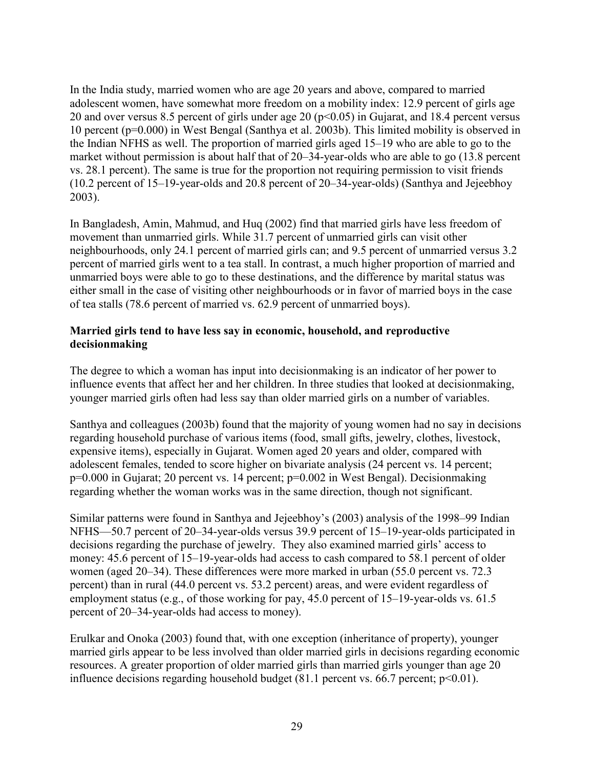In the India study, married women who are age 20 years and above, compared to married adolescent women, have somewhat more freedom on a mobility index: 12.9 percent of girls age 20 and over versus 8.5 percent of girls under age 20 ( $p<0.05$ ) in Gujarat, and 18.4 percent versus 10 percent (p=0.000) in West Bengal (Santhya et al. 2003b). This limited mobility is observed in the Indian NFHS as well. The proportion of married girls aged 15–19 who are able to go to the market without permission is about half that of 20–34-year-olds who are able to go (13.8 percent vs. 28.1 percent). The same is true for the proportion not requiring permission to visit friends (10.2 percent of 15–19-year-olds and 20.8 percent of 20–34-year-olds) (Santhya and Jejeebhoy 2003).

In Bangladesh, Amin, Mahmud, and Huq (2002) find that married girls have less freedom of movement than unmarried girls. While 31.7 percent of unmarried girls can visit other neighbourhoods, only 24.1 percent of married girls can; and 9.5 percent of unmarried versus 3.2 percent of married girls went to a tea stall. In contrast, a much higher proportion of married and unmarried boys were able to go to these destinations, and the difference by marital status was either small in the case of visiting other neighbourhoods or in favor of married boys in the case of tea stalls (78.6 percent of married vs. 62.9 percent of unmarried boys).

# **Married girls tend to have less say in economic, household, and reproductive decisionmaking**

The degree to which a woman has input into decisionmaking is an indicator of her power to influence events that affect her and her children. In three studies that looked at decisionmaking, younger married girls often had less say than older married girls on a number of variables.

Santhya and colleagues (2003b) found that the majority of young women had no say in decisions regarding household purchase of various items (food, small gifts, jewelry, clothes, livestock, expensive items), especially in Gujarat. Women aged 20 years and older, compared with adolescent females, tended to score higher on bivariate analysis (24 percent vs. 14 percent; p=0.000 in Gujarat; 20 percent vs. 14 percent; p=0.002 in West Bengal). Decisionmaking regarding whether the woman works was in the same direction, though not significant.

Similar patterns were found in Santhya and Jejeebhoy's (2003) analysis of the 1998–99 Indian NFHS—50.7 percent of 20–34-year-olds versus 39.9 percent of 15–19-year-olds participated in decisions regarding the purchase of jewelry. They also examined married girls' access to money: 45.6 percent of 15–19-year-olds had access to cash compared to 58.1 percent of older women (aged 20–34). These differences were more marked in urban (55.0 percent vs. 72.3 percent) than in rural (44.0 percent vs. 53.2 percent) areas, and were evident regardless of employment status (e.g., of those working for pay, 45.0 percent of 15–19-year-olds vs. 61.5 percent of 20–34-year-olds had access to money).

Erulkar and Onoka (2003) found that, with one exception (inheritance of property), younger married girls appear to be less involved than older married girls in decisions regarding economic resources. A greater proportion of older married girls than married girls younger than age 20 influence decisions regarding household budget  $(81.1$  percent vs. 66.7 percent;  $p<0.01$ ).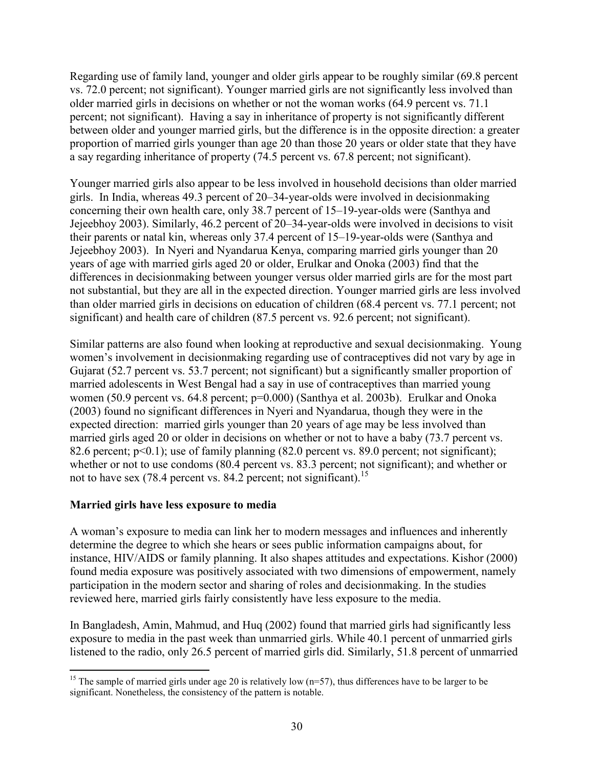Regarding use of family land, younger and older girls appear to be roughly similar (69.8 percent vs. 72.0 percent; not significant). Younger married girls are not significantly less involved than older married girls in decisions on whether or not the woman works (64.9 percent vs. 71.1 percent; not significant). Having a say in inheritance of property is not significantly different between older and younger married girls, but the difference is in the opposite direction: a greater proportion of married girls younger than age 20 than those 20 years or older state that they have a say regarding inheritance of property (74.5 percent vs. 67.8 percent; not significant).

Younger married girls also appear to be less involved in household decisions than older married girls. In India, whereas 49.3 percent of 20–34-year-olds were involved in decisionmaking concerning their own health care, only 38.7 percent of 15–19-year-olds were (Santhya and Jejeebhoy 2003). Similarly, 46.2 percent of 20–34-year-olds were involved in decisions to visit their parents or natal kin, whereas only 37.4 percent of 15–19-year-olds were (Santhya and Jejeebhoy 2003). In Nyeri and Nyandarua Kenya, comparing married girls younger than 20 years of age with married girls aged 20 or older, Erulkar and Onoka (2003) find that the differences in decisionmaking between younger versus older married girls are for the most part not substantial, but they are all in the expected direction. Younger married girls are less involved than older married girls in decisions on education of children (68.4 percent vs. 77.1 percent; not significant) and health care of children (87.5 percent vs. 92.6 percent; not significant).

Similar patterns are also found when looking at reproductive and sexual decisionmaking. Young women's involvement in decisionmaking regarding use of contraceptives did not vary by age in Gujarat (52.7 percent vs. 53.7 percent; not significant) but a significantly smaller proportion of married adolescents in West Bengal had a say in use of contraceptives than married young women (50.9 percent vs. 64.8 percent; p=0.000) (Santhya et al. 2003b). Erulkar and Onoka (2003) found no significant differences in Nyeri and Nyandarua, though they were in the expected direction: married girls younger than 20 years of age may be less involved than married girls aged 20 or older in decisions on whether or not to have a baby (73.7 percent vs. 82.6 percent; p<0.1); use of family planning (82.0 percent vs. 89.0 percent; not significant); whether or not to use condoms (80.4 percent vs. 83.3 percent; not significant); and whether or not to have sex (78.4 percent vs.  $84.2$  percent; not significant).<sup>15</sup>

# **Married girls have less exposure to media**

A woman's exposure to media can link her to modern messages and influences and inherently determine the degree to which she hears or sees public information campaigns about, for instance, HIV/AIDS or family planning. It also shapes attitudes and expectations. Kishor (2000) found media exposure was positively associated with two dimensions of empowerment, namely participation in the modern sector and sharing of roles and decisionmaking. In the studies reviewed here, married girls fairly consistently have less exposure to the media.

In Bangladesh, Amin, Mahmud, and Huq (2002) found that married girls had significantly less exposure to media in the past week than unmarried girls. While 40.1 percent of unmarried girls listened to the radio, only 26.5 percent of married girls did. Similarly, 51.8 percent of unmarried

<sup>&</sup>lt;sup>15</sup> The sample of married girls under age 20 is relatively low ( $n=57$ ), thus differences have to be larger to be significant. Nonetheless, the consistency of the pattern is notable.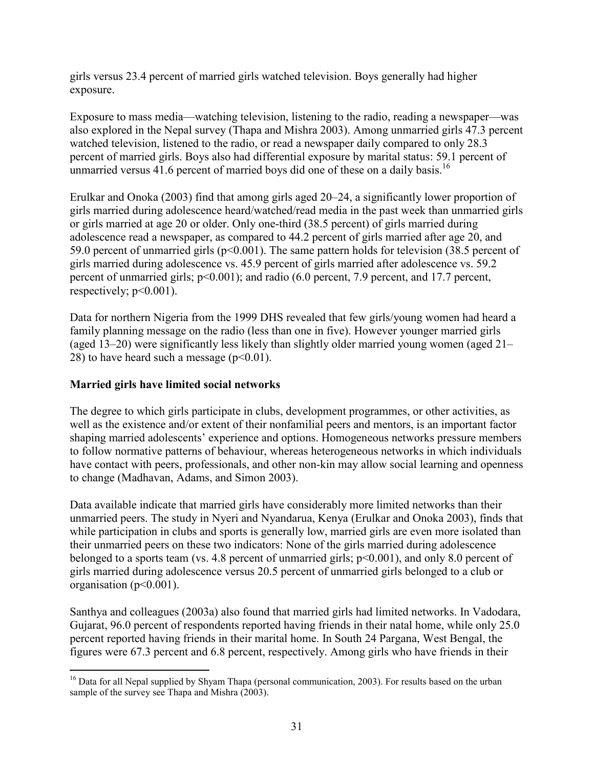girls versus 23.4 percent of married girls watched television. Boys generally had higher exposure.

Exposure to mass media—watching television, listening to the radio, reading a newspaper—was also explored in the Nepal survey (Thapa and Mishra 2003). Among unmarried girls 47.3 percent watched television, listened to the radio, or read a newspaper daily compared to only 28.3 percent of married girls. Boys also had differential exposure by marital status: 59.1 percent of unmarried versus 41.6 percent of married boys did one of these on a daily basis.<sup>16</sup>

Erulkar and Onoka (2003) find that among girls aged 20–24, a significantly lower proportion of girls married during adolescence heard/watched/read media in the past week than unmarried girls or girls married at age 20 or older. Only one-third (38.5 percent) of girls married during adolescence read a newspaper, as compared to 44.2 percent of girls married after age 20, and 59.0 percent of unmarried girls (p<0.001). The same pattern holds for television (38.5 percent of girls married during adolescence vs. 45.9 percent of girls married after adolescence vs. 59.2 percent of unmarried girls; p<0.001); and radio (6.0 percent, 7.9 percent, and 17.7 percent, respectively;  $p<0.001$ ).

Data for northern Nigeria from the 1999 DHS revealed that few girls/young women had heard a family planning message on the radio (less than one in five). However younger married girls (aged 13–20) were significantly less likely than slightly older married young women (aged 21– 28) to have heard such a message  $(p<0.01)$ .

# **Married girls have limited social networks**

The degree to which girls participate in clubs, development programmes, or other activities, as well as the existence and/or extent of their nonfamilial peers and mentors, is an important factor shaping married adolescents' experience and options. Homogeneous networks pressure members to follow normative patterns of behaviour, whereas heterogeneous networks in which individuals have contact with peers, professionals, and other non-kin may allow social learning and openness to change (Madhavan, Adams, and Simon 2003).

Data available indicate that married girls have considerably more limited networks than their unmarried peers. The study in Nyeri and Nyandarua, Kenya (Erulkar and Onoka 2003), finds that while participation in clubs and sports is generally low, married girls are even more isolated than their unmarried peers on these two indicators: None of the girls married during adolescence belonged to a sports team (vs. 4.8 percent of unmarried girls;  $p<0.001$ ), and only 8.0 percent of girls married during adolescence versus 20.5 percent of unmarried girls belonged to a club or organisation ( $p<0.001$ ).

Santhya and colleagues (2003a) also found that married girls had limited networks. In Vadodara, Gujarat, 96.0 percent of respondents reported having friends in their natal home, while only 25.0 percent reported having friends in their marital home. In South 24 Pargana, West Bengal, the figures were 67.3 percent and 6.8 percent, respectively. Among girls who have friends in their

<sup>&</sup>lt;sup>16</sup> Data for all Nepal supplied by Shyam Thapa (personal communication, 2003). For results based on the urban sample of the survey see Thapa and Mishra (2003).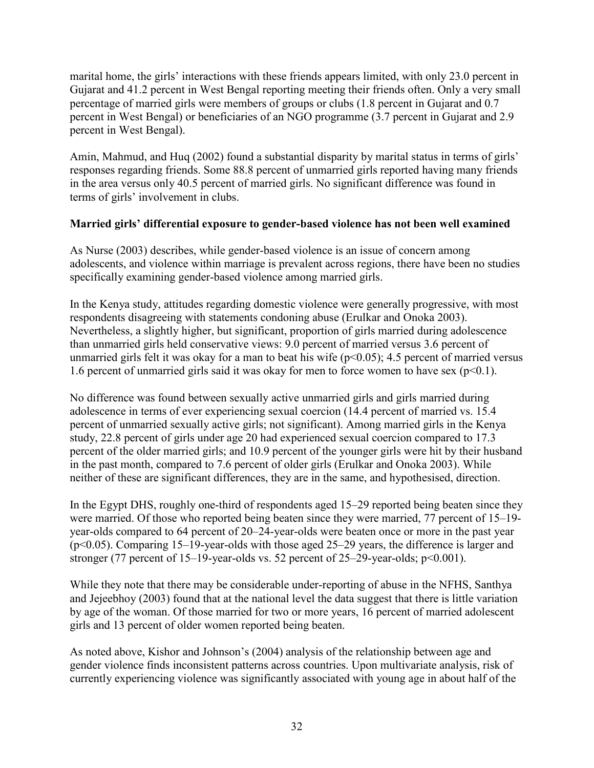marital home, the girls' interactions with these friends appears limited, with only 23.0 percent in Gujarat and 41.2 percent in West Bengal reporting meeting their friends often. Only a very small percentage of married girls were members of groups or clubs (1.8 percent in Gujarat and 0.7 percent in West Bengal) or beneficiaries of an NGO programme (3.7 percent in Gujarat and 2.9 percent in West Bengal).

Amin, Mahmud, and Huq (2002) found a substantial disparity by marital status in terms of girls' responses regarding friends. Some 88.8 percent of unmarried girls reported having many friends in the area versus only 40.5 percent of married girls. No significant difference was found in terms of girls' involvement in clubs.

# **Married girls' differential exposure to gender-based violence has not been well examined**

As Nurse (2003) describes, while gender-based violence is an issue of concern among adolescents, and violence within marriage is prevalent across regions, there have been no studies specifically examining gender-based violence among married girls.

In the Kenya study, attitudes regarding domestic violence were generally progressive, with most respondents disagreeing with statements condoning abuse (Erulkar and Onoka 2003). Nevertheless, a slightly higher, but significant, proportion of girls married during adolescence than unmarried girls held conservative views: 9.0 percent of married versus 3.6 percent of unmarried girls felt it was okay for a man to beat his wife  $(p<0.05)$ ; 4.5 percent of married versus 1.6 percent of unmarried girls said it was okay for men to force women to have sex  $(p<0.1)$ .

No difference was found between sexually active unmarried girls and girls married during adolescence in terms of ever experiencing sexual coercion (14.4 percent of married vs. 15.4 percent of unmarried sexually active girls; not significant). Among married girls in the Kenya study, 22.8 percent of girls under age 20 had experienced sexual coercion compared to 17.3 percent of the older married girls; and 10.9 percent of the younger girls were hit by their husband in the past month, compared to 7.6 percent of older girls (Erulkar and Onoka 2003). While neither of these are significant differences, they are in the same, and hypothesised, direction.

In the Egypt DHS, roughly one-third of respondents aged 15–29 reported being beaten since they were married. Of those who reported being beaten since they were married, 77 percent of 15–19 year-olds compared to 64 percent of 20–24-year-olds were beaten once or more in the past year (p<0.05). Comparing 15–19-year-olds with those aged 25–29 years, the difference is larger and stronger (77 percent of 15–19-year-olds vs. 52 percent of  $25-29$ -year-olds;  $p<0.001$ ).

While they note that there may be considerable under-reporting of abuse in the NFHS, Santhya and Jejeebhoy (2003) found that at the national level the data suggest that there is little variation by age of the woman. Of those married for two or more years, 16 percent of married adolescent girls and 13 percent of older women reported being beaten.

As noted above, Kishor and Johnson's (2004) analysis of the relationship between age and gender violence finds inconsistent patterns across countries. Upon multivariate analysis, risk of currently experiencing violence was significantly associated with young age in about half of the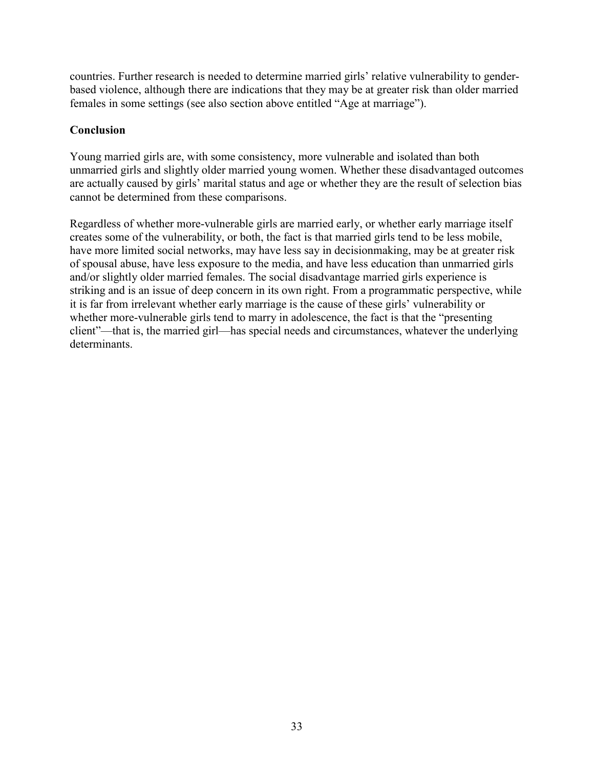countries. Further research is needed to determine married girls' relative vulnerability to genderbased violence, although there are indications that they may be at greater risk than older married females in some settings (see also section above entitled "Age at marriage").

## **Conclusion**

Young married girls are, with some consistency, more vulnerable and isolated than both unmarried girls and slightly older married young women. Whether these disadvantaged outcomes are actually caused by girls' marital status and age or whether they are the result of selection bias cannot be determined from these comparisons.

Regardless of whether more-vulnerable girls are married early, or whether early marriage itself creates some of the vulnerability, or both, the fact is that married girls tend to be less mobile, have more limited social networks, may have less say in decisionmaking, may be at greater risk of spousal abuse, have less exposure to the media, and have less education than unmarried girls and/or slightly older married females. The social disadvantage married girls experience is striking and is an issue of deep concern in its own right. From a programmatic perspective, while it is far from irrelevant whether early marriage is the cause of these girls' vulnerability or whether more-vulnerable girls tend to marry in adolescence, the fact is that the "presenting client"—that is, the married girl—has special needs and circumstances, whatever the underlying determinants.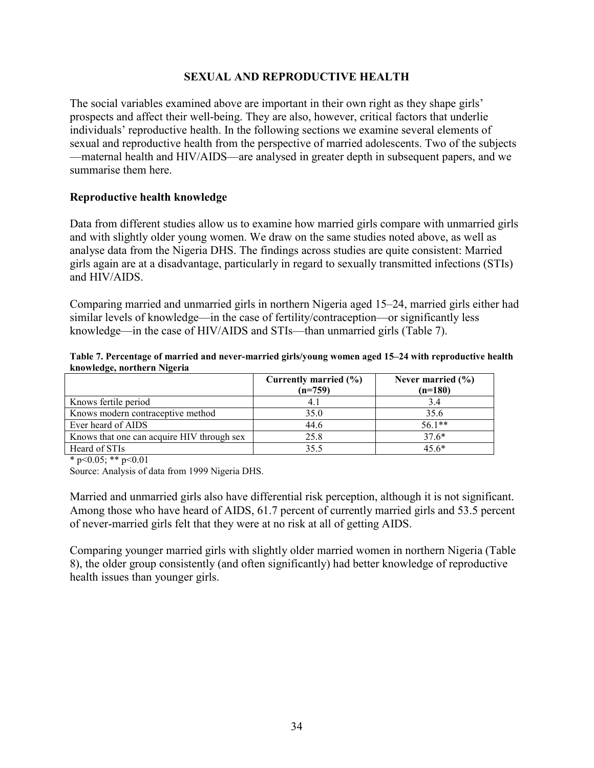### **SEXUAL AND REPRODUCTIVE HEALTH**

The social variables examined above are important in their own right as they shape girls' prospects and affect their well-being. They are also, however, critical factors that underlie individuals' reproductive health. In the following sections we examine several elements of sexual and reproductive health from the perspective of married adolescents. Two of the subjects —maternal health and HIV/AIDS—are analysed in greater depth in subsequent papers, and we summarise them here.

### **Reproductive health knowledge**

Data from different studies allow us to examine how married girls compare with unmarried girls and with slightly older young women. We draw on the same studies noted above, as well as analyse data from the Nigeria DHS. The findings across studies are quite consistent: Married girls again are at a disadvantage, particularly in regard to sexually transmitted infections (STIs) and HIV/AIDS.

Comparing married and unmarried girls in northern Nigeria aged 15–24, married girls either had similar levels of knowledge—in the case of fertility/contraception—or significantly less knowledge—in the case of HIV/AIDS and STIs—than unmarried girls (Table 7).

| Table 7. Percentage of married and never-married girls/young women aged 15–24 with reproductive health |  |
|--------------------------------------------------------------------------------------------------------|--|
| knowledge, northern Nigeria                                                                            |  |

|                                            | Currently married (%) | Never married $(\% )$ |
|--------------------------------------------|-----------------------|-----------------------|
|                                            | $(n=759)$             | $(n=180)$             |
| Knows fertile period                       | 4. I                  | 3.4                   |
| Knows modern contraceptive method          | 35.0                  | 35.6                  |
| Ever heard of AIDS                         | 44.6                  | $56.1**$              |
| Knows that one can acquire HIV through sex | 25.8                  | $37.6*$               |
| Heard of STIs                              | 35.5                  | 45.6*                 |

 $*$  p<0.05; \*\* p<0.01

Source: Analysis of data from 1999 Nigeria DHS.

Married and unmarried girls also have differential risk perception, although it is not significant. Among those who have heard of AIDS, 61.7 percent of currently married girls and 53.5 percent of never-married girls felt that they were at no risk at all of getting AIDS.

Comparing younger married girls with slightly older married women in northern Nigeria (Table 8), the older group consistently (and often significantly) had better knowledge of reproductive health issues than younger girls.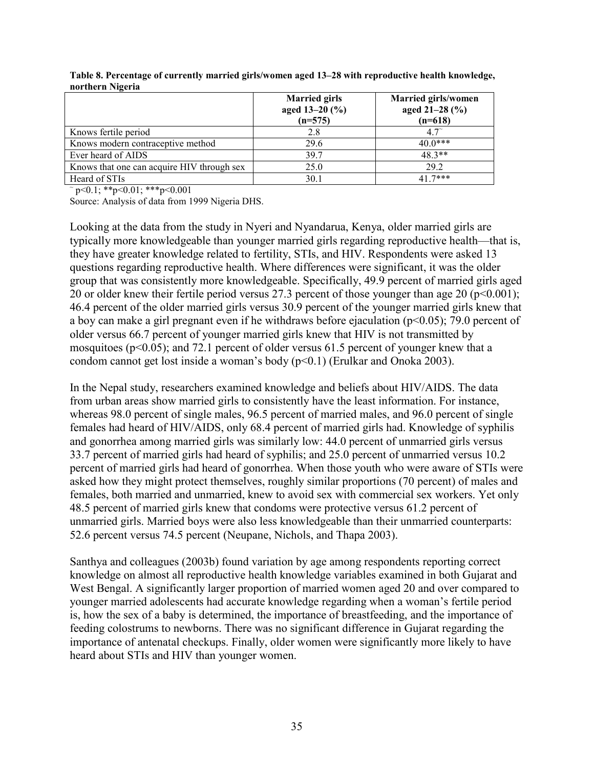|                                            | <b>Married girls</b><br>aged $13-20$ (%)<br>$(n=575)$ | Married girls/women<br>aged $21-28$ (%)<br>$(n=618)$ |
|--------------------------------------------|-------------------------------------------------------|------------------------------------------------------|
| Knows fertile period                       | 2.8                                                   | $4.7^\circ$                                          |
| Knows modern contraceptive method          | 29.6                                                  | $40.0***$                                            |
| Ever heard of AIDS                         | 39.7                                                  | $48.3**$                                             |
| Knows that one can acquire HIV through sex | 25.0                                                  | 29.2                                                 |
| Heard of STIs                              | 30.1                                                  | $417***$                                             |

**Table 8. Percentage of currently married girls/women aged 13–28 with reproductive health knowledge, northern Nigeria** 

 $p<0.1$ ; \*\*p $<0.01$ ; \*\*\*p $<0.001$ 

Source: Analysis of data from 1999 Nigeria DHS.

Looking at the data from the study in Nyeri and Nyandarua, Kenya, older married girls are typically more knowledgeable than younger married girls regarding reproductive health—that is, they have greater knowledge related to fertility, STIs, and HIV. Respondents were asked 13 questions regarding reproductive health. Where differences were significant, it was the older group that was consistently more knowledgeable. Specifically, 49.9 percent of married girls aged 20 or older knew their fertile period versus 27.3 percent of those younger than age 20 ( $p \le 0.001$ ); 46.4 percent of the older married girls versus 30.9 percent of the younger married girls knew that a boy can make a girl pregnant even if he withdraws before ejaculation (p<0.05); 79.0 percent of older versus 66.7 percent of younger married girls knew that HIV is not transmitted by mosquitoes (p<0.05); and 72.1 percent of older versus 61.5 percent of younger knew that a condom cannot get lost inside a woman's body (p<0.1) (Erulkar and Onoka 2003).

In the Nepal study, researchers examined knowledge and beliefs about HIV/AIDS. The data from urban areas show married girls to consistently have the least information. For instance, whereas 98.0 percent of single males, 96.5 percent of married males, and 96.0 percent of single females had heard of HIV/AIDS, only 68.4 percent of married girls had. Knowledge of syphilis and gonorrhea among married girls was similarly low: 44.0 percent of unmarried girls versus 33.7 percent of married girls had heard of syphilis; and 25.0 percent of unmarried versus 10.2 percent of married girls had heard of gonorrhea. When those youth who were aware of STIs were asked how they might protect themselves, roughly similar proportions (70 percent) of males and females, both married and unmarried, knew to avoid sex with commercial sex workers. Yet only 48.5 percent of married girls knew that condoms were protective versus 61.2 percent of unmarried girls. Married boys were also less knowledgeable than their unmarried counterparts: 52.6 percent versus 74.5 percent (Neupane, Nichols, and Thapa 2003).

Santhya and colleagues (2003b) found variation by age among respondents reporting correct knowledge on almost all reproductive health knowledge variables examined in both Gujarat and West Bengal. A significantly larger proportion of married women aged 20 and over compared to younger married adolescents had accurate knowledge regarding when a woman's fertile period is, how the sex of a baby is determined, the importance of breastfeeding, and the importance of feeding colostrums to newborns. There was no significant difference in Gujarat regarding the importance of antenatal checkups. Finally, older women were significantly more likely to have heard about STIs and HIV than younger women.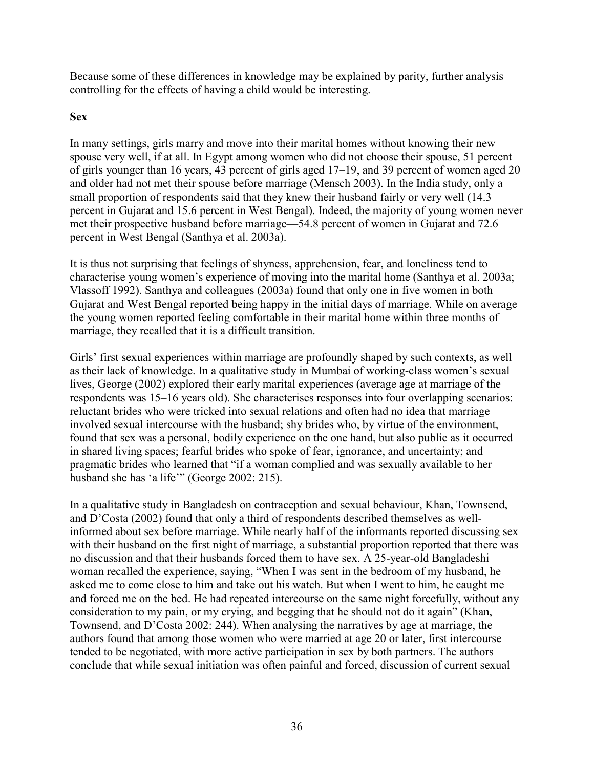Because some of these differences in knowledge may be explained by parity, further analysis controlling for the effects of having a child would be interesting.

# **Sex**

In many settings, girls marry and move into their marital homes without knowing their new spouse very well, if at all. In Egypt among women who did not choose their spouse, 51 percent of girls younger than 16 years, 43 percent of girls aged 17–19, and 39 percent of women aged 20 and older had not met their spouse before marriage (Mensch 2003). In the India study, only a small proportion of respondents said that they knew their husband fairly or very well (14.3 percent in Gujarat and 15.6 percent in West Bengal). Indeed, the majority of young women never met their prospective husband before marriage—54.8 percent of women in Gujarat and 72.6 percent in West Bengal (Santhya et al. 2003a).

It is thus not surprising that feelings of shyness, apprehension, fear, and loneliness tend to characterise young women's experience of moving into the marital home (Santhya et al. 2003a; Vlassoff 1992). Santhya and colleagues (2003a) found that only one in five women in both Gujarat and West Bengal reported being happy in the initial days of marriage. While on average the young women reported feeling comfortable in their marital home within three months of marriage, they recalled that it is a difficult transition.

Girls' first sexual experiences within marriage are profoundly shaped by such contexts, as well as their lack of knowledge. In a qualitative study in Mumbai of working-class women's sexual lives, George (2002) explored their early marital experiences (average age at marriage of the respondents was 15–16 years old). She characterises responses into four overlapping scenarios: reluctant brides who were tricked into sexual relations and often had no idea that marriage involved sexual intercourse with the husband; shy brides who, by virtue of the environment, found that sex was a personal, bodily experience on the one hand, but also public as it occurred in shared living spaces; fearful brides who spoke of fear, ignorance, and uncertainty; and pragmatic brides who learned that "if a woman complied and was sexually available to her husband she has 'a life'" (George 2002: 215).

In a qualitative study in Bangladesh on contraception and sexual behaviour, Khan, Townsend, and D'Costa (2002) found that only a third of respondents described themselves as wellinformed about sex before marriage. While nearly half of the informants reported discussing sex with their husband on the first night of marriage, a substantial proportion reported that there was no discussion and that their husbands forced them to have sex. A 25-year-old Bangladeshi woman recalled the experience, saying, "When I was sent in the bedroom of my husband, he asked me to come close to him and take out his watch. But when I went to him, he caught me and forced me on the bed. He had repeated intercourse on the same night forcefully, without any consideration to my pain, or my crying, and begging that he should not do it again" (Khan, Townsend, and D'Costa 2002: 244). When analysing the narratives by age at marriage, the authors found that among those women who were married at age 20 or later, first intercourse tended to be negotiated, with more active participation in sex by both partners. The authors conclude that while sexual initiation was often painful and forced, discussion of current sexual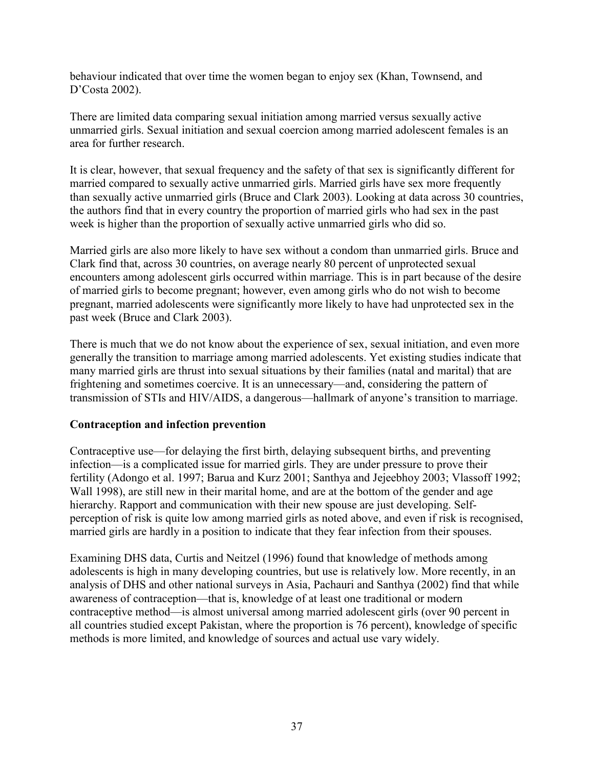behaviour indicated that over time the women began to enjoy sex (Khan, Townsend, and D'Costa 2002).

There are limited data comparing sexual initiation among married versus sexually active unmarried girls. Sexual initiation and sexual coercion among married adolescent females is an area for further research.

It is clear, however, that sexual frequency and the safety of that sex is significantly different for married compared to sexually active unmarried girls. Married girls have sex more frequently than sexually active unmarried girls (Bruce and Clark 2003). Looking at data across 30 countries, the authors find that in every country the proportion of married girls who had sex in the past week is higher than the proportion of sexually active unmarried girls who did so.

Married girls are also more likely to have sex without a condom than unmarried girls. Bruce and Clark find that, across 30 countries, on average nearly 80 percent of unprotected sexual encounters among adolescent girls occurred within marriage. This is in part because of the desire of married girls to become pregnant; however, even among girls who do not wish to become pregnant, married adolescents were significantly more likely to have had unprotected sex in the past week (Bruce and Clark 2003).

There is much that we do not know about the experience of sex, sexual initiation, and even more generally the transition to marriage among married adolescents. Yet existing studies indicate that many married girls are thrust into sexual situations by their families (natal and marital) that are frightening and sometimes coercive. It is an unnecessary—and, considering the pattern of transmission of STIs and HIV/AIDS, a dangerous—hallmark of anyone's transition to marriage.

# **Contraception and infection prevention**

Contraceptive use—for delaying the first birth, delaying subsequent births, and preventing infection—is a complicated issue for married girls. They are under pressure to prove their fertility (Adongo et al. 1997; Barua and Kurz 2001; Santhya and Jejeebhoy 2003; Vlassoff 1992; Wall 1998), are still new in their marital home, and are at the bottom of the gender and age hierarchy. Rapport and communication with their new spouse are just developing. Selfperception of risk is quite low among married girls as noted above, and even if risk is recognised, married girls are hardly in a position to indicate that they fear infection from their spouses.

Examining DHS data, Curtis and Neitzel (1996) found that knowledge of methods among adolescents is high in many developing countries, but use is relatively low. More recently, in an analysis of DHS and other national surveys in Asia, Pachauri and Santhya (2002) find that while awareness of contraception—that is, knowledge of at least one traditional or modern contraceptive method—is almost universal among married adolescent girls (over 90 percent in all countries studied except Pakistan, where the proportion is 76 percent), knowledge of specific methods is more limited, and knowledge of sources and actual use vary widely.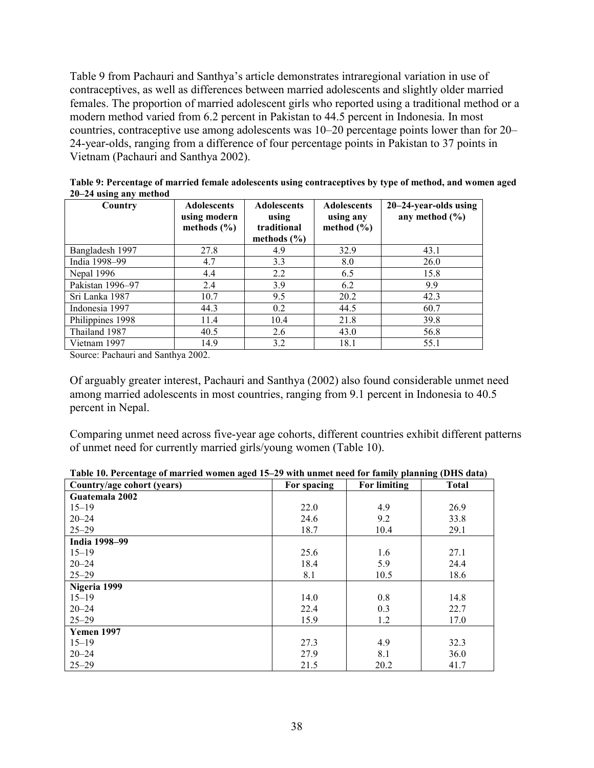Table 9 from Pachauri and Santhya's article demonstrates intraregional variation in use of contraceptives, as well as differences between married adolescents and slightly older married females. The proportion of married adolescent girls who reported using a traditional method or a modern method varied from 6.2 percent in Pakistan to 44.5 percent in Indonesia. In most countries, contraceptive use among adolescents was 10–20 percentage points lower than for 20– 24-year-olds, ranging from a difference of four percentage points in Pakistan to 37 points in Vietnam (Pachauri and Santhya 2002).

| 20–24 using any method |                                                       |                                                               |                                                   |                                                |
|------------------------|-------------------------------------------------------|---------------------------------------------------------------|---------------------------------------------------|------------------------------------------------|
| Country                | <b>Adolescents</b><br>using modern<br>methods $(\% )$ | <b>Adolescents</b><br>using<br>traditional<br>methods $(\% )$ | <b>Adolescents</b><br>using any<br>method $(\% )$ | $20-24$ -year-olds using<br>any method $(\% )$ |
| Bangladesh 1997        | 27.8                                                  | 4.9                                                           | 32.9                                              | 43.1                                           |
| India 1998-99          | 4.7                                                   | 3.3                                                           | 8.0                                               | 26.0                                           |
| Nepal 1996             | 4.4                                                   | 2.2                                                           | 6.5                                               | 15.8                                           |
| Pakistan 1996-97       | 2.4                                                   | 3.9                                                           | 6.2                                               | 9.9                                            |
| Sri Lanka 1987         | 10.7                                                  | 9.5                                                           | 20.2                                              | 42.3                                           |
| Indonesia 1997         | 44.3                                                  | 0.2                                                           | 44.5                                              | 60.7                                           |
| Philippines 1998       | 11.4                                                  | 10.4                                                          | 21.8                                              | 39.8                                           |
| Thailand 1987          | 40.5                                                  | 2.6                                                           | 43.0                                              | 56.8                                           |
| Vietnam 1997           | 14.9                                                  | 3.2                                                           | 18.1                                              | 55.1                                           |

**Table 9: Percentage of married female adolescents using contraceptives by type of method, and women aged 20–24 using any method** 

Source: Pachauri and Santhya 2002.

Of arguably greater interest, Pachauri and Santhya (2002) also found considerable unmet need among married adolescents in most countries, ranging from 9.1 percent in Indonesia to 40.5 percent in Nepal.

Comparing unmet need across five-year age cohorts, different countries exhibit different patterns of unmet need for currently married girls/young women (Table 10).

| -<br>Country/age cohort (years) | For spacing | For limiting | 。<br><b>Total</b> |
|---------------------------------|-------------|--------------|-------------------|
| Guatemala 2002                  |             |              |                   |
| $15 - 19$                       | 22.0        | 4.9          | 26.9              |
| $20 - 24$                       | 24.6        | 9.2          | 33.8              |
| $25 - 29$                       | 18.7        | 10.4         | 29.1              |
| <b>India 1998–99</b>            |             |              |                   |
| $15 - 19$                       | 25.6        | 1.6          | 27.1              |
| $20 - 24$                       | 18.4        | 5.9          | 24.4              |
| $25 - 29$                       | 8.1         | 10.5         | 18.6              |
| Nigeria 1999                    |             |              |                   |
| $15 - 19$                       | 14.0        | 0.8          | 14.8              |
| $20 - 24$                       | 22.4        | 0.3          | 22.7              |
| $25 - 29$                       | 15.9        | 1.2          | 17.0              |
| <b>Yemen 1997</b>               |             |              |                   |
| $15 - 19$                       | 27.3        | 4.9          | 32.3              |
| $20 - 24$                       | 27.9        | 8.1          | 36.0              |
| $25 - 29$                       | 21.5        | 20.2         | 41.7              |

**Table 10. Percentage of married women aged 15–29 with unmet need for family planning (DHS data)**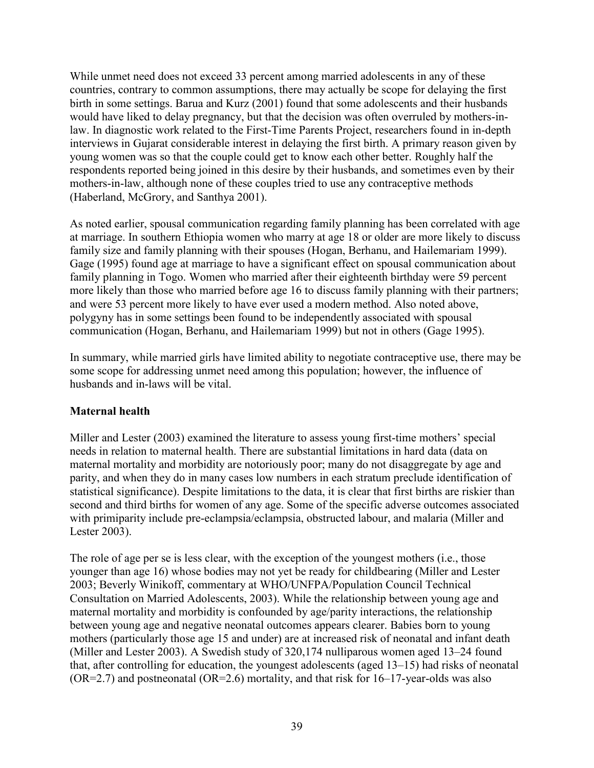While unmet need does not exceed 33 percent among married adolescents in any of these countries, contrary to common assumptions, there may actually be scope for delaying the first birth in some settings. Barua and Kurz (2001) found that some adolescents and their husbands would have liked to delay pregnancy, but that the decision was often overruled by mothers-inlaw. In diagnostic work related to the First-Time Parents Project, researchers found in in-depth interviews in Gujarat considerable interest in delaying the first birth. A primary reason given by young women was so that the couple could get to know each other better. Roughly half the respondents reported being joined in this desire by their husbands, and sometimes even by their mothers-in-law, although none of these couples tried to use any contraceptive methods (Haberland, McGrory, and Santhya 2001).

As noted earlier, spousal communication regarding family planning has been correlated with age at marriage. In southern Ethiopia women who marry at age 18 or older are more likely to discuss family size and family planning with their spouses (Hogan, Berhanu, and Hailemariam 1999). Gage (1995) found age at marriage to have a significant effect on spousal communication about family planning in Togo. Women who married after their eighteenth birthday were 59 percent more likely than those who married before age 16 to discuss family planning with their partners; and were 53 percent more likely to have ever used a modern method. Also noted above, polygyny has in some settings been found to be independently associated with spousal communication (Hogan, Berhanu, and Hailemariam 1999) but not in others (Gage 1995).

In summary, while married girls have limited ability to negotiate contraceptive use, there may be some scope for addressing unmet need among this population; however, the influence of husbands and in-laws will be vital.

# **Maternal health**

Miller and Lester (2003) examined the literature to assess young first-time mothers' special needs in relation to maternal health. There are substantial limitations in hard data (data on maternal mortality and morbidity are notoriously poor; many do not disaggregate by age and parity, and when they do in many cases low numbers in each stratum preclude identification of statistical significance). Despite limitations to the data, it is clear that first births are riskier than second and third births for women of any age. Some of the specific adverse outcomes associated with primiparity include pre-eclampsia/eclampsia, obstructed labour, and malaria (Miller and Lester 2003).

The role of age per se is less clear, with the exception of the youngest mothers (i.e., those younger than age 16) whose bodies may not yet be ready for childbearing (Miller and Lester 2003; Beverly Winikoff, commentary at WHO/UNFPA/Population Council Technical Consultation on Married Adolescents, 2003). While the relationship between young age and maternal mortality and morbidity is confounded by age/parity interactions, the relationship between young age and negative neonatal outcomes appears clearer. Babies born to young mothers (particularly those age 15 and under) are at increased risk of neonatal and infant death (Miller and Lester 2003). A Swedish study of 320,174 nulliparous women aged 13–24 found that, after controlling for education, the youngest adolescents (aged 13–15) had risks of neonatal  $(OR=2.7)$  and postneonatal  $(OR=2.6)$  mortality, and that risk for 16–17-year-olds was also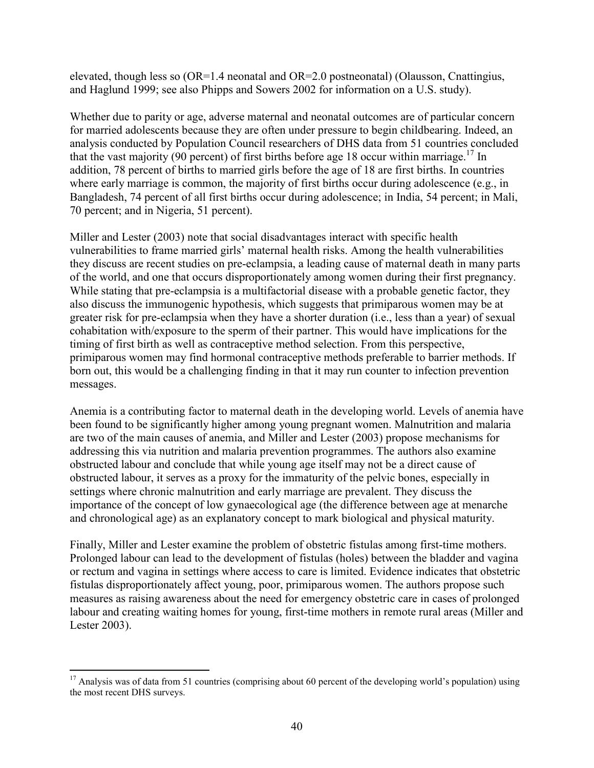elevated, though less so (OR=1.4 neonatal and OR=2.0 postneonatal) (Olausson, Cnattingius, and Haglund 1999; see also Phipps and Sowers 2002 for information on a U.S. study).

Whether due to parity or age, adverse maternal and neonatal outcomes are of particular concern for married adolescents because they are often under pressure to begin childbearing. Indeed, an analysis conducted by Population Council researchers of DHS data from 51 countries concluded that the vast majority (90 percent) of first births before age 18 occur within marriage.<sup>17</sup> In addition, 78 percent of births to married girls before the age of 18 are first births. In countries where early marriage is common, the majority of first births occur during adolescence (e.g., in Bangladesh, 74 percent of all first births occur during adolescence; in India, 54 percent; in Mali, 70 percent; and in Nigeria, 51 percent).

Miller and Lester (2003) note that social disadvantages interact with specific health vulnerabilities to frame married girls' maternal health risks. Among the health vulnerabilities they discuss are recent studies on pre-eclampsia, a leading cause of maternal death in many parts of the world, and one that occurs disproportionately among women during their first pregnancy. While stating that pre-eclampsia is a multifactorial disease with a probable genetic factor, they also discuss the immunogenic hypothesis, which suggests that primiparous women may be at greater risk for pre-eclampsia when they have a shorter duration (i.e., less than a year) of sexual cohabitation with/exposure to the sperm of their partner. This would have implications for the timing of first birth as well as contraceptive method selection. From this perspective, primiparous women may find hormonal contraceptive methods preferable to barrier methods. If born out, this would be a challenging finding in that it may run counter to infection prevention messages.

Anemia is a contributing factor to maternal death in the developing world. Levels of anemia have been found to be significantly higher among young pregnant women. Malnutrition and malaria are two of the main causes of anemia, and Miller and Lester (2003) propose mechanisms for addressing this via nutrition and malaria prevention programmes. The authors also examine obstructed labour and conclude that while young age itself may not be a direct cause of obstructed labour, it serves as a proxy for the immaturity of the pelvic bones, especially in settings where chronic malnutrition and early marriage are prevalent. They discuss the importance of the concept of low gynaecological age (the difference between age at menarche and chronological age) as an explanatory concept to mark biological and physical maturity.

Finally, Miller and Lester examine the problem of obstetric fistulas among first-time mothers. Prolonged labour can lead to the development of fistulas (holes) between the bladder and vagina or rectum and vagina in settings where access to care is limited. Evidence indicates that obstetric fistulas disproportionately affect young, poor, primiparous women. The authors propose such measures as raising awareness about the need for emergency obstetric care in cases of prolonged labour and creating waiting homes for young, first-time mothers in remote rural areas (Miller and Lester 2003).

<sup>&</sup>lt;sup>17</sup> Analysis was of data from 51 countries (comprising about 60 percent of the developing world's population) using the most recent DHS surveys.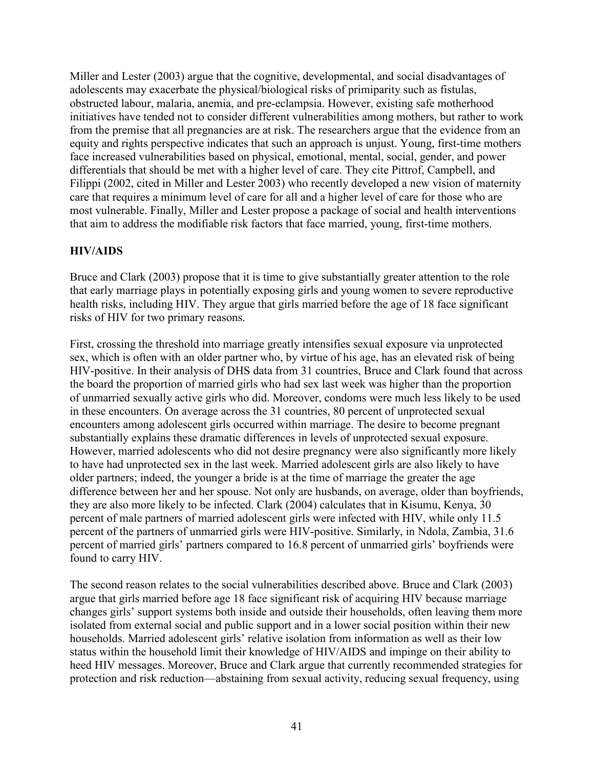Miller and Lester (2003) argue that the cognitive, developmental, and social disadvantages of adolescents may exacerbate the physical/biological risks of primiparity such as fistulas, obstructed labour, malaria, anemia, and pre-eclampsia. However, existing safe motherhood initiatives have tended not to consider different vulnerabilities among mothers, but rather to work from the premise that all pregnancies are at risk. The researchers argue that the evidence from an equity and rights perspective indicates that such an approach is unjust. Young, first-time mothers face increased vulnerabilities based on physical, emotional, mental, social, gender, and power differentials that should be met with a higher level of care. They cite Pittrof, Campbell, and Filippi (2002, cited in Miller and Lester 2003) who recently developed a new vision of maternity care that requires a minimum level of care for all and a higher level of care for those who are most vulnerable. Finally, Miller and Lester propose a package of social and health interventions that aim to address the modifiable risk factors that face married, young, first-time mothers.

# **HIV/AIDS**

Bruce and Clark (2003) propose that it is time to give substantially greater attention to the role that early marriage plays in potentially exposing girls and young women to severe reproductive health risks, including HIV. They argue that girls married before the age of 18 face significant risks of HIV for two primary reasons.

First, crossing the threshold into marriage greatly intensifies sexual exposure via unprotected sex, which is often with an older partner who, by virtue of his age, has an elevated risk of being HIV-positive. In their analysis of DHS data from 31 countries, Bruce and Clark found that across the board the proportion of married girls who had sex last week was higher than the proportion of unmarried sexually active girls who did. Moreover, condoms were much less likely to be used in these encounters. On average across the 31 countries, 80 percent of unprotected sexual encounters among adolescent girls occurred within marriage. The desire to become pregnant substantially explains these dramatic differences in levels of unprotected sexual exposure. However, married adolescents who did not desire pregnancy were also significantly more likely to have had unprotected sex in the last week. Married adolescent girls are also likely to have older partners; indeed, the younger a bride is at the time of marriage the greater the age difference between her and her spouse. Not only are husbands, on average, older than boyfriends, they are also more likely to be infected. Clark (2004) calculates that in Kisumu, Kenya, 30 percent of male partners of married adolescent girls were infected with HIV, while only 11.5 percent of the partners of unmarried girls were HIV-positive. Similarly, in Ndola, Zambia, 31.6 percent of married girls' partners compared to 16.8 percent of unmarried girls' boyfriends were found to carry HIV.

The second reason relates to the social vulnerabilities described above. Bruce and Clark (2003) argue that girls married before age 18 face significant risk of acquiring HIV because marriage changes girls' support systems both inside and outside their households, often leaving them more isolated from external social and public support and in a lower social position within their new households. Married adolescent girls' relative isolation from information as well as their low status within the household limit their knowledge of HIV/AIDS and impinge on their ability to heed HIV messages. Moreover, Bruce and Clark argue that currently recommended strategies for protection and risk reduction—abstaining from sexual activity, reducing sexual frequency, using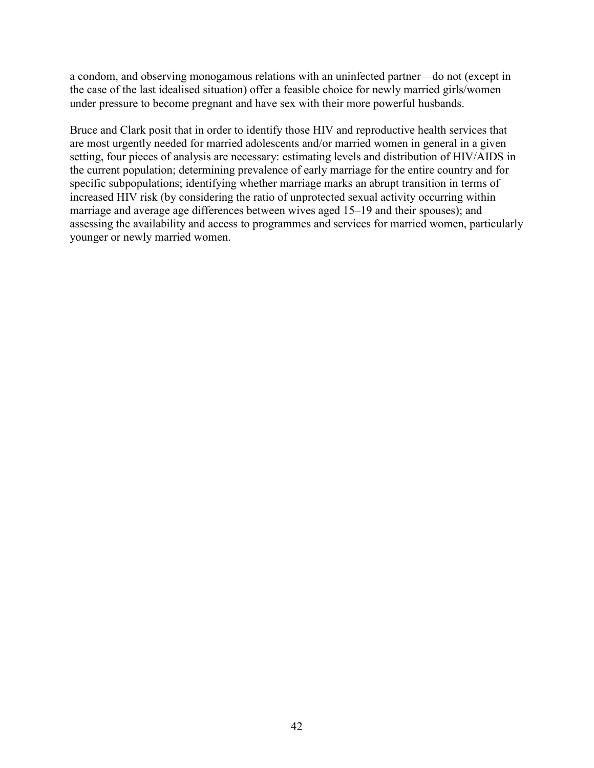a condom, and observing monogamous relations with an uninfected partner—do not (except in the case of the last idealised situation) offer a feasible choice for newly married girls/women under pressure to become pregnant and have sex with their more powerful husbands.

Bruce and Clark posit that in order to identify those HIV and reproductive health services that are most urgently needed for married adolescents and/or married women in general in a given setting, four pieces of analysis are necessary: estimating levels and distribution of HIV/AIDS in the current population; determining prevalence of early marriage for the entire country and for specific subpopulations; identifying whether marriage marks an abrupt transition in terms of increased HIV risk (by considering the ratio of unprotected sexual activity occurring within marriage and average age differences between wives aged 15–19 and their spouses); and assessing the availability and access to programmes and services for married women, particularly younger or newly married women.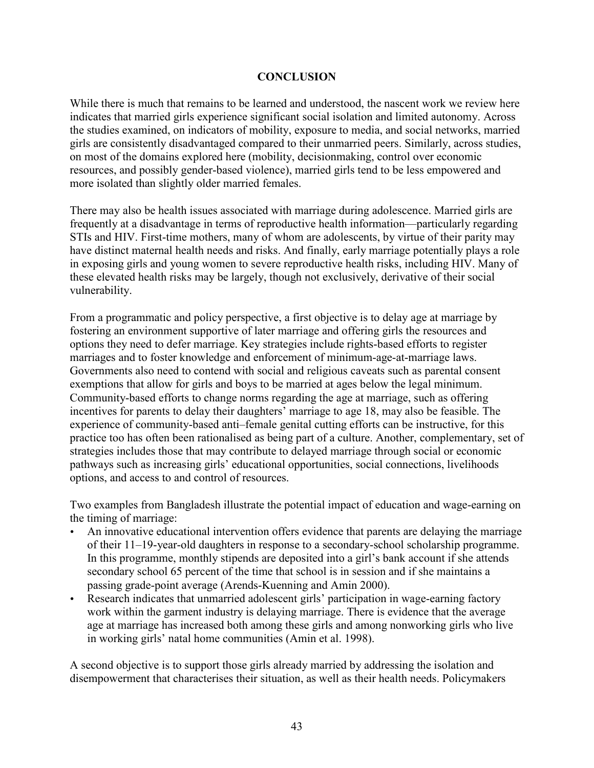### **CONCLUSION**

While there is much that remains to be learned and understood, the nascent work we review here indicates that married girls experience significant social isolation and limited autonomy. Across the studies examined, on indicators of mobility, exposure to media, and social networks, married girls are consistently disadvantaged compared to their unmarried peers. Similarly, across studies, on most of the domains explored here (mobility, decisionmaking, control over economic resources, and possibly gender-based violence), married girls tend to be less empowered and more isolated than slightly older married females.

There may also be health issues associated with marriage during adolescence. Married girls are frequently at a disadvantage in terms of reproductive health information—particularly regarding STIs and HIV. First-time mothers, many of whom are adolescents, by virtue of their parity may have distinct maternal health needs and risks. And finally, early marriage potentially plays a role in exposing girls and young women to severe reproductive health risks, including HIV. Many of these elevated health risks may be largely, though not exclusively, derivative of their social vulnerability.

From a programmatic and policy perspective, a first objective is to delay age at marriage by fostering an environment supportive of later marriage and offering girls the resources and options they need to defer marriage. Key strategies include rights-based efforts to register marriages and to foster knowledge and enforcement of minimum-age-at-marriage laws. Governments also need to contend with social and religious caveats such as parental consent exemptions that allow for girls and boys to be married at ages below the legal minimum. Community-based efforts to change norms regarding the age at marriage, such as offering incentives for parents to delay their daughters' marriage to age 18, may also be feasible. The experience of community-based anti–female genital cutting efforts can be instructive, for this practice too has often been rationalised as being part of a culture. Another, complementary, set of strategies includes those that may contribute to delayed marriage through social or economic pathways such as increasing girls' educational opportunities, social connections, livelihoods options, and access to and control of resources.

Two examples from Bangladesh illustrate the potential impact of education and wage-earning on the timing of marriage:

- An innovative educational intervention offers evidence that parents are delaying the marriage of their 11–19-year-old daughters in response to a secondary-school scholarship programme. In this programme, monthly stipends are deposited into a girl's bank account if she attends secondary school 65 percent of the time that school is in session and if she maintains a passing grade-point average (Arends-Kuenning and Amin 2000).
- Research indicates that unmarried adolescent girls' participation in wage-earning factory work within the garment industry is delaying marriage. There is evidence that the average age at marriage has increased both among these girls and among nonworking girls who live in working girls' natal home communities (Amin et al. 1998).

A second objective is to support those girls already married by addressing the isolation and disempowerment that characterises their situation, as well as their health needs. Policymakers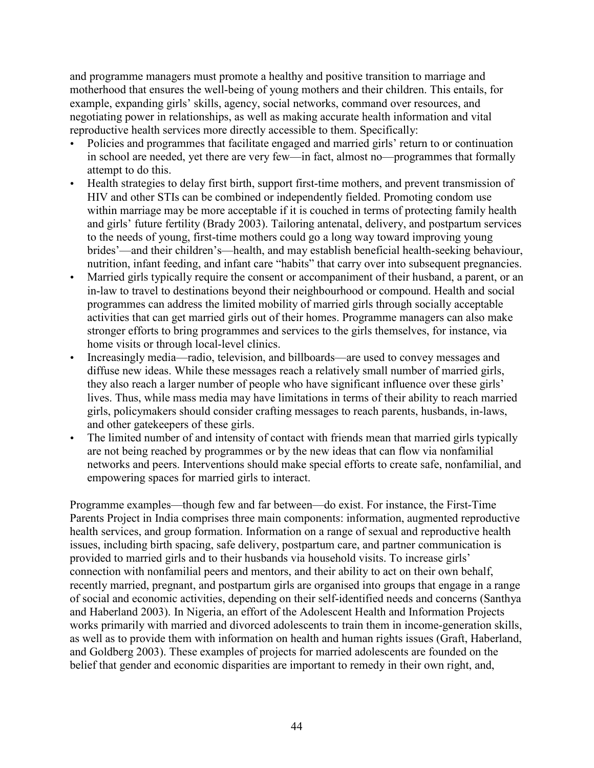and programme managers must promote a healthy and positive transition to marriage and motherhood that ensures the well-being of young mothers and their children. This entails, for example, expanding girls' skills, agency, social networks, command over resources, and negotiating power in relationships, as well as making accurate health information and vital reproductive health services more directly accessible to them. Specifically:

- Policies and programmes that facilitate engaged and married girls' return to or continuation in school are needed, yet there are very few—in fact, almost no—programmes that formally attempt to do this.
- Health strategies to delay first birth, support first-time mothers, and prevent transmission of HIV and other STIs can be combined or independently fielded. Promoting condom use within marriage may be more acceptable if it is couched in terms of protecting family health and girls' future fertility (Brady 2003). Tailoring antenatal, delivery, and postpartum services to the needs of young, first-time mothers could go a long way toward improving young brides'—and their children's—health, and may establish beneficial health-seeking behaviour, nutrition, infant feeding, and infant care "habits" that carry over into subsequent pregnancies.
- Married girls typically require the consent or accompaniment of their husband, a parent, or an in-law to travel to destinations beyond their neighbourhood or compound. Health and social programmes can address the limited mobility of married girls through socially acceptable activities that can get married girls out of their homes. Programme managers can also make stronger efforts to bring programmes and services to the girls themselves, for instance, via home visits or through local-level clinics.
- Increasingly media—radio, television, and billboards—are used to convey messages and diffuse new ideas. While these messages reach a relatively small number of married girls, they also reach a larger number of people who have significant influence over these girls' lives. Thus, while mass media may have limitations in terms of their ability to reach married girls, policymakers should consider crafting messages to reach parents, husbands, in-laws, and other gatekeepers of these girls.
- The limited number of and intensity of contact with friends mean that married girls typically are not being reached by programmes or by the new ideas that can flow via nonfamilial networks and peers. Interventions should make special efforts to create safe, nonfamilial, and empowering spaces for married girls to interact.

Programme examples—though few and far between—do exist. For instance, the First-Time Parents Project in India comprises three main components: information, augmented reproductive health services, and group formation. Information on a range of sexual and reproductive health issues, including birth spacing, safe delivery, postpartum care, and partner communication is provided to married girls and to their husbands via household visits. To increase girls' connection with nonfamilial peers and mentors, and their ability to act on their own behalf, recently married, pregnant, and postpartum girls are organised into groups that engage in a range of social and economic activities, depending on their self-identified needs and concerns (Santhya and Haberland 2003). In Nigeria, an effort of the Adolescent Health and Information Projects works primarily with married and divorced adolescents to train them in income-generation skills, as well as to provide them with information on health and human rights issues (Graft, Haberland, and Goldberg 2003). These examples of projects for married adolescents are founded on the belief that gender and economic disparities are important to remedy in their own right, and,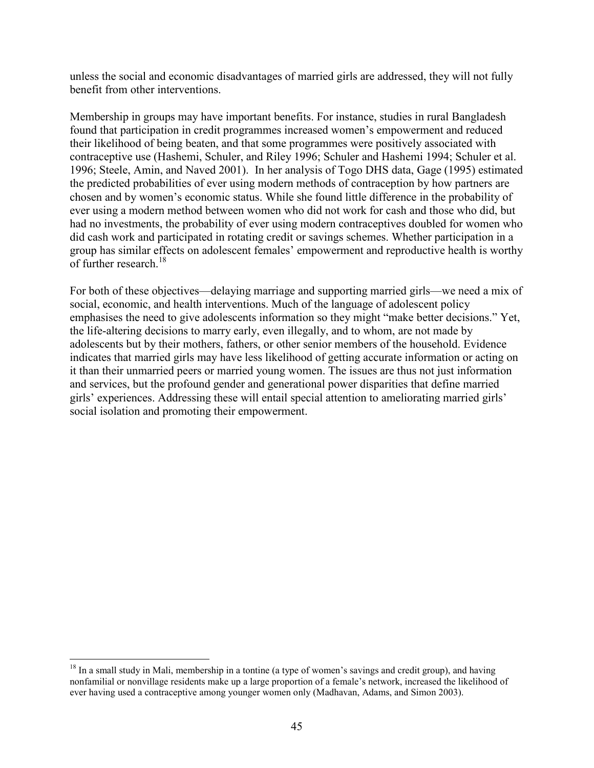unless the social and economic disadvantages of married girls are addressed, they will not fully benefit from other interventions.

Membership in groups may have important benefits. For instance, studies in rural Bangladesh found that participation in credit programmes increased women's empowerment and reduced their likelihood of being beaten, and that some programmes were positively associated with contraceptive use (Hashemi, Schuler, and Riley 1996; Schuler and Hashemi 1994; Schuler et al. 1996; Steele, Amin, and Naved 2001). In her analysis of Togo DHS data, Gage (1995) estimated the predicted probabilities of ever using modern methods of contraception by how partners are chosen and by women's economic status. While she found little difference in the probability of ever using a modern method between women who did not work for cash and those who did, but had no investments, the probability of ever using modern contraceptives doubled for women who did cash work and participated in rotating credit or savings schemes. Whether participation in a group has similar effects on adolescent females' empowerment and reproductive health is worthy of further research  $^{18}$ 

For both of these objectives—delaying marriage and supporting married girls—we need a mix of social, economic, and health interventions. Much of the language of adolescent policy emphasises the need to give adolescents information so they might "make better decisions." Yet, the life-altering decisions to marry early, even illegally, and to whom, are not made by adolescents but by their mothers, fathers, or other senior members of the household. Evidence indicates that married girls may have less likelihood of getting accurate information or acting on it than their unmarried peers or married young women. The issues are thus not just information and services, but the profound gender and generational power disparities that define married girls' experiences. Addressing these will entail special attention to ameliorating married girls' social isolation and promoting their empowerment.

<sup>&</sup>lt;sup>18</sup> In a small study in Mali, membership in a tontine (a type of women's savings and credit group), and having nonfamilial or nonvillage residents make up a large proportion of a female's network, increased the likelihood of ever having used a contraceptive among younger women only (Madhavan, Adams, and Simon 2003).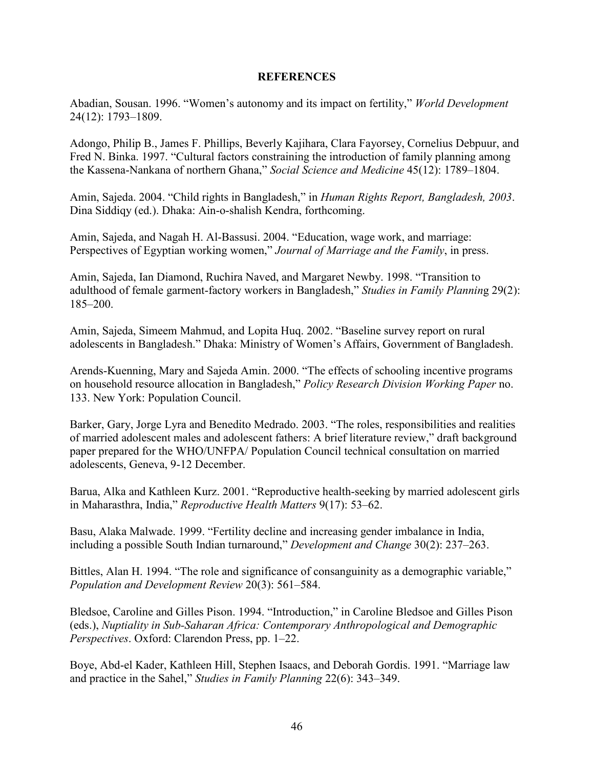#### **REFERENCES**

Abadian, Sousan. 1996. "Women's autonomy and its impact on fertility," *World Development* 24(12): 1793–1809.

Adongo, Philip B., James F. Phillips, Beverly Kajihara, Clara Fayorsey, Cornelius Debpuur, and Fred N. Binka. 1997. "Cultural factors constraining the introduction of family planning among the Kassena-Nankana of northern Ghana," *Social Science and Medicine* 45(12): 1789–1804.

Amin, Sajeda. 2004. "Child rights in Bangladesh," in *Human Rights Report, Bangladesh, 2003*. Dina Siddiqy (ed.). Dhaka: Ain-o-shalish Kendra, forthcoming.

Amin, Sajeda, and Nagah H. Al-Bassusi. 2004. "Education, wage work, and marriage: Perspectives of Egyptian working women," *Journal of Marriage and the Family*, in press.

Amin, Sajeda, Ian Diamond, Ruchira Naved, and Margaret Newby. 1998. "Transition to adulthood of female garment-factory workers in Bangladesh," *Studies in Family Plannin*g 29(2): 185–200.

Amin, Sajeda, Simeem Mahmud, and Lopita Huq. 2002. "Baseline survey report on rural adolescents in Bangladesh." Dhaka: Ministry of Women's Affairs, Government of Bangladesh.

Arends-Kuenning, Mary and Sajeda Amin. 2000. "The effects of schooling incentive programs on household resource allocation in Bangladesh," *Policy Research Division Working Paper* no. 133. New York: Population Council.

Barker, Gary, Jorge Lyra and Benedito Medrado. 2003. "The roles, responsibilities and realities of married adolescent males and adolescent fathers: A brief literature review," draft background paper prepared for the WHO/UNFPA/ Population Council technical consultation on married adolescents, Geneva, 9-12 December.

Barua, Alka and Kathleen Kurz. 2001. "Reproductive health-seeking by married adolescent girls in Maharasthra, India," *Reproductive Health Matters* 9(17): 53–62.

Basu, Alaka Malwade. 1999. "Fertility decline and increasing gender imbalance in India, including a possible South Indian turnaround," *Development and Change* 30(2): 237–263.

Bittles, Alan H. 1994. "The role and significance of consanguinity as a demographic variable," *Population and Development Review* 20(3): 561–584.

Bledsoe, Caroline and Gilles Pison. 1994. "Introduction," in Caroline Bledsoe and Gilles Pison (eds.), *Nuptiality in Sub-Saharan Africa: Contemporary Anthropological and Demographic Perspectives*. Oxford: Clarendon Press, pp. 1–22.

Boye, Abd-el Kader, Kathleen Hill, Stephen Isaacs, and Deborah Gordis. 1991. "Marriage law and practice in the Sahel," *Studies in Family Planning* 22(6): 343–349.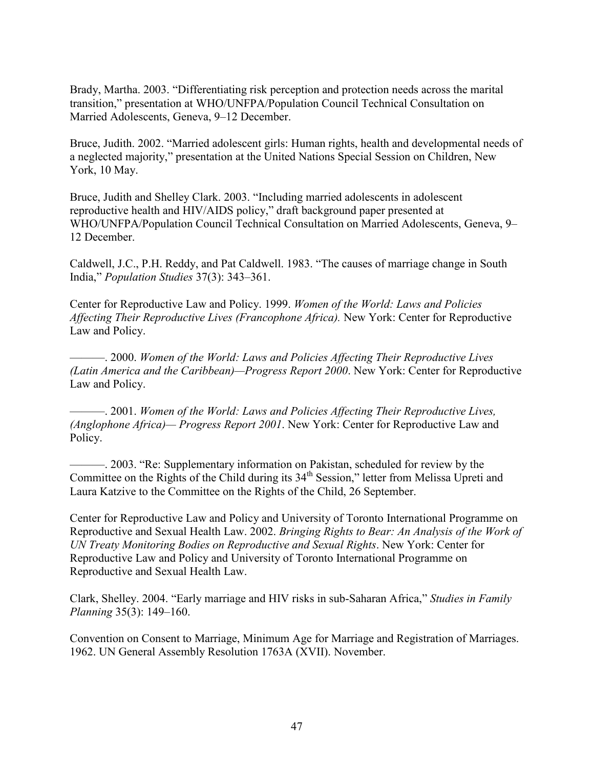Brady, Martha. 2003. "Differentiating risk perception and protection needs across the marital transition," presentation at WHO/UNFPA/Population Council Technical Consultation on Married Adolescents, Geneva, 9–12 December.

Bruce, Judith. 2002. "Married adolescent girls: Human rights, health and developmental needs of a neglected majority," presentation at the United Nations Special Session on Children, New York, 10 May.

Bruce, Judith and Shelley Clark. 2003. "Including married adolescents in adolescent reproductive health and HIV/AIDS policy," draft background paper presented at WHO/UNFPA/Population Council Technical Consultation on Married Adolescents, Geneva, 9– 12 December.

Caldwell, J.C., P.H. Reddy, and Pat Caldwell. 1983. "The causes of marriage change in South India," *Population Studies* 37(3): 343–361.

Center for Reproductive Law and Policy. 1999. *Women of the World: Laws and Policies Affecting Their Reproductive Lives (Francophone Africa).* New York: Center for Reproductive Law and Policy.

———. 2000. *Women of the World: Laws and Policies Affecting Their Reproductive Lives (Latin America and the Caribbean)—Progress Report 2000*. New York: Center for Reproductive Law and Policy.

———. 2001. *Women of the World: Laws and Policies Affecting Their Reproductive Lives, (Anglophone Africa)— Progress Report 2001*. New York: Center for Reproductive Law and Policy.

———. 2003. "Re: Supplementary information on Pakistan, scheduled for review by the Committee on the Rights of the Child during its 34<sup>th</sup> Session," letter from Melissa Upreti and Laura Katzive to the Committee on the Rights of the Child, 26 September.

Center for Reproductive Law and Policy and University of Toronto International Programme on Reproductive and Sexual Health Law. 2002. *Bringing Rights to Bear: An Analysis of the Work of UN Treaty Monitoring Bodies on Reproductive and Sexual Rights*. New York: Center for Reproductive Law and Policy and University of Toronto International Programme on Reproductive and Sexual Health Law.

Clark, Shelley. 2004. "Early marriage and HIV risks in sub-Saharan Africa," *Studies in Family Planning* 35(3): 149–160.

Convention on Consent to Marriage, Minimum Age for Marriage and Registration of Marriages. 1962. UN General Assembly Resolution 1763A (XVII). November.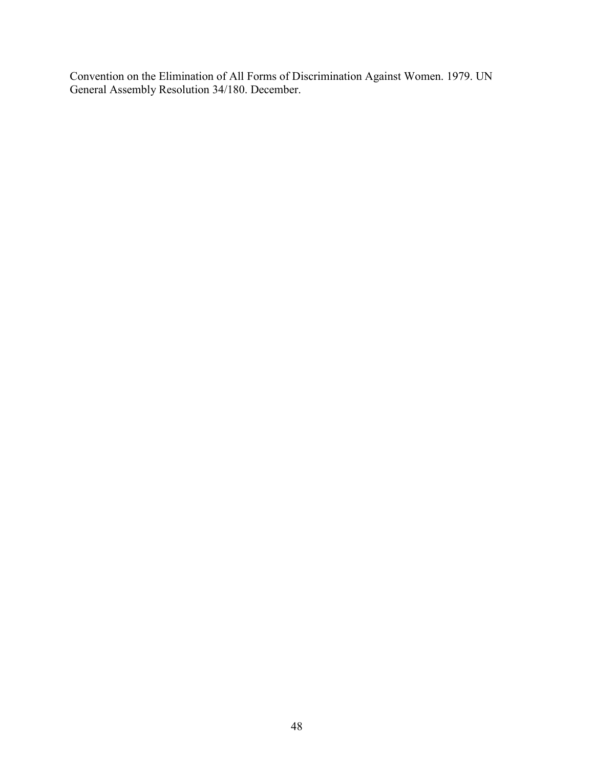Convention on the Elimination of All Forms of Discrimination Against Women. 1979. UN General Assembly Resolution 34/180. December.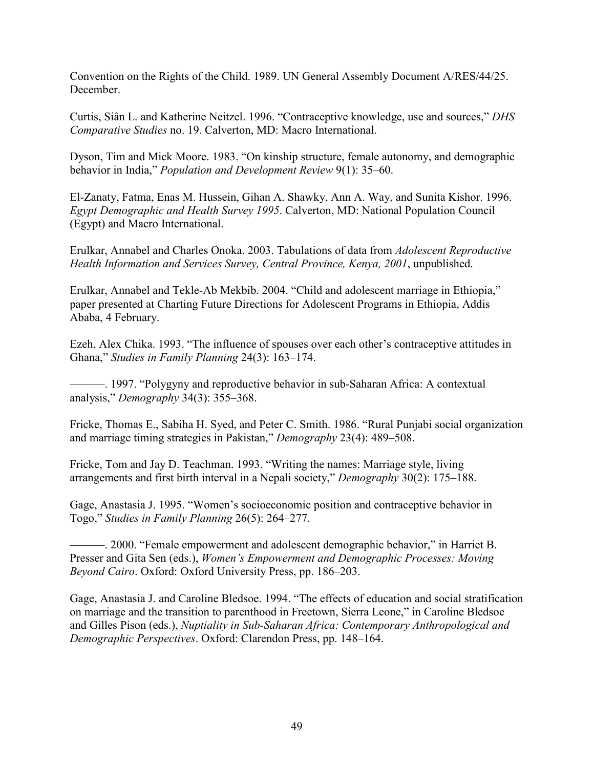Convention on the Rights of the Child. 1989. UN General Assembly Document A/RES/44/25. **December** 

Curtis, Siân L. and Katherine Neitzel. 1996. "Contraceptive knowledge, use and sources," *DHS Comparative Studies* no. 19. Calverton, MD: Macro International.

Dyson, Tim and Mick Moore. 1983. "On kinship structure, female autonomy, and demographic behavior in India," *Population and Development Review* 9(1): 35–60.

El-Zanaty, Fatma, Enas M. Hussein, Gihan A. Shawky, Ann A. Way, and Sunita Kishor. 1996. *Egypt Demographic and Health Survey 1995*. Calverton, MD: National Population Council (Egypt) and Macro International.

Erulkar, Annabel and Charles Onoka. 2003. Tabulations of data from *Adolescent Reproductive Health Information and Services Survey, Central Province, Kenya, 2001*, unpublished.

Erulkar, Annabel and Tekle-Ab Mekbib. 2004. "Child and adolescent marriage in Ethiopia," paper presented at Charting Future Directions for Adolescent Programs in Ethiopia, Addis Ababa, 4 February.

Ezeh, Alex Chika. 1993. "The influence of spouses over each other's contraceptive attitudes in Ghana," *Studies in Family Planning* 24(3): 163–174.

———. 1997. "Polygyny and reproductive behavior in sub-Saharan Africa: A contextual analysis," *Demography* 34(3): 355–368.

Fricke, Thomas E., Sabiha H. Syed, and Peter C. Smith. 1986. "Rural Punjabi social organization and marriage timing strategies in Pakistan," *Demography* 23(4): 489–508.

Fricke, Tom and Jay D. Teachman. 1993. "Writing the names: Marriage style, living arrangements and first birth interval in a Nepali society," *Demography* 30(2): 175–188.

Gage, Anastasia J. 1995. "Women's socioeconomic position and contraceptive behavior in Togo," *Studies in Family Planning* 26(5): 264–277.

———. 2000. "Female empowerment and adolescent demographic behavior," in Harriet B. Presser and Gita Sen (eds.), *Women's Empowerment and Demographic Processes: Moving Beyond Cairo*. Oxford: Oxford University Press, pp. 186–203.

Gage, Anastasia J. and Caroline Bledsoe. 1994. "The effects of education and social stratification on marriage and the transition to parenthood in Freetown, Sierra Leone," in Caroline Bledsoe and Gilles Pison (eds.), *Nuptiality in Sub-Saharan Africa: Contemporary Anthropological and Demographic Perspectives*. Oxford: Clarendon Press, pp. 148–164.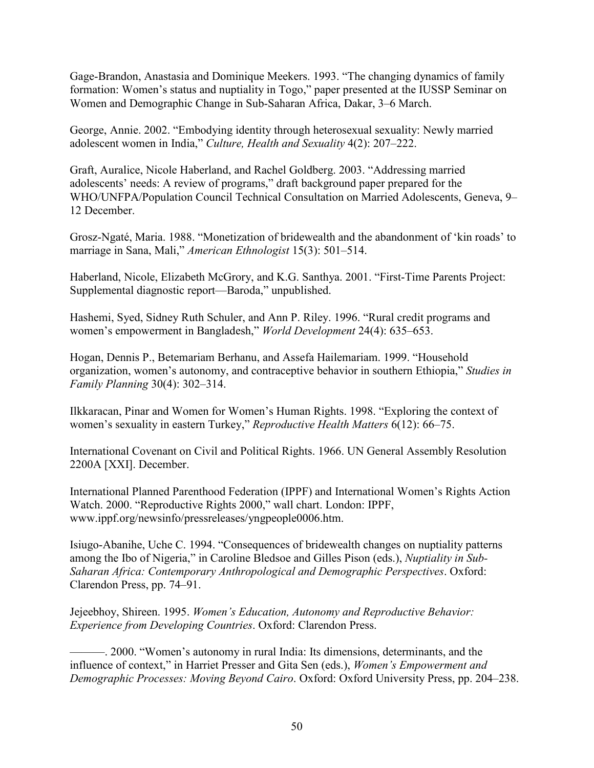Gage-Brandon, Anastasia and Dominique Meekers. 1993. "The changing dynamics of family formation: Women's status and nuptiality in Togo," paper presented at the IUSSP Seminar on Women and Demographic Change in Sub-Saharan Africa, Dakar, 3–6 March.

George, Annie. 2002. "Embodying identity through heterosexual sexuality: Newly married adolescent women in India," *Culture, Health and Sexuality* 4(2): 207–222.

Graft, Auralice, Nicole Haberland, and Rachel Goldberg. 2003. "Addressing married adolescents' needs: A review of programs," draft background paper prepared for the WHO/UNFPA/Population Council Technical Consultation on Married Adolescents, Geneva, 9– 12 December.

Grosz-Ngaté, Maria. 1988. "Monetization of bridewealth and the abandonment of 'kin roads' to marriage in Sana, Mali," *American Ethnologist* 15(3): 501–514.

Haberland, Nicole, Elizabeth McGrory, and K.G. Santhya. 2001. "First-Time Parents Project: Supplemental diagnostic report—Baroda," unpublished.

Hashemi, Syed, Sidney Ruth Schuler, and Ann P. Riley. 1996. "Rural credit programs and women's empowerment in Bangladesh," *World Development* 24(4): 635–653.

Hogan, Dennis P., Betemariam Berhanu, and Assefa Hailemariam. 1999. "Household organization, women's autonomy, and contraceptive behavior in southern Ethiopia," *Studies in Family Planning* 30(4): 302–314.

Ilkkaracan, Pinar and Women for Women's Human Rights. 1998. "Exploring the context of women's sexuality in eastern Turkey," *Reproductive Health Matters* 6(12): 66–75.

International Covenant on Civil and Political Rights. 1966. UN General Assembly Resolution 2200A [XXI]. December.

International Planned Parenthood Federation (IPPF) and International Women's Rights Action Watch. 2000. "Reproductive Rights 2000," wall chart. London: IPPF, www.ippf.org/newsinfo/pressreleases/yngpeople0006.htm.

Isiugo-Abanihe, Uche C. 1994. "Consequences of bridewealth changes on nuptiality patterns among the Ibo of Nigeria," in Caroline Bledsoe and Gilles Pison (eds.), *Nuptiality in Sub-Saharan Africa: Contemporary Anthropological and Demographic Perspectives*. Oxford: Clarendon Press, pp. 74–91.

Jejeebhoy, Shireen. 1995. *Women's Education, Autonomy and Reproductive Behavior: Experience from Developing Countries*. Oxford: Clarendon Press.

———. 2000. "Women's autonomy in rural India: Its dimensions, determinants, and the influence of context," in Harriet Presser and Gita Sen (eds.), *Women's Empowerment and Demographic Processes: Moving Beyond Cairo*. Oxford: Oxford University Press, pp. 204–238.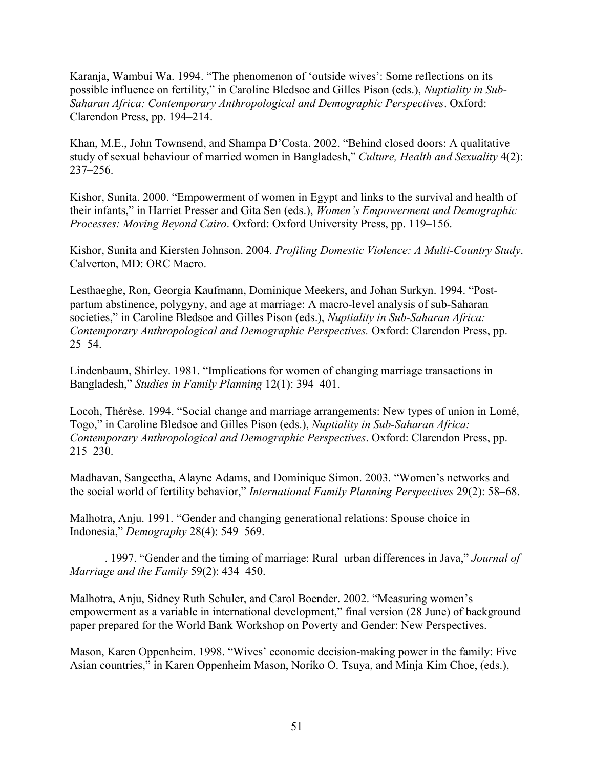Karanja, Wambui Wa. 1994. "The phenomenon of 'outside wives': Some reflections on its possible influence on fertility," in Caroline Bledsoe and Gilles Pison (eds.), *Nuptiality in Sub-Saharan Africa: Contemporary Anthropological and Demographic Perspectives*. Oxford: Clarendon Press, pp. 194–214.

Khan, M.E., John Townsend, and Shampa D'Costa. 2002. "Behind closed doors: A qualitative study of sexual behaviour of married women in Bangladesh," *Culture, Health and Sexuality* 4(2): 237–256.

Kishor, Sunita. 2000. "Empowerment of women in Egypt and links to the survival and health of their infants," in Harriet Presser and Gita Sen (eds.), *Women's Empowerment and Demographic Processes: Moving Beyond Cairo*. Oxford: Oxford University Press, pp. 119–156.

Kishor, Sunita and Kiersten Johnson. 2004. *Profiling Domestic Violence: A Multi-Country Study*. Calverton, MD: ORC Macro.

Lesthaeghe, Ron, Georgia Kaufmann, Dominique Meekers, and Johan Surkyn. 1994. "Postpartum abstinence, polygyny, and age at marriage: A macro-level analysis of sub-Saharan societies," in Caroline Bledsoe and Gilles Pison (eds.), *Nuptiality in Sub-Saharan Africa: Contemporary Anthropological and Demographic Perspectives.* Oxford: Clarendon Press, pp. 25–54.

Lindenbaum, Shirley. 1981. "Implications for women of changing marriage transactions in Bangladesh," *Studies in Family Planning* 12(1): 394–401.

Locoh, Thérèse. 1994. "Social change and marriage arrangements: New types of union in Lomé, Togo," in Caroline Bledsoe and Gilles Pison (eds.), *Nuptiality in Sub-Saharan Africa: Contemporary Anthropological and Demographic Perspectives*. Oxford: Clarendon Press, pp. 215–230.

Madhavan, Sangeetha, Alayne Adams, and Dominique Simon. 2003. "Women's networks and the social world of fertility behavior," *International Family Planning Perspectives* 29(2): 58–68.

Malhotra, Anju. 1991. "Gender and changing generational relations: Spouse choice in Indonesia," *Demography* 28(4): 549–569.

———. 1997. "Gender and the timing of marriage: Rural–urban differences in Java," *Journal of Marriage and the Family* 59(2): 434–450.

Malhotra, Anju, Sidney Ruth Schuler, and Carol Boender. 2002. "Measuring women's empowerment as a variable in international development," final version (28 June) of background paper prepared for the World Bank Workshop on Poverty and Gender: New Perspectives.

Mason, Karen Oppenheim. 1998. "Wives' economic decision-making power in the family: Five Asian countries," in Karen Oppenheim Mason, Noriko O. Tsuya, and Minja Kim Choe, (eds.),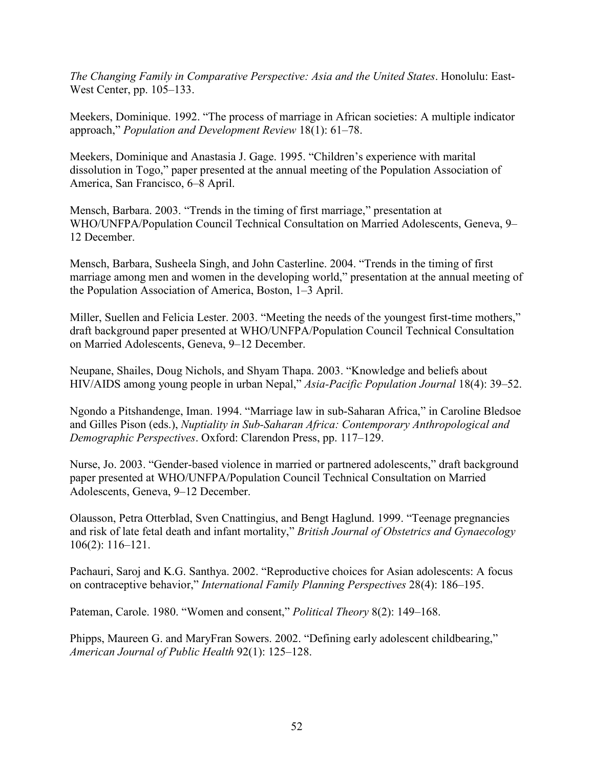*The Changing Family in Comparative Perspective: Asia and the United States*. Honolulu: East-West Center, pp. 105–133.

Meekers, Dominique. 1992. "The process of marriage in African societies: A multiple indicator approach," *Population and Development Review* 18(1): 61–78.

Meekers, Dominique and Anastasia J. Gage. 1995. "Children's experience with marital dissolution in Togo," paper presented at the annual meeting of the Population Association of America, San Francisco, 6–8 April.

Mensch, Barbara. 2003. "Trends in the timing of first marriage," presentation at WHO/UNFPA/Population Council Technical Consultation on Married Adolescents, Geneva, 9– 12 December.

Mensch, Barbara, Susheela Singh, and John Casterline. 2004. "Trends in the timing of first marriage among men and women in the developing world," presentation at the annual meeting of the Population Association of America, Boston, 1–3 April.

Miller, Suellen and Felicia Lester. 2003. "Meeting the needs of the youngest first-time mothers," draft background paper presented at WHO/UNFPA/Population Council Technical Consultation on Married Adolescents, Geneva, 9–12 December.

Neupane, Shailes, Doug Nichols, and Shyam Thapa. 2003. "Knowledge and beliefs about HIV/AIDS among young people in urban Nepal," *Asia-Pacific Population Journal* 18(4): 39–52.

Ngondo a Pitshandenge, Iman. 1994. "Marriage law in sub-Saharan Africa," in Caroline Bledsoe and Gilles Pison (eds.), *Nuptiality in Sub-Saharan Africa: Contemporary Anthropological and Demographic Perspectives*. Oxford: Clarendon Press, pp. 117–129.

Nurse, Jo. 2003. "Gender-based violence in married or partnered adolescents," draft background paper presented at WHO/UNFPA/Population Council Technical Consultation on Married Adolescents, Geneva, 9–12 December.

Olausson, Petra Otterblad, Sven Cnattingius, and Bengt Haglund. 1999. "Teenage pregnancies and risk of late fetal death and infant mortality," *British Journal of Obstetrics and Gynaecology* 106(2): 116–121.

Pachauri, Saroj and K.G. Santhya. 2002. "Reproductive choices for Asian adolescents: A focus on contraceptive behavior," *International Family Planning Perspectives* 28(4): 186–195.

Pateman, Carole. 1980. "Women and consent," *Political Theory* 8(2): 149–168.

Phipps, Maureen G. and MaryFran Sowers. 2002. "Defining early adolescent childbearing," *American Journal of Public Health* 92(1): 125–128.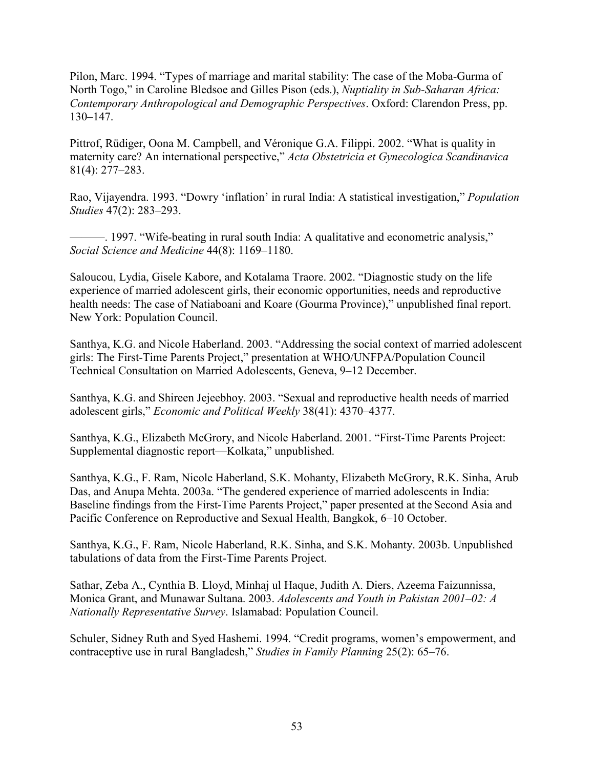Pilon, Marc. 1994. "Types of marriage and marital stability: The case of the Moba-Gurma of North Togo," in Caroline Bledsoe and Gilles Pison (eds.), *Nuptiality in Sub-Saharan Africa: Contemporary Anthropological and Demographic Perspectives*. Oxford: Clarendon Press, pp. 130–147.

Pittrof, Rüdiger, Oona M. Campbell, and Véronique G.A. Filippi. 2002. "What is quality in maternity care? An international perspective," *Acta Obstetricia et Gynecologica Scandinavica* 81(4): 277–283.

Rao, Vijayendra. 1993. "Dowry 'inflation' in rural India: A statistical investigation," *Population Studies* 47(2): 283–293.

———. 1997. "Wife-beating in rural south India: A qualitative and econometric analysis," *Social Science and Medicine* 44(8): 1169–1180.

Saloucou, Lydia, Gisele Kabore, and Kotalama Traore. 2002. "Diagnostic study on the life experience of married adolescent girls, their economic opportunities, needs and reproductive health needs: The case of Natiaboani and Koare (Gourma Province)," unpublished final report. New York: Population Council.

Santhya, K.G. and Nicole Haberland. 2003. "Addressing the social context of married adolescent girls: The First-Time Parents Project," presentation at WHO/UNFPA/Population Council Technical Consultation on Married Adolescents, Geneva, 9–12 December.

Santhya, K.G. and Shireen Jejeebhoy. 2003. "Sexual and reproductive health needs of married adolescent girls," *Economic and Political Weekly* 38(41): 4370–4377.

Santhya, K.G., Elizabeth McGrory, and Nicole Haberland. 2001. "First-Time Parents Project: Supplemental diagnostic report—Kolkata," unpublished.

Santhya, K.G., F. Ram, Nicole Haberland, S.K. Mohanty, Elizabeth McGrory, R.K. Sinha, Arub Das, and Anupa Mehta. 2003a. "The gendered experience of married adolescents in India: Baseline findings from the First-Time Parents Project," paper presented at the Second Asia and Pacific Conference on Reproductive and Sexual Health, Bangkok, 6–10 October.

Santhya, K.G., F. Ram, Nicole Haberland, R.K. Sinha, and S.K. Mohanty. 2003b. Unpublished tabulations of data from the First-Time Parents Project.

Sathar, Zeba A., Cynthia B. Lloyd, Minhaj ul Haque, Judith A. Diers, Azeema Faizunnissa, Monica Grant, and Munawar Sultana. 2003. *Adolescents and Youth in Pakistan 2001–02: A Nationally Representative Survey*. Islamabad: Population Council.

Schuler, Sidney Ruth and Syed Hashemi. 1994. "Credit programs, women's empowerment, and contraceptive use in rural Bangladesh," *Studies in Family Planning* 25(2): 65–76.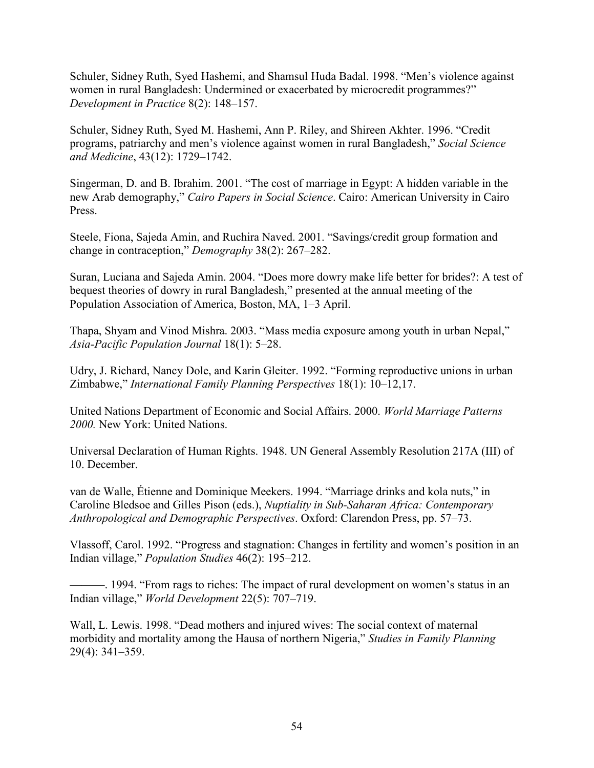Schuler, Sidney Ruth, Syed Hashemi, and Shamsul Huda Badal. 1998. "Men's violence against women in rural Bangladesh: Undermined or exacerbated by microcredit programmes?" *Development in Practice* 8(2): 148–157.

Schuler, Sidney Ruth, Syed M. Hashemi, Ann P. Riley, and Shireen Akhter. 1996. "Credit programs, patriarchy and men's violence against women in rural Bangladesh," *Social Science and Medicine*, 43(12): 1729–1742.

Singerman, D. and B. Ibrahim. 2001. "The cost of marriage in Egypt: A hidden variable in the new Arab demography," *Cairo Papers in Social Science*. Cairo: American University in Cairo Press.

Steele, Fiona, Sajeda Amin, and Ruchira Naved. 2001. "Savings/credit group formation and change in contraception," *Demography* 38(2): 267–282.

Suran, Luciana and Sajeda Amin. 2004. "Does more dowry make life better for brides?: A test of bequest theories of dowry in rural Bangladesh," presented at the annual meeting of the Population Association of America, Boston, MA, 1–3 April.

Thapa, Shyam and Vinod Mishra. 2003. "Mass media exposure among youth in urban Nepal," *Asia-Pacific Population Journal* 18(1): 5–28.

Udry, J. Richard, Nancy Dole, and Karin Gleiter. 1992. "Forming reproductive unions in urban Zimbabwe," *International Family Planning Perspectives* 18(1): 10–12,17.

United Nations Department of Economic and Social Affairs. 2000. *World Marriage Patterns 2000.* New York: United Nations.

Universal Declaration of Human Rights. 1948. UN General Assembly Resolution 217A (III) of 10. December.

van de Walle, Étienne and Dominique Meekers. 1994. "Marriage drinks and kola nuts," in Caroline Bledsoe and Gilles Pison (eds.), *Nuptiality in Sub-Saharan Africa: Contemporary Anthropological and Demographic Perspectives*. Oxford: Clarendon Press, pp. 57–73.

Vlassoff, Carol. 1992. "Progress and stagnation: Changes in fertility and women's position in an Indian village," *Population Studies* 46(2): 195–212.

———. 1994. "From rags to riches: The impact of rural development on women's status in an Indian village," *World Development* 22(5): 707–719.

Wall, L. Lewis. 1998. "Dead mothers and injured wives: The social context of maternal morbidity and mortality among the Hausa of northern Nigeria," *Studies in Family Planning* 29(4): 341–359.